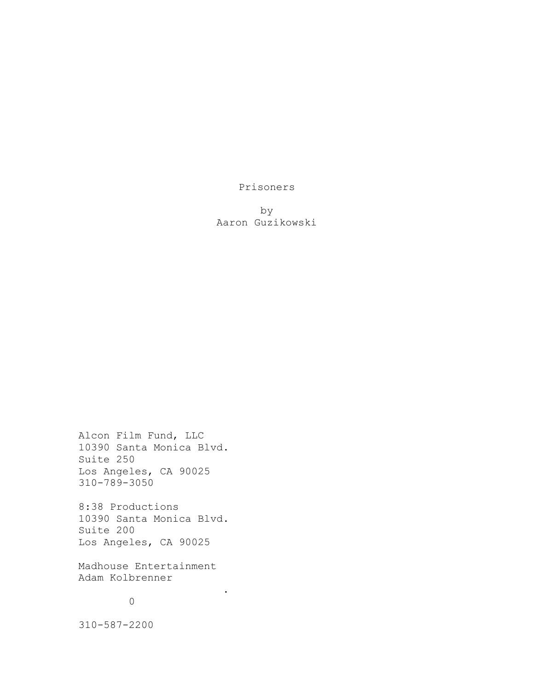Prisoners

by Aaron Guzikowski

Alcon Film Fund, LLC 10390 Santa Monica Blvd. Suite 250 Los Angeles, CA 90025 310-789-3050

8:38 Productions 10390 Santa Monica Blvd. Suite 200 Los Angeles, CA 90025

Madhouse Entertainment Adam Kolbrenner

.

# $\overline{O}$

310-587-2200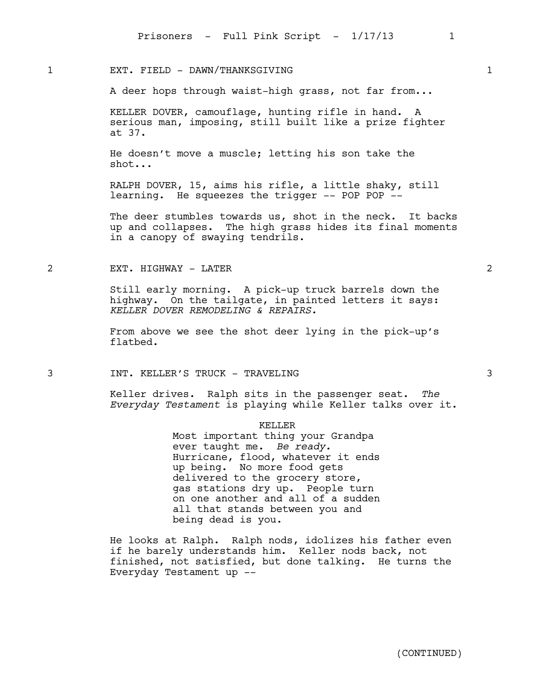### EXT. FIELD - DAWN/THANKSGIVING 1

A deer hops through waist-high grass, not far from...

KELLER DOVER, camouflage, hunting rifle in hand. A serious man, imposing, still built like a prize fighter at 37.

He doesn't move a muscle; letting his son take the shot...

RALPH DOVER, 15, aims his rifle, a little shaky, still learning. He squeezes the trigger -- POP POP --

The deer stumbles towards us, shot in the neck. It backs up and collapses. The high grass hides its final moments in a canopy of swaying tendrils.

### 2 EXT. HIGHWAY - LATER 2

Still early morning. A pick-up truck barrels down the highway. On the tailgate, in painted letters it says: *KELLER DOVER REMODELING & REPAIRS.*

From above we see the shot deer lying in the pick-up's flatbed.

3 INT. KELLER'S TRUCK - TRAVELING 3

Keller drives. Ralph sits in the passenger seat. *The Everyday Testament* is playing while Keller talks over it.

#### KELLER

Most important thing your Grandpa ever taught me. *Be ready.* Hurricane, flood, whatever it ends up being. No more food gets delivered to the grocery store, gas stations dry up. People turn on one another and all of a sudden all that stands between you and being dead is you.

He looks at Ralph. Ralph nods, idolizes his father even if he barely understands him. Keller nods back, not finished, not satisfied, but done talking. He turns the Everyday Testament up --

| - |  |
|---|--|
|   |  |
|   |  |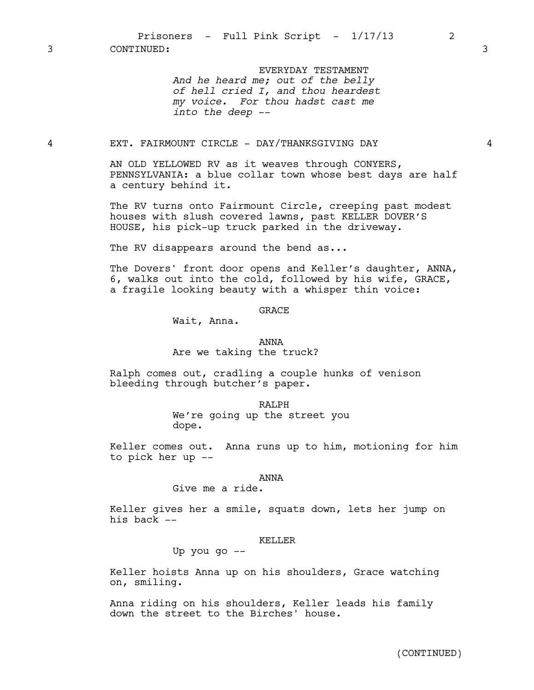Prisoners - Full Pink Script -  $1/17/13$  2

3 CONTINUED: 3

EVERYDAY TESTAMENT *And he heard me; out of the belly of hell cried I, and thou heardest my voice. For thou hadst cast me into the deep --*

# 4 EXT. FAIRMOUNT CIRCLE - DAY/THANKSGIVING DAY 4

AN OLD YELLOWED RV as it weaves through CONYERS, PENNSYLVANIA: a blue collar town whose best days are half a century behind it.

The RV turns onto Fairmount Circle, creeping past modest houses with slush covered lawns, past KELLER DOVER'S HOUSE, his pick-up truck parked in the driveway.

The RV disappears around the bend as...

The Dovers' front door opens and Keller's daughter, ANNA, 6, walks out into the cold, followed by his wife, GRACE, a fragile looking beauty with a whisper thin voice:

### GRACE

Wait, Anna.

#### ANNA

Are we taking the truck?

Ralph comes out, cradling a couple hunks of venison bleeding through butcher's paper.

> RALPH We're going up the street you dope.

Keller comes out. Anna runs up to him, motioning for him to pick her up --

#### ANNA

## Give me a ride.

Keller gives her a smile, squats down, lets her jump on his back --

#### KELLER

Up you go --

Keller hoists Anna up on his shoulders, Grace watching on, smiling.

Anna riding on his shoulders, Keller leads his family down the street to the Birches' house.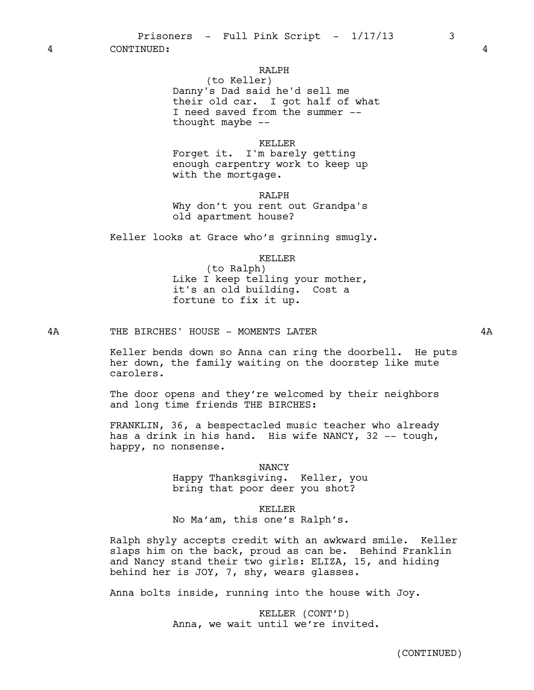4 CONTINUED: 4

# RALPH

(to Keller) Danny's Dad said he'd sell me their old car. I got half of what I need saved from the summer - thought maybe  $-$ 

#### KELLER

Forget it. I'm barely getting enough carpentry work to keep up with the mortgage.

RALPH

Why don't you rent out Grandpa's old apartment house?

Keller looks at Grace who's grinning smugly.

KELLER

(to Ralph) Like I keep telling your mother, it's an old building. Cost a fortune to fix it up.

4A THE BIRCHES' HOUSE - MOMENTS LATER 4A

The door opens and they're welcomed by their neighbors and long time friends THE BIRCHES:

FRANKLIN, 36, a bespectacled music teacher who already has a drink in his hand. His wife NANCY, 32 -- tough, happy, no nonsense.

> NANCY Happy Thanksgiving. Keller, you bring that poor deer you shot?

> > KELLER

No Ma'am, this one's Ralph's.

Ralph shyly accepts credit with an awkward smile. Keller slaps him on the back, proud as can be. Behind Franklin and Nancy stand their two girls: ELIZA, 15, and hiding behind her is JOY, 7, shy, wears glasses.

Anna bolts inside, running into the house with Joy.

KELLER (CONT'D) Anna, we wait until we're invited.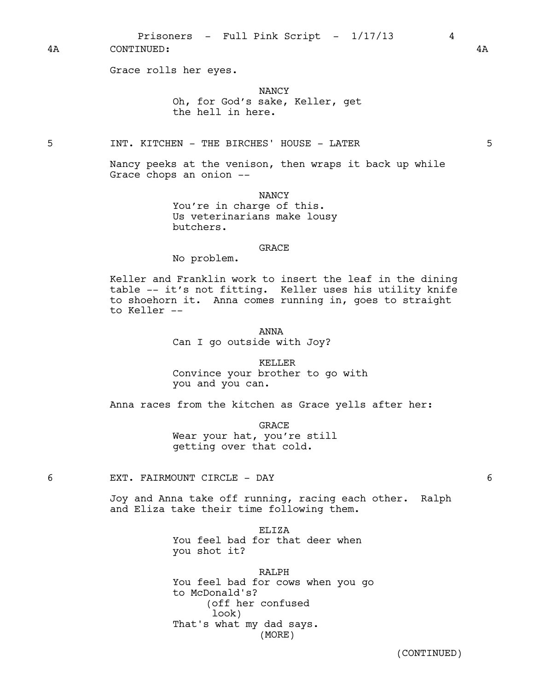4A CONTINUED: 4A

Grace rolls her eyes.

NANCY Oh, for God's sake, Keller, get the hell in here.

5 INT. KITCHEN - THE BIRCHES' HOUSE - LATER 5

Nancy peeks at the venison, then wraps it back up while Grace chops an onion --

> NANCY You're in charge of this. Us veterinarians make lousy butchers.

#### GRACE

No problem.

Keller and Franklin work to insert the leaf in the dining table -- it's not fitting. Keller uses his utility knife to shoehorn it. Anna comes running in, goes to straight to Keller --

ANNA

Can I go outside with Joy?

KELLER Convince your brother to go with you and you can.

Anna races from the kitchen as Grace yells after her:

GRACE Wear your hat, you're still getting over that cold.

6 EXT. FAIRMOUNT CIRCLE - DAY 6

Joy and Anna take off running, racing each other. Ralph and Eliza take their time following them.

ELIZA

You feel bad for that deer when you shot it?

RALPH

You feel bad for cows when you go to McDonald's? (off her confused look) That's what my dad says. (MORE)

(CONTINUED)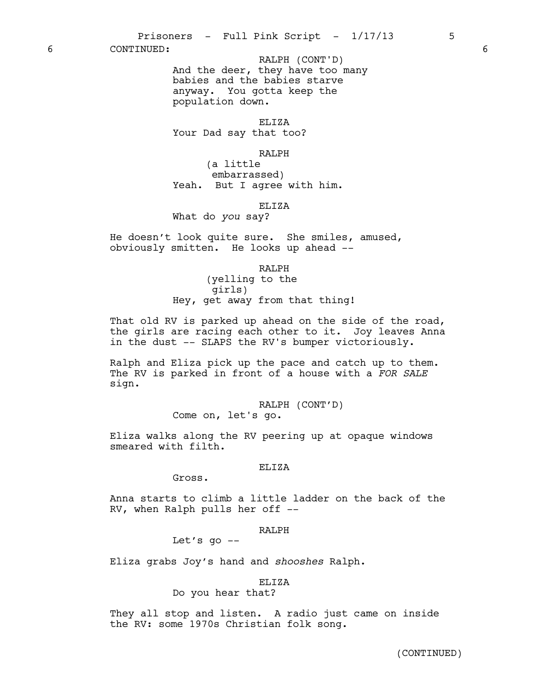6 CONTINUED: 6

And the deer, they have too many babies and the babies starve anyway. You gotta keep the population down. RALPH (CONT'D)

ELIZA Your Dad say that too?

RALPH

(a little embarrassed) Yeah. But I agree with him.

ELIZA

What do *you* say?

He doesn't look quite sure. She smiles, amused, obviously smitten. He looks up ahead --

RALPH

(yelling to the girls) Hey, get away from that thing!

That old RV is parked up ahead on the side of the road, the girls are racing each other to it. Joy leaves Anna in the dust -- SLAPS the RV's bumper victoriously.

Ralph and Eliza pick up the pace and catch up to them. The RV is parked in front of a house with a *FOR SALE* sign.

> RALPH (CONT'D) Come on, let's go.

Eliza walks along the RV peering up at opaque windows smeared with filth.

ELIZA

Gross.

Anna starts to climb a little ladder on the back of the RV, when Ralph pulls her off --

RALPH

Let's  $q_0$  --

Eliza grabs Joy's hand and *shooshes* Ralph.

ELIZA

Do you hear that?

They all stop and listen. A radio just came on inside the RV: some 1970s Christian folk song.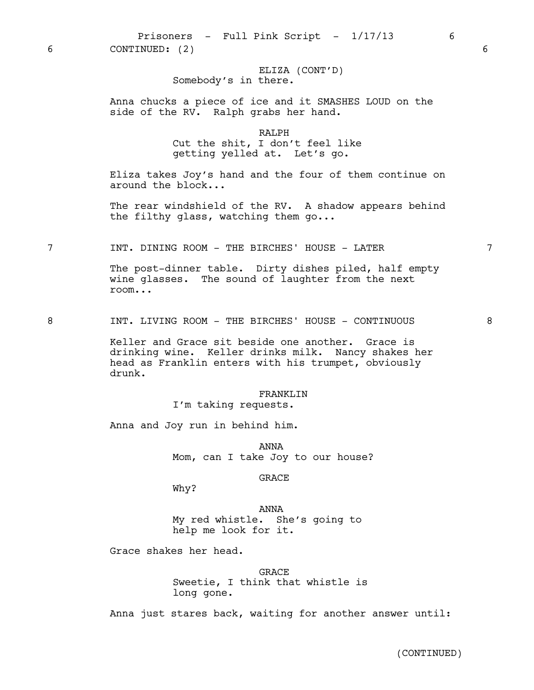# ELIZA (CONT'D) Somebody's in there.

Anna chucks a piece of ice and it SMASHES LOUD on the side of the RV. Ralph grabs her hand.

### RALPH

Cut the shit, I don't feel like getting yelled at. Let's go.

Eliza takes Joy's hand and the four of them continue on around the block...

The rear windshield of the RV. A shadow appears behind the filthy glass, watching them go...

7 INT. DINING ROOM - THE BIRCHES' HOUSE - LATER 7

The post-dinner table. Dirty dishes piled, half empty wine glasses. The sound of laughter from the next room...

8 INT. LIVING ROOM - THE BIRCHES' HOUSE - CONTINUOUS 8

Keller and Grace sit beside one another. Grace is drinking wine. Keller drinks milk. Nancy shakes her head as Franklin enters with his trumpet, obviously drunk.

#### FRANKLIN

I'm taking requests.

Anna and Joy run in behind him.

ANNA Mom, can I take Joy to our house?

#### GRACE

Why?

ANNA My red whistle. She's going to help me look for it.

Grace shakes her head.

GRACE Sweetie, I think that whistle is long gone.

Anna just stares back, waiting for another answer until: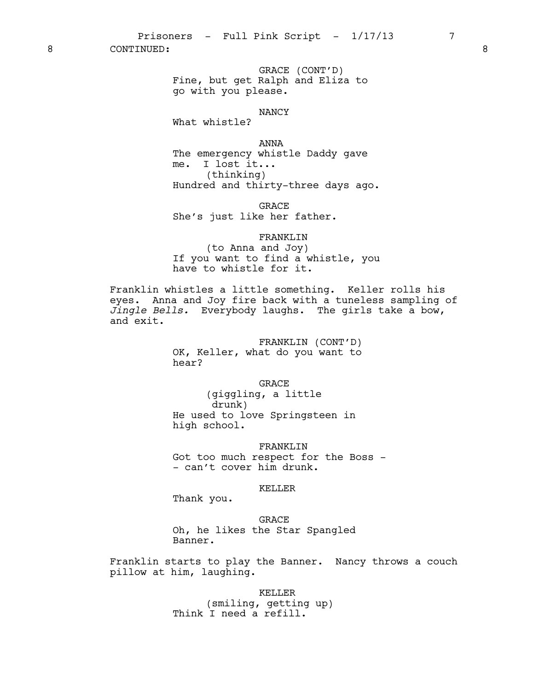8 CONTINUED: 8

GRACE (CONT'D) Fine, but get Ralph and Eliza to go with you please.

#### NANCY

What whistle?

ANNA The emergency whistle Daddy gave me. I lost it... (thinking) Hundred and thirty-three days ago.

GRACE She's just like her father.

### FRANKLIN

(to Anna and Joy) If you want to find a whistle, you have to whistle for it.

Franklin whistles a little something. Keller rolls his eyes. Anna and Joy fire back with a tuneless sampling of *Jingle Bells.* Everybody laughs. The girls take a bow, and exit.

> FRANKLIN (CONT'D) OK, Keller, what do you want to hear?

> > GRACE

(giggling, a little drunk) He used to love Springsteen in high school.

FRANKLIN Got too much respect for the Boss -- can't cover him drunk.

# KELLER

Thank you.

GRACE Oh, he likes the Star Spangled Banner.

Franklin starts to play the Banner. Nancy throws a couch pillow at him, laughing.

> KELLER (smiling, getting up) Think I need a refill.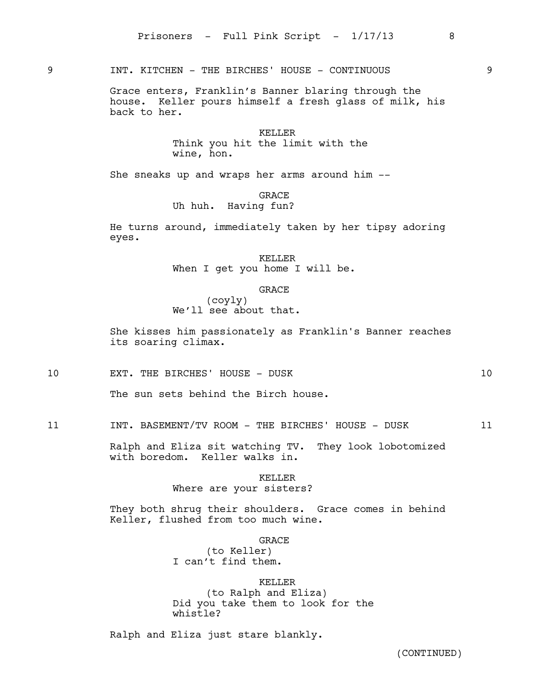9 INT. KITCHEN - THE BIRCHES' HOUSE - CONTINUOUS 9

Grace enters, Franklin's Banner blaring through the house. Keller pours himself a fresh glass of milk, his back to her.

> KELLER Think you hit the limit with the wine, hon.

She sneaks up and wraps her arms around him --

GRACE

Uh huh. Having fun?

He turns around, immediately taken by her tipsy adoring eyes.

> KELLER When I get you home I will be.

> > GRACE

(coyly) We'll see about that.

She kisses him passionately as Franklin's Banner reaches its soaring climax.

10 EXT. THE BIRCHES' HOUSE - DUSK 10

The sun sets behind the Birch house.

11 INT. BASEMENT/TV ROOM - THE BIRCHES' HOUSE - DUSK 11

Ralph and Eliza sit watching TV. They look lobotomized with boredom. Keller walks in.

## KELLER Where are your sisters?

They both shrug their shoulders. Grace comes in behind Keller, flushed from too much wine.

GRACE

(to Keller) I can't find them.

### KELLER

(to Ralph and Eliza) Did you take them to look for the whistle?

Ralph and Eliza just stare blankly.

(CONTINUED)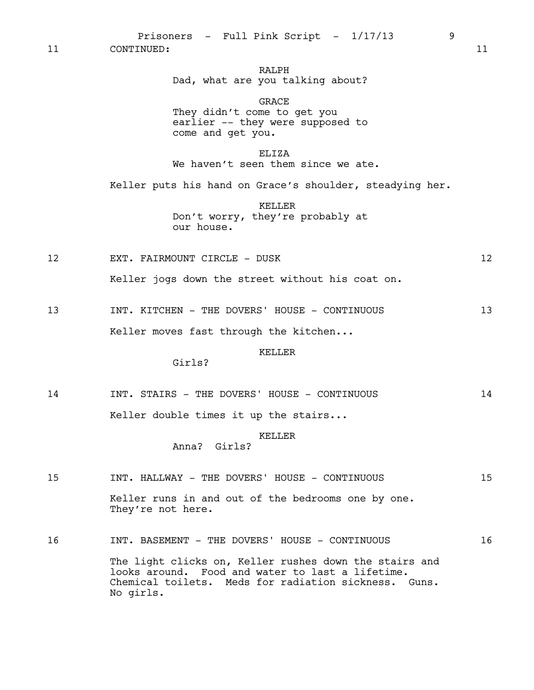Prisoners - Full Pink Script -  $1/17/13$  9

11 CONTINUED: 11

# RALPH Dad, what are you talking about?

GRACE They didn't come to get you earlier -- they were supposed to come and get you.

ELIZA

We haven't seen them since we ate.

Keller puts his hand on Grace's shoulder, steadying her.

KELLER Don't worry, they're probably at our house.

12 EXT. FAIRMOUNT CIRCLE - DUSK 12

Keller jogs down the street without his coat on.

13 INT. KITCHEN - THE DOVERS' HOUSE - CONTINUOUS 13

Keller moves fast through the kitchen...

### KELLER

Girls?

14 INT. STAIRS - THE DOVERS' HOUSE - CONTINUOUS 14 Keller double times it up the stairs...

### KELLER

Anna? Girls?

15 INT. HALLWAY - THE DOVERS' HOUSE - CONTINUOUS 15 Keller runs in and out of the bedrooms one by one. They're not here. 16 INT. BASEMENT - THE DOVERS' HOUSE - CONTINUOUS 16 The light clicks on, Keller rushes down the stairs and looks around. Food and water to last a lifetime. Chemical toilets. Meds for radiation sickness. Guns. No girls.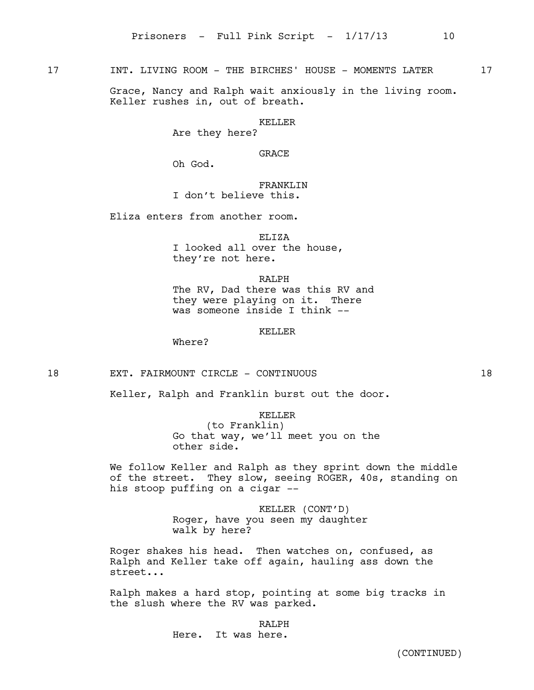17 INT. LIVING ROOM - THE BIRCHES' HOUSE - MOMENTS LATER 17

Grace, Nancy and Ralph wait anxiously in the living room. Keller rushes in, out of breath.

KELLER

Are they here?

GRACE

Oh God.

FRANKLIN I don't believe this.

Eliza enters from another room.

ELIZA

I looked all over the house, they're not here.

RALPH

The RV, Dad there was this RV and they were playing on it. There was someone inside I think --

KELLER

Where?

18 EXT. FAIRMOUNT CIRCLE - CONTINUOUS 18

Keller, Ralph and Franklin burst out the door.

# KELLER

(to Franklin) Go that way, we'll meet you on the other side.

We follow Keller and Ralph as they sprint down the middle of the street. They slow, seeing ROGER, 40s, standing on his stoop puffing on a cigar --

> KELLER (CONT'D) Roger, have you seen my daughter walk by here?

Roger shakes his head. Then watches on, confused, as Ralph and Keller take off again, hauling ass down the street...

Ralph makes a hard stop, pointing at some big tracks in the slush where the RV was parked.

RALPH

Here. It was here.

(CONTINUED)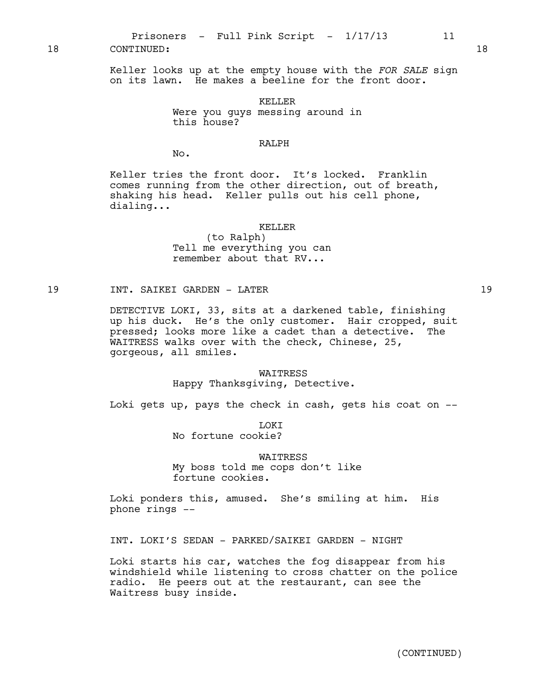Prisoners - Full Pink Script -  $1/17/13$  11 18 CONTINUED: 18

Keller looks up at the empty house with the *FOR SALE* sign on its lawn. He makes a beeline for the front door.

> KELLER Were you guys messing around in this house?

# RALPH

No.

Keller tries the front door. It's locked. Franklin comes running from the other direction, out of breath, shaking his head. Keller pulls out his cell phone, dialing...

#### KELLER

(to Ralph) Tell me everything you can remember about that RV...

19 INT. SAIKEI GARDEN - LATER 19

DETECTIVE LOKI, 33, sits at a darkened table, finishing up his duck. He's the only customer. Hair cropped, suit pressed; looks more like a cadet than a detective. The WAITRESS walks over with the check, Chinese, 25, gorgeous, all smiles.

#### WAITRESS

Happy Thanksgiving, Detective.

Loki gets up, pays the check in cash, gets his coat on --

**TOKT** 

No fortune cookie?

WAITRESS

My boss told me cops don't like fortune cookies.

Loki ponders this, amused. She's smiling at him. His phone rings --

INT. LOKI'S SEDAN - PARKED/SAIKEI GARDEN - NIGHT

Loki starts his car, watches the fog disappear from his windshield while listening to cross chatter on the police radio. He peers out at the restaurant, can see the Waitress busy inside.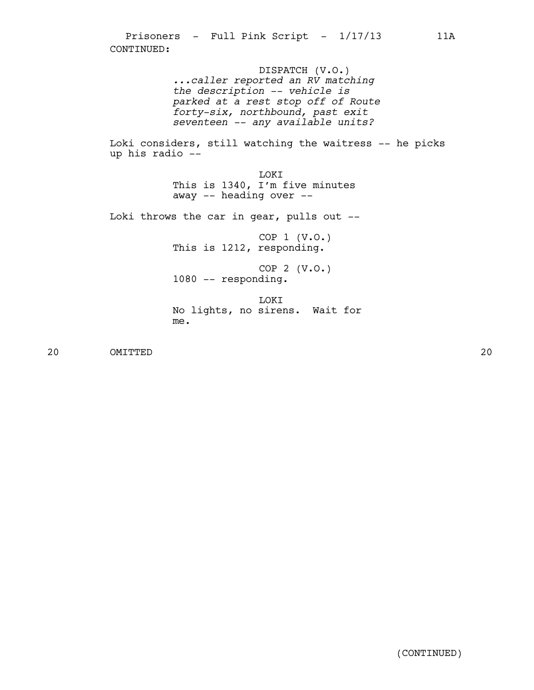Prisoners - Full Pink Script -  $1/17/13$  11A CONTINUED:

> DISPATCH (V.O.) *...caller reported an RV matching the description -- vehicle is parked at a rest stop off of Route forty-six, northbound, past exit seventeen -- any available units?*

Loki considers, still watching the waitress -- he picks up his radio --

> LOKI This is 1340, I'm five minutes away -- heading over --

Loki throws the car in gear, pulls out --

COP 1 (V.O.) This is 1212, responding.

COP 2 (V.O.) 1080 -- responding.

LOKI No lights, no sirens. Wait for me.

20 OMITTED 20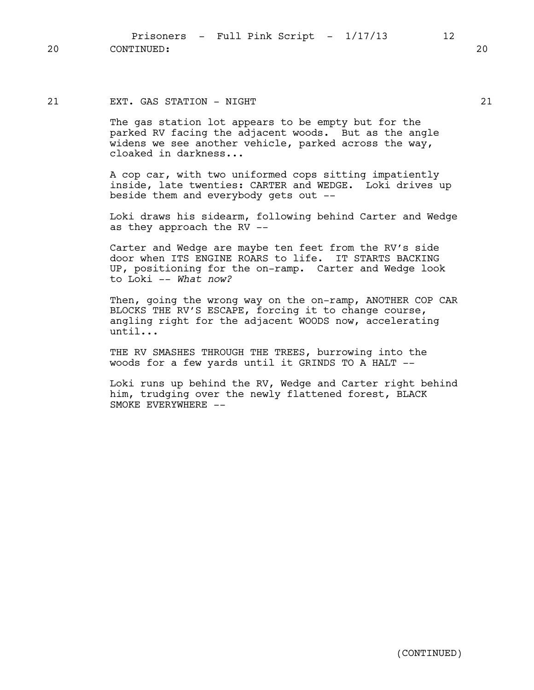Prisoners - Full Pink Script -  $1/17/13$  12 20 CONTINUED: 20

# 21 EXT. GAS STATION - NIGHT 21

The gas station lot appears to be empty but for the parked RV facing the adjacent woods. But as the angle widens we see another vehicle, parked across the way, cloaked in darkness...

A cop car, with two uniformed cops sitting impatiently inside, late twenties: CARTER and WEDGE. Loki drives up beside them and everybody gets out --

Loki draws his sidearm, following behind Carter and Wedge as they approach the RV --

Carter and Wedge are maybe ten feet from the RV's side door when ITS ENGINE ROARS to life. IT STARTS BACKING UP, positioning for the on-ramp. Carter and Wedge look to Loki -- *What now?*

Then, going the wrong way on the on-ramp, ANOTHER COP CAR BLOCKS THE RV'S ESCAPE, forcing it to change course, angling right for the adjacent WOODS now, accelerating until...

THE RV SMASHES THROUGH THE TREES, burrowing into the woods for a few yards until it GRINDS TO A HALT --

Loki runs up behind the RV, Wedge and Carter right behind him, trudging over the newly flattened forest, BLACK SMOKE EVERYWHERE  $--$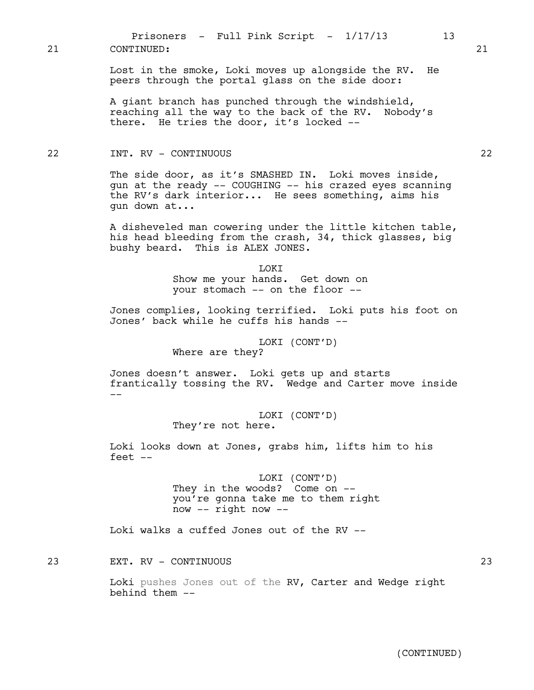Lost in the smoke, Loki moves up alongside the RV. He peers through the portal glass on the side door:

A giant branch has punched through the windshield, reaching all the way to the back of the RV. Nobody's there. He tries the door, it's locked --

## 22 INT. RV - CONTINUOUS 22

The side door, as it's SMASHED IN. Loki moves inside, gun at the ready -- COUGHING -- his crazed eyes scanning the RV's dark interior... He sees something, aims his gun down at...

A disheveled man cowering under the little kitchen table, his head bleeding from the crash, 34, thick glasses, big bushy beard. This is ALEX JONES.

> LOKI Show me your hands. Get down on your stomach -- on the floor --

Jones complies, looking terrified. Loki puts his foot on Jones' back while he cuffs his hands --

> LOKI (CONT'D) Where are they?

Jones doesn't answer. Loki gets up and starts frantically tossing the RV. Wedge and Carter move inside --

> LOKI (CONT'D) They're not here.

Loki looks down at Jones, grabs him, lifts him to his feet --

> LOKI (CONT'D) They in the woods? Come on - you're gonna take me to them right now -- right now --

Loki walks a cuffed Jones out of the RV --

23 EXT. RV - CONTINUOUS 23

Loki pushes Jones out of the RV, Carter and Wedge right behind them --

(CONTINUED)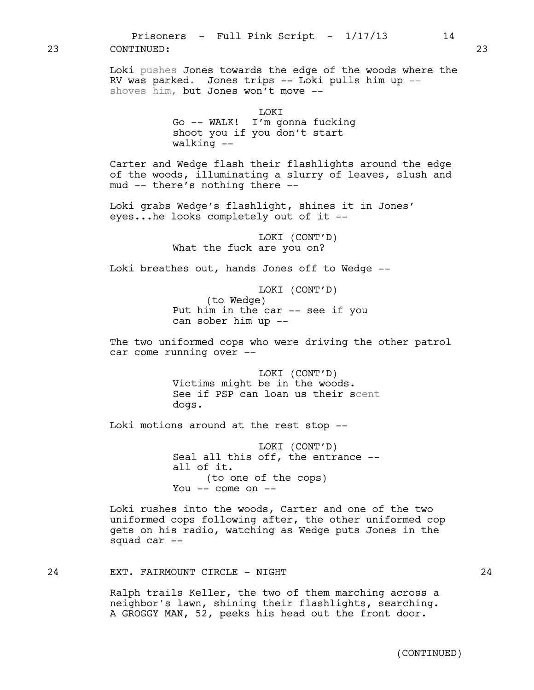23 CONTINUED: 23

Loki pushes Jones towards the edge of the woods where the RV was parked. Jones trips -- Loki pulls him up - shoves him, but Jones won't move --

Go -- WALK! I'm gonna fucking shoot you if you don't start walking --

Carter and Wedge flash their flashlights around the edge of the woods, illuminating a slurry of leaves, slush and mud -- there's nothing there --

Loki grabs Wedge's flashlight, shines it in Jones' eyes...he looks completely out of it --

> LOKI (CONT'D) What the fuck are you on?

Loki breathes out, hands Jones off to Wedge --

LOKI (CONT'D) (to Wedge) Put him in the car -- see if you can sober him up --

The two uniformed cops who were driving the other patrol car come running over --

> LOKI (CONT'D) Victims might be in the woods. See if PSP can loan us their scent dogs.

Loki motions around at the rest stop --

LOKI (CONT'D) Seal all this off, the entrance - all of it. (to one of the cops) You  $--$  come on  $--$ 

Loki rushes into the woods, Carter and one of the two uniformed cops following after, the other uniformed cop gets on his radio, watching as Wedge puts Jones in the squad car --

24 EXT. FAIRMOUNT CIRCLE - NIGHT 24

Ralph trails Keller, the two of them marching across a neighbor's lawn, shining their flashlights, searching. A GROGGY MAN, 52, peeks his head out the front door.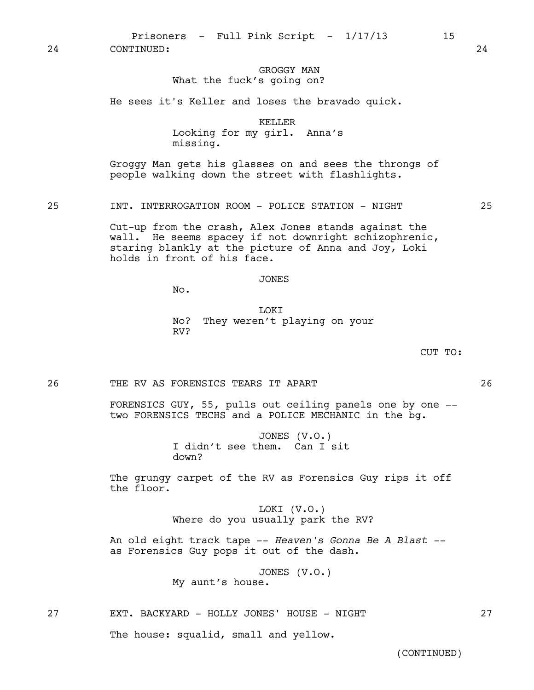Prisoners - Full Pink Script -  $1/17/13$  15

24 CONTINUED: 24

## GROGGY MAN What the fuck's going on?

He sees it's Keller and loses the bravado quick.

KELLER Looking for my girl. Anna's missing.

Groggy Man gets his glasses on and sees the throngs of people walking down the street with flashlights.

25 INT. INTERROGATION ROOM - POLICE STATION - NIGHT 25

Cut-up from the crash, Alex Jones stands against the wall. He seems spacey if not downright schizophrenic, staring blankly at the picture of Anna and Joy, Loki holds in front of his face.

### JONES

No.

LOKI No? They weren't playing on your RV?

CUT TO:

26 THE RV AS FORENSICS TEARS IT APART 26

FORENSICS GUY, 55, pulls out ceiling panels one by one - two FORENSICS TECHS and a POLICE MECHANIC in the bg.

> JONES (V.O.) I didn't see them. Can I sit down?

The grungy carpet of the RV as Forensics Guy rips it off the floor.

> LOKI (V.O.) Where do you usually park the RV?

An old eight track tape -- *Heaven's Gonna Be A Blast -*  as Forensics Guy pops it out of the dash.

> JONES (V.O.) My aunt's house.

27 EXT. BACKYARD - HOLLY JONES' HOUSE - NIGHT 27

The house: squalid, small and yellow.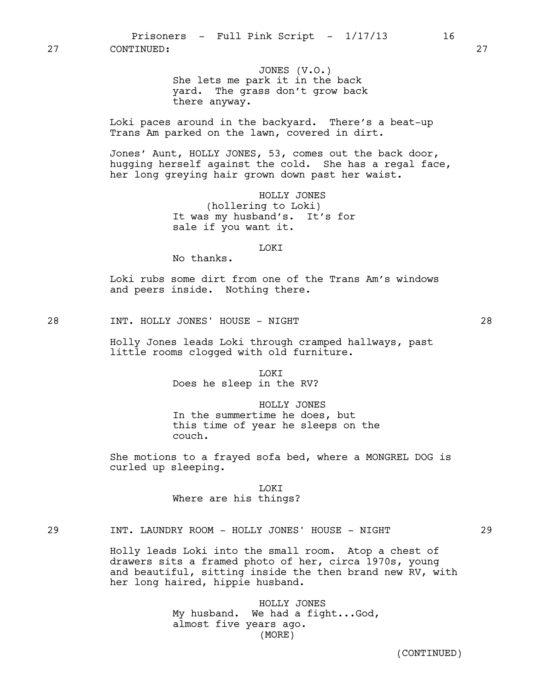JONES (V.O.) She lets me park it in the back yard. The grass don't grow back there anyway.

Loki paces around in the backyard. There's a beat-up Trans Am parked on the lawn, covered in dirt.

Jones' Aunt, HOLLY JONES, 53, comes out the back door, hugging herself against the cold. She has a regal face, her long greying hair grown down past her waist.

> HOLLY JONES (hollering to Loki) It was my husband's. It's for sale if you want it.

#### LOKI

No thanks.

Loki rubs some dirt from one of the Trans Am's windows and peers inside. Nothing there.

28 INT. HOLLY JONES' HOUSE – NIGHT 28

Holly Jones leads Loki through cramped hallways, past little rooms clogged with old furniture.

> **T.OKT** Does he sleep in the RV?

## HOLLY JONES

In the summertime he does, but this time of year he sleeps on the couch.

She motions to a frayed sofa bed, where a MONGREL DOG is curled up sleeping.

> LOKI Where are his things?

# 29 INT. LAUNDRY ROOM - HOLLY JONES' HOUSE - NIGHT 29

Holly leads Loki into the small room. Atop a chest of drawers sits a framed photo of her, circa 1970s, young and beautiful, sitting inside the then brand new RV, with her long haired, hippie husband.

> HOLLY JONES My husband. We had a fight...God, almost five years ago. (MORE)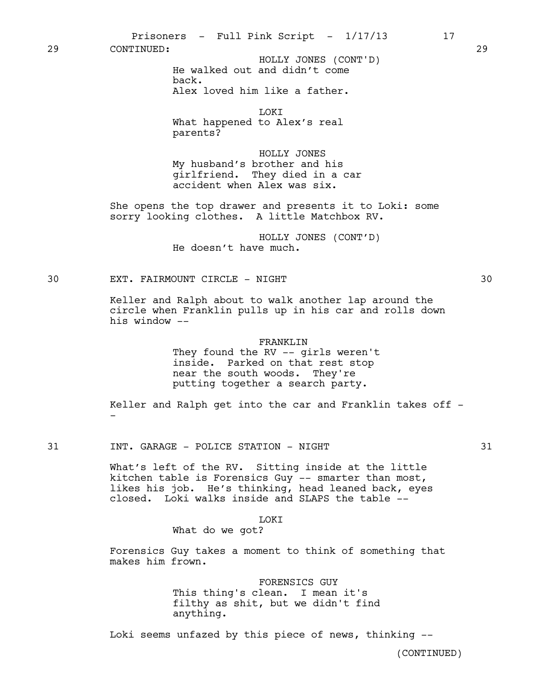Prisoners - Full Pink Script -  $1/17/13$  17

29 CONTINUED: 29

He walked out and didn't come back. Alex loved him like a father. HOLLY JONES (CONT'D)

LOKI

What happened to Alex's real parents?

HOLLY JONES My husband's brother and his girlfriend. They died in a car accident when Alex was six.

She opens the top drawer and presents it to Loki: some sorry looking clothes. A little Matchbox RV.

> HOLLY JONES (CONT'D) He doesn't have much.

30 EXT. FAIRMOUNT CIRCLE - NIGHT 30

Keller and Ralph about to walk another lap around the circle when Franklin pulls up in his car and rolls down his window --

#### FRANKLIN

They found the RV -- girls weren't inside. Parked on that rest stop near the south woods. They're putting together a search party.

Keller and Ralph get into the car and Franklin takes off --

31 INT. GARAGE - POLICE STATION - NIGHT 31

What's left of the RV. Sitting inside at the little kitchen table is Forensics Guy -- smarter than most, likes his job. He's thinking, head leaned back, eyes closed. Loki walks inside and SLAPS the table --

### **LOKT**

What do we got?

Forensics Guy takes a moment to think of something that makes him frown.

> FORENSICS GUY This thing's clean. I mean it's filthy as shit, but we didn't find anything.

Loki seems unfazed by this piece of news, thinking --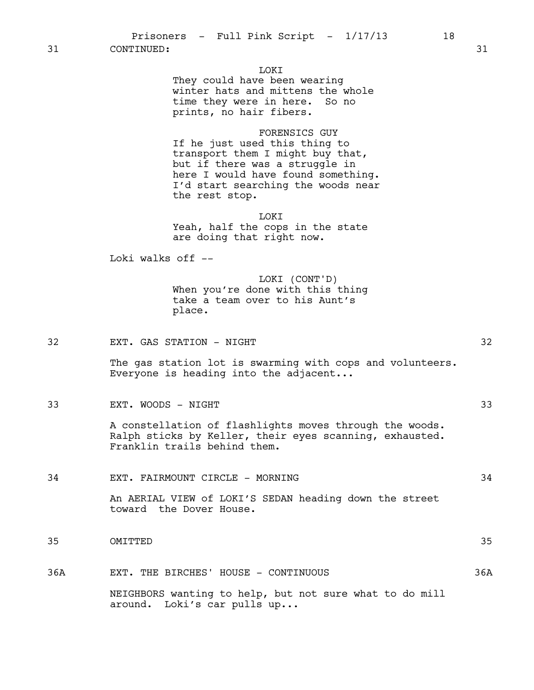31 CONTINUED: 31

### LOKI

They could have been wearing winter hats and mittens the whole time they were in here. So no prints, no hair fibers.

FORENSICS GUY If he just used this thing to transport them I might buy that, but if there was a struggle in here I would have found something. I'd start searching the woods near the rest stop.

LOKI Yeah, half the cops in the state are doing that right now.

Loki walks off --

LOKI (CONT'D) When you're done with this thing take a team over to his Aunt's place.

32 EXT. GAS STATION - NIGHT 32

The gas station lot is swarming with cops and volunteers. Everyone is heading into the adjacent...

33 EXT. WOODS - NIGHT 33

A constellation of flashlights moves through the woods. Ralph sticks by Keller, their eyes scanning, exhausted. Franklin trails behind them.

34 EXT. FAIRMOUNT CIRCLE - MORNING 34

An AERIAL VIEW of LOKI'S SEDAN heading down the street toward the Dover House.

- 35 OMITTED 35
- 36A EXT. THE BIRCHES' HOUSE CONTINUOUS 36A

NEIGHBORS wanting to help, but not sure what to do mill around. Loki's car pulls up...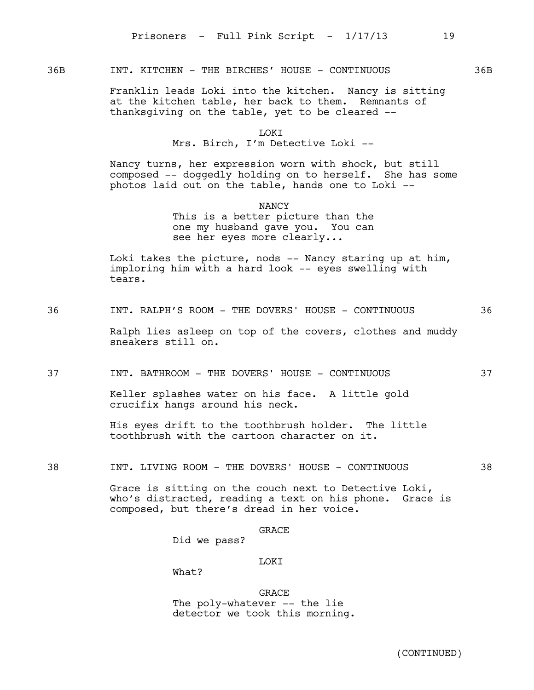## 36B INT. KITCHEN - THE BIRCHES' HOUSE - CONTINUOUS 36B

Franklin leads Loki into the kitchen. Nancy is sitting at the kitchen table, her back to them. Remnants of thanksgiving on the table, yet to be cleared --

### LOKI Mrs. Birch, I'm Detective Loki --

Nancy turns, her expression worn with shock, but still composed -- doggedly holding on to herself. She has some photos laid out on the table, hands one to Loki --

> **NANCY** This is a better picture than the one my husband gave you. You can see her eyes more clearly...

Loki takes the picture, nods -- Nancy staring up at him, imploring him with a hard look -- eyes swelling with tears.

36 INT. RALPH'S ROOM - THE DOVERS' HOUSE - CONTINUOUS 36

Ralph lies asleep on top of the covers, clothes and muddy sneakers still on.

37 INT. BATHROOM - THE DOVERS' HOUSE - CONTINUOUS 37

Keller splashes water on his face. A little gold crucifix hangs around his neck.

His eyes drift to the toothbrush holder. The little toothbrush with the cartoon character on it.

38 INT. LIVING ROOM - THE DOVERS' HOUSE - CONTINUOUS 38

Grace is sitting on the couch next to Detective Loki, who's distracted, reading a text on his phone. Grace is composed, but there's dread in her voice.

GRACE

Did we pass?

LOKI

What?

GRACE The poly-whatever -- the lie detector we took this morning.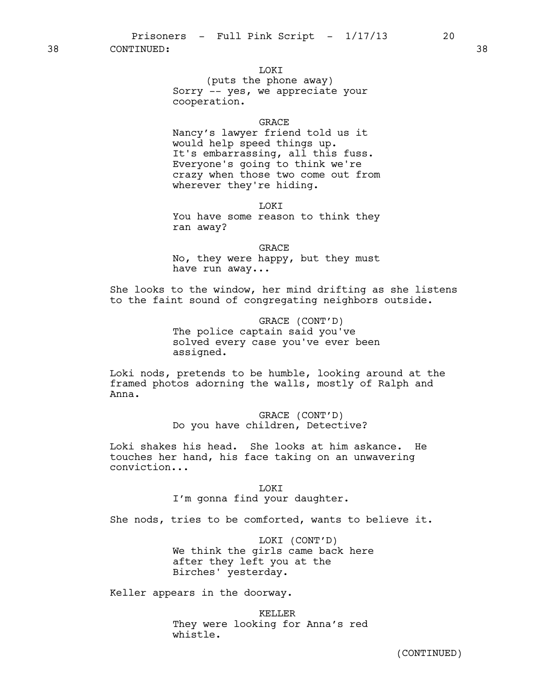38 CONTINUED: 38

### **TOKT**

(puts the phone away) Sorry -- yes, we appreciate your cooperation.

### **GRACE**

Nancy's lawyer friend told us it would help speed things up. It's embarrassing, all this fuss. Everyone's going to think we're crazy when those two come out from wherever they're hiding.

**TOKT** 

You have some reason to think they ran away?

GRACE No, they were happy, but they must have run away...

She looks to the window, her mind drifting as she listens to the faint sound of congregating neighbors outside.

> GRACE (CONT'D) The police captain said you've solved every case you've ever been assigned.

Loki nods, pretends to be humble, looking around at the framed photos adorning the walls, mostly of Ralph and Anna.

> GRACE (CONT'D) Do you have children, Detective?

Loki shakes his head. She looks at him askance. He touches her hand, his face taking on an unwavering conviction...

> **TOKT** I'm gonna find your daughter.

She nods, tries to be comforted, wants to believe it.

LOKI (CONT'D) We think the girls came back here after they left you at the Birches' yesterday.

Keller appears in the doorway.

KELLER They were looking for Anna's red whistle.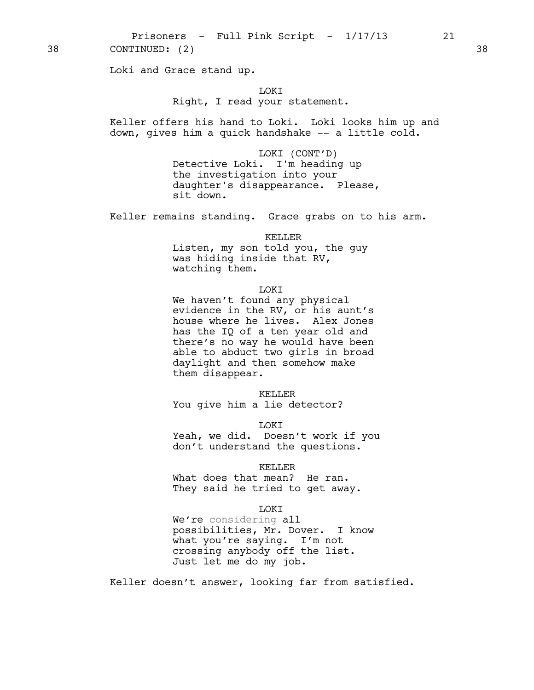Prisoners - Full Pink Script -  $1/17/13$  21 38 CONTINUED: (2) 38

Loki and Grace stand up.

LOKI

### Right, I read your statement.

Keller offers his hand to Loki. Loki looks him up and down, gives him a quick handshake -- a little cold.

> LOKI (CONT'D) Detective Loki. I'm heading up the investigation into your daughter's disappearance. Please, sit down.

Keller remains standing. Grace grabs on to his arm.

KELLER

Listen, my son told you, the guy was hiding inside that RV, watching them.

#### LOKI

We haven't found any physical evidence in the RV, or his aunt's house where he lives. Alex Jones has the IQ of a ten year old and there's no way he would have been able to abduct two girls in broad daylight and then somehow make them disappear.

KELLER

You give him a lie detector?

LOKI

Yeah, we did. Doesn't work if you don't understand the questions.

KELLER

What does that mean? He ran. They said he tried to get away.

LOKI

We're considering all possibilities, Mr. Dover. I know what you're saying. I'm not crossing anybody off the list. Just let me do my job.

Keller doesn't answer, looking far from satisfied.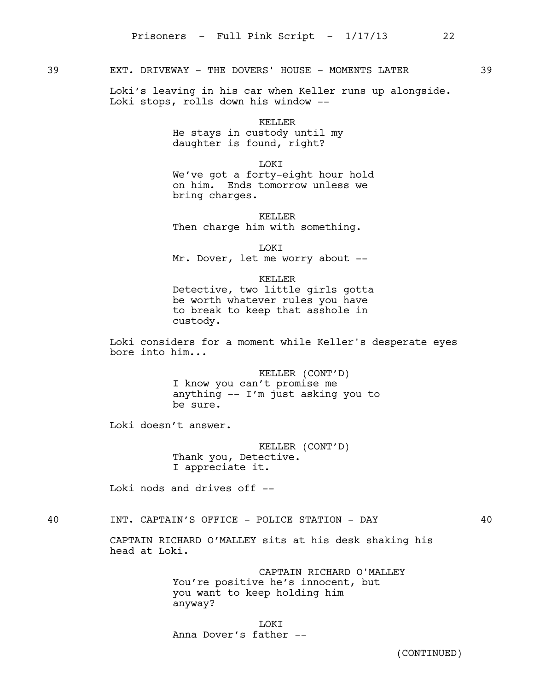# 39 EXT. DRIVEWAY - THE DOVERS' HOUSE - MOMENTS LATER 39

Loki's leaving in his car when Keller runs up alongside. Loki stops, rolls down his window --

> KELLER He stays in custody until my daughter is found, right?

> > LOKI

We've got a forty-eight hour hold on him. Ends tomorrow unless we bring charges.

KELLER Then charge him with something.

LOKI Mr. Dover, let me worry about --

KELLER Detective, two little girls gotta be worth whatever rules you have to break to keep that asshole in custody.

Loki considers for a moment while Keller's desperate eyes bore into him...

> KELLER (CONT'D) I know you can't promise me anything -- I'm just asking you to be sure.

Loki doesn't answer.

KELLER (CONT'D) Thank you, Detective. I appreciate it.

Loki nods and drives off --

# 40 INT. CAPTAIN'S OFFICE - POLICE STATION - DAY 40

CAPTAIN RICHARD O'MALLEY sits at his desk shaking his head at Loki.

> CAPTAIN RICHARD O'MALLEY You're positive he's innocent, but you want to keep holding him anyway?

**LOKT** Anna Dover's father --

(CONTINUED)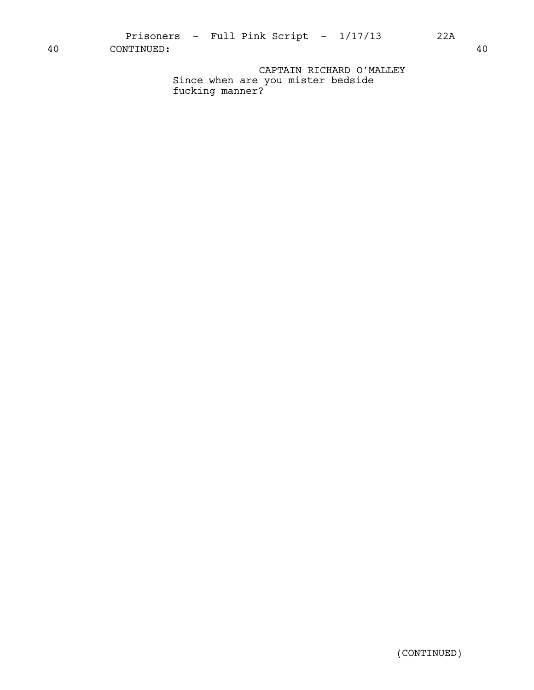40 CONTINUED: 40

CAPTAIN RICHARD O'MALLEY Since when are you mister bedside fucking manner?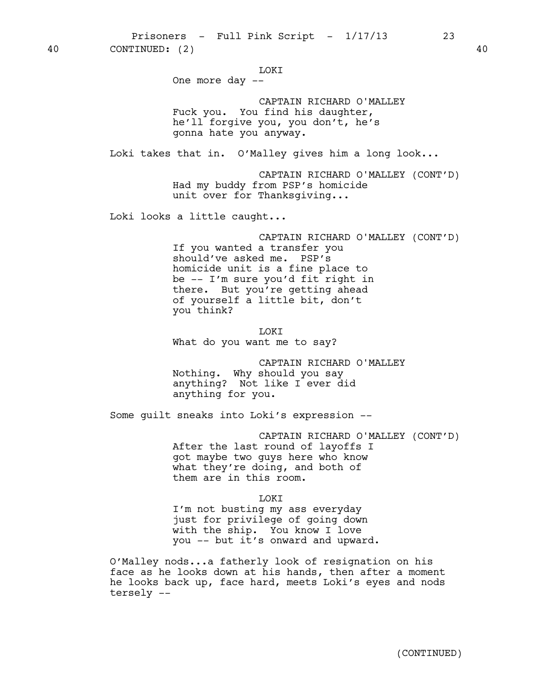LOKI

One more day --

CAPTAIN RICHARD O'MALLEY Fuck you. You find his daughter, he'll forgive you, you don't, he's gonna hate you anyway.

Loki takes that in. O'Malley gives him a long look...

CAPTAIN RICHARD O'MALLEY (CONT'D) Had my buddy from PSP's homicide unit over for Thanksgiving...

Loki looks a little caught...

CAPTAIN RICHARD O'MALLEY (CONT'D) If you wanted a transfer you should've asked me. PSP's homicide unit is a fine place to be -- I'm sure you'd fit right in there. But you're getting ahead of yourself a little bit, don't you think?

LOKI What do you want me to say?

CAPTAIN RICHARD O'MALLEY Nothing. Why should you say anything? Not like I ever did anything for you.

Some guilt sneaks into Loki's expression --

CAPTAIN RICHARD O'MALLEY (CONT'D) After the last round of layoffs I got maybe two guys here who know what they're doing, and both of them are in this room.

LOKI

I'm not busting my ass everyday just for privilege of going down with the ship. You know I love you -- but it's onward and upward.

O'Malley nods...a fatherly look of resignation on his face as he looks down at his hands, then after a moment he looks back up, face hard, meets Loki's eyes and nods tersely --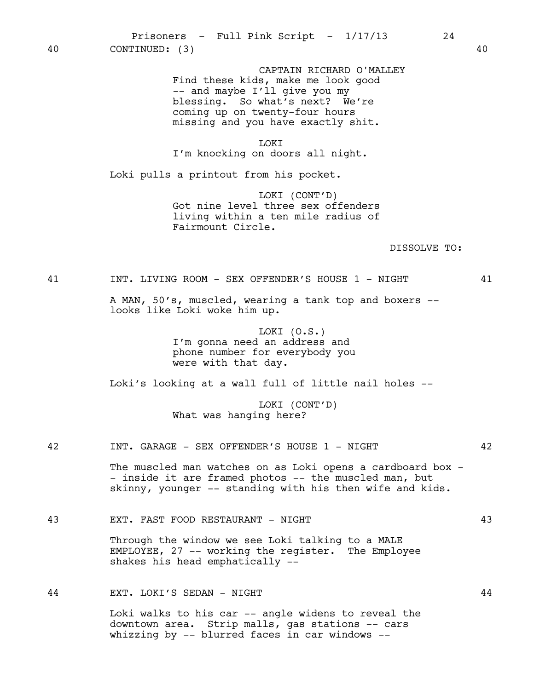CAPTAIN RICHARD O'MALLEY Find these kids, make me look good -- and maybe I'll give you my blessing. So what's next? We're coming up on twenty-four hours missing and you have exactly shit.

LOKI I'm knocking on doors all night.

Loki pulls a printout from his pocket.

LOKI (CONT'D) Got nine level three sex offenders living within a ten mile radius of Fairmount Circle.

#### DISSOLVE TO:

41 INT. LIVING ROOM - SEX OFFENDER'S HOUSE 1 - NIGHT 41

A MAN, 50's, muscled, wearing a tank top and boxers - looks like Loki woke him up.

> LOKI (O.S.) I'm gonna need an address and phone number for everybody you were with that day.

Loki's looking at a wall full of little nail holes --

LOKI (CONT'D) What was hanging here?

### 42 INT. GARAGE - SEX OFFENDER'S HOUSE 1 - NIGHT 42

The muscled man watches on as Loki opens a cardboard box -- inside it are framed photos -- the muscled man, but skinny, younger -- standing with his then wife and kids.

43 EXT. FAST FOOD RESTAURANT - NIGHT 43

Through the window we see Loki talking to a MALE EMPLOYEE, 27 -- working the register. The Employee shakes his head emphatically --

44 EXT. LOKI'S SEDAN - NIGHT 44

Loki walks to his car -- angle widens to reveal the downtown area. Strip malls, gas stations -- cars whizzing by -- blurred faces in car windows --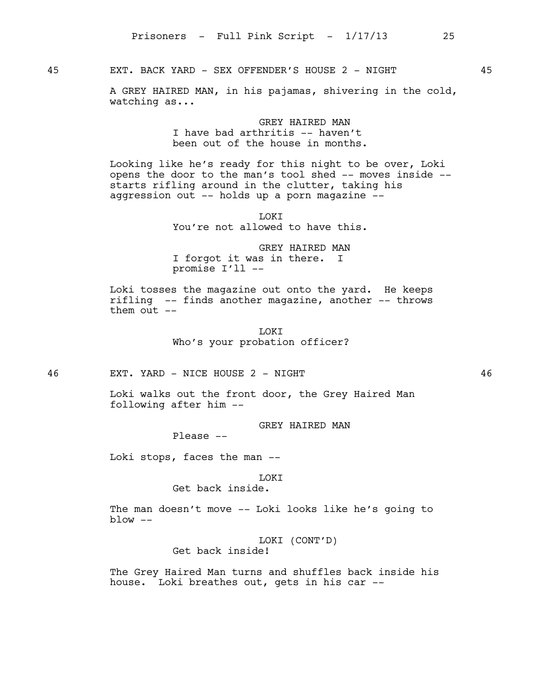45 EXT. BACK YARD - SEX OFFENDER'S HOUSE 2 - NIGHT 45

A GREY HAIRED MAN, in his pajamas, shivering in the cold, watching as...

> GREY HATRED MAN I have bad arthritis -- haven't been out of the house in months.

Looking like he's ready for this night to be over, Loki opens the door to the man's tool shed -- moves inside - starts rifling around in the clutter, taking his aggression out -- holds up a porn magazine --

> LOKI You're not allowed to have this.

GREY HAIRED MAN I forgot it was in there. I promise I'll --

Loki tosses the magazine out onto the yard. He keeps rifling -- finds another magazine, another -- throws them out --

> LOKI Who's your probation officer?

46 EXT. YARD - NICE HOUSE 2 - NIGHT 46

Loki walks out the front door, the Grey Haired Man following after him --

GREY HAIRED MAN

Please --

Loki stops, faces the man --

#### LOKI

Get back inside.

The man doesn't move -- Loki looks like he's going to  $blow - -$ 

LOKI (CONT'D)

Get back inside!

The Grey Haired Man turns and shuffles back inside his house. Loki breathes out, gets in his car --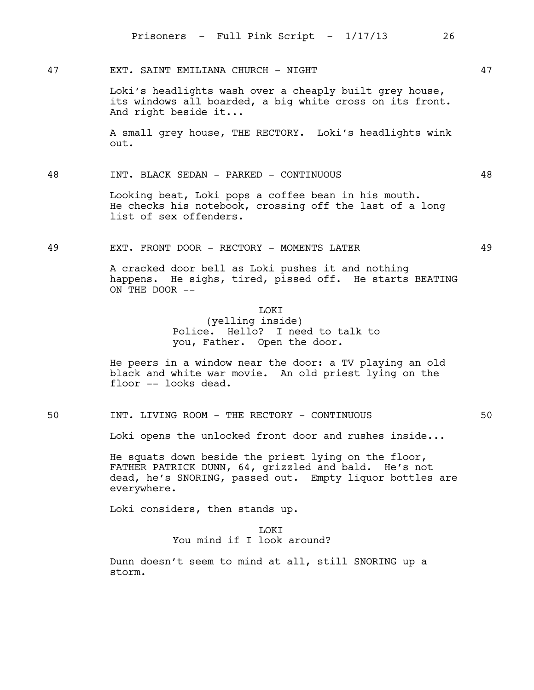47 EXT. SAINT EMILIANA CHURCH - NIGHT 47

Loki's headlights wash over a cheaply built grey house, its windows all boarded, a big white cross on its front. And right beside it...

A small grey house, THE RECTORY. Loki's headlights wink out.

48 INT. BLACK SEDAN - PARKED - CONTINUOUS 48

Looking beat, Loki pops a coffee bean in his mouth. He checks his notebook, crossing off the last of a long list of sex offenders.

49 EXT. FRONT DOOR - RECTORY - MOMENTS LATER 49

A cracked door bell as Loki pushes it and nothing happens. He sighs, tired, pissed off. He starts BEATING ON THE DOOR --

### LOKI

(yelling inside) Police. Hello? I need to talk to you, Father. Open the door.

He peers in a window near the door: a TV playing an old black and white war movie. An old priest lying on the floor -- looks dead.

50 INT. LIVING ROOM - THE RECTORY - CONTINUOUS 50

Loki opens the unlocked front door and rushes inside...

He squats down beside the priest lying on the floor, FATHER PATRICK DUNN, 64, grizzled and bald. He's not dead, he's SNORING, passed out. Empty liquor bottles are everywhere.

Loki considers, then stands up.

**LOKT** You mind if I look around?

Dunn doesn't seem to mind at all, still SNORING up a storm.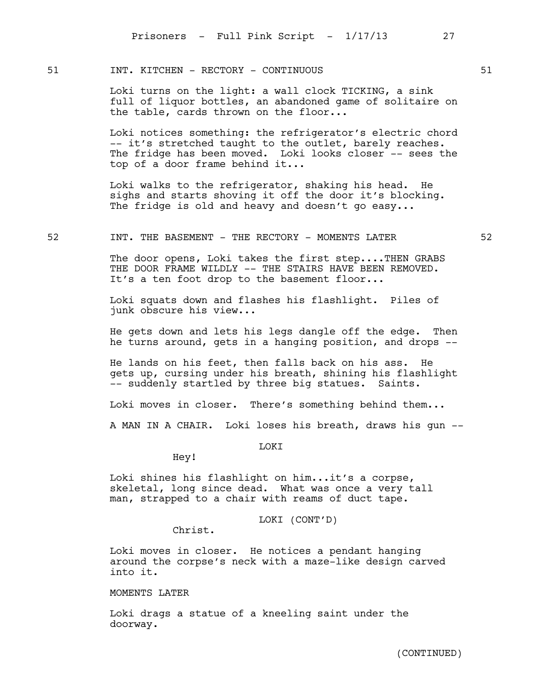# 51 INT. KITCHEN - RECTORY - CONTINUOUS 61

Loki turns on the light: a wall clock TICKING, a sink full of liquor bottles, an abandoned game of solitaire on the table, cards thrown on the floor...

Loki notices something: the refrigerator's electric chord -- it's stretched taught to the outlet, barely reaches. The fridge has been moved. Loki looks closer -- sees the top of a door frame behind it...

Loki walks to the refrigerator, shaking his head. He sighs and starts shoving it off the door it's blocking. The fridge is old and heavy and doesn't go easy...

#### 52 **INT. THE BASEMENT - THE RECTORY - MOMENTS LATER** 52

The door opens, Loki takes the first step....THEN GRABS THE DOOR FRAME WILDLY -- THE STAIRS HAVE BEEN REMOVED. It's a ten foot drop to the basement floor...

Loki squats down and flashes his flashlight. Piles of junk obscure his view...

He gets down and lets his legs dangle off the edge. Then he turns around, gets in a hanging position, and drops --

He lands on his feet, then falls back on his ass. He gets up, cursing under his breath, shining his flashlight -- suddenly startled by three big statues. Saints.

Loki moves in closer. There's something behind them...

A MAN IN A CHAIR. Loki loses his breath, draws his gun --

LOKI

Hey!

Loki shines his flashlight on him...it's a corpse, skeletal, long since dead. What was once a very tall man, strapped to a chair with reams of duct tape.

LOKI (CONT'D)

Christ.

Loki moves in closer. He notices a pendant hanging around the corpse's neck with a maze-like design carved into it.

# MOMENTS LATER

Loki drags a statue of a kneeling saint under the doorway.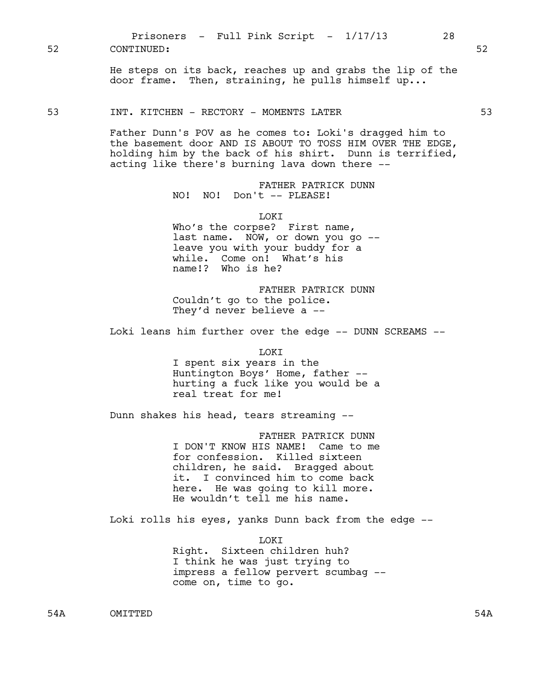He steps on its back, reaches up and grabs the lip of the door frame. Then, straining, he pulls himself up...

53 INT. KITCHEN - RECTORY - MOMENTS LATER 53

Father Dunn's POV as he comes to: Loki's dragged him to the basement door AND IS ABOUT TO TOSS HIM OVER THE EDGE, holding him by the back of his shirt. Dunn is terrified, acting like there's burning lava down there --

> FATHER PATRICK DUNN NO! NO! Don't -- PLEASE!

> > LOKI

Who's the corpse? First name, last name. NOW, or down you go - leave you with your buddy for a while. Come on! What's his name!? Who is he?

FATHER PATRICK DUNN Couldn't go to the police. They'd never believe a --

Loki leans him further over the edge -- DUNN SCREAMS --

LOKI I spent six years in the Huntington Boys' Home, father - hurting a fuck like you would be a real treat for me!

Dunn shakes his head, tears streaming --

FATHER PATRICK DUNN I DON'T KNOW HIS NAME! Came to me for confession. Killed sixteen children, he said. Bragged about it. I convinced him to come back here. He was going to kill more. He wouldn't tell me his name.

Loki rolls his eyes, yanks Dunn back from the edge --

LOKI Right. Sixteen children huh? I think he was just trying to impress a fellow pervert scumbag - come on, time to go.

54A OMITTED 54A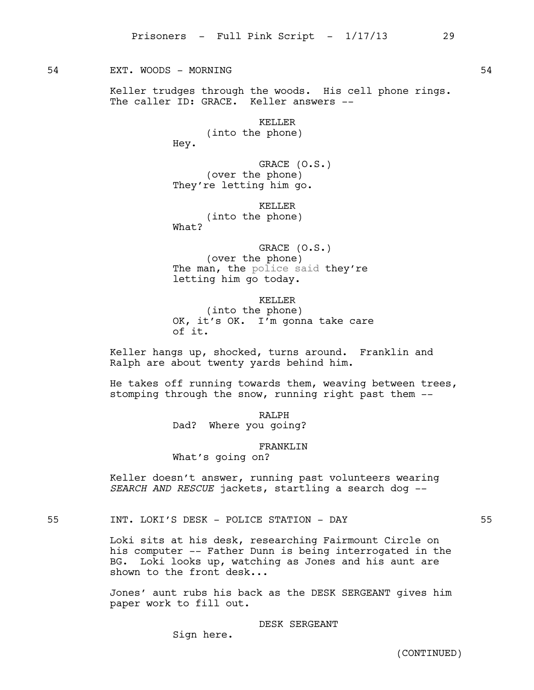## 54 EXT. WOODS – MORNING EXT. SANDWARE SANDWARE SANDWARE SANDWARE SANDWARE SANDWARE SANDWARE SANDWARE SANDWARE

Keller trudges through the woods. His cell phone rings. The caller ID: GRACE. Keller answers --

> KELLER (into the phone) Hey.

GRACE (O.S.) (over the phone) They're letting him go.

KELLER (into the phone) What?

GRACE (O.S.) (over the phone) The man, the police said they're letting him go today.

KELLER (into the phone) OK, it's OK. I'm gonna take care of it.

Keller hangs up, shocked, turns around. Franklin and Ralph are about twenty yards behind him.

He takes off running towards them, weaving between trees, stomping through the snow, running right past them --

RALPH

Dad? Where you going?

FRANKLIN

What's going on?

Keller doesn't answer, running past volunteers wearing *SEARCH AND RESCUE* jackets, startling a search dog --

55 INT. LOKI'S DESK - POLICE STATION - DAY 55

Loki sits at his desk, researching Fairmount Circle on his computer -- Father Dunn is being interrogated in the BG. Loki looks up, watching as Jones and his aunt are shown to the front desk...

Jones' aunt rubs his back as the DESK SERGEANT gives him paper work to fill out.

DESK SERGEANT

Sign here.

(CONTINUED)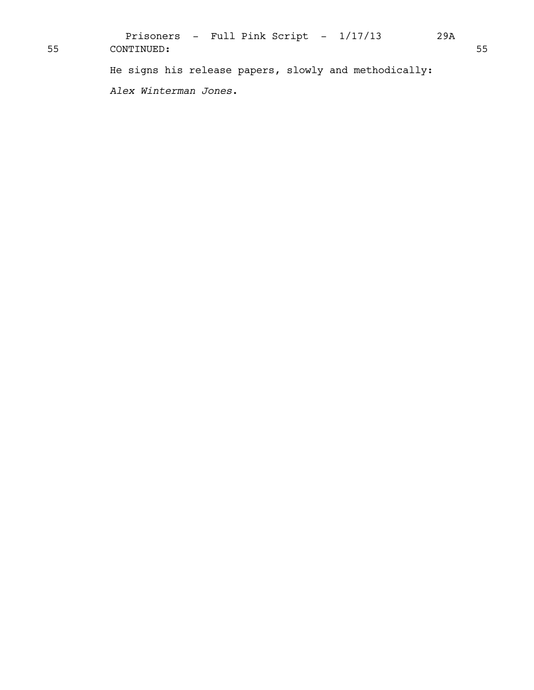He signs his release papers, slowly and methodically: *Alex Winterman Jones*. Prisoners - Full Pink Script -  $1/17/13$  29A 55 CONTINUED: 55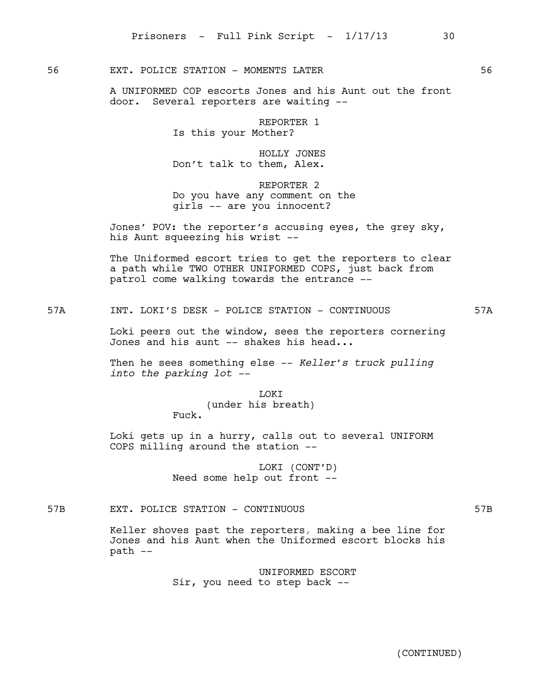56 EXT. POLICE STATION - MOMENTS LATER 56

A UNIFORMED COP escorts Jones and his Aunt out the front door. Several reporters are waiting --

> REPORTER 1 Is this your Mother?

HOLLY JONES Don't talk to them, Alex.

REPORTER 2 Do you have any comment on the girls -- are you innocent?

Jones' POV: the reporter's accusing eyes, the grey sky, his Aunt squeezing his wrist --

The Uniformed escort tries to get the reporters to clear a path while TWO OTHER UNIFORMED COPS, just back from patrol come walking towards the entrance --

57A INT. LOKI'S DESK - POLICE STATION - CONTINUOUS 57A

Loki peers out the window, sees the reporters cornering Jones and his aunt  $-$  shakes his head...

Then he sees something else -- *Keller's truck pulling into the parking lot --*

> LOKI (under his breath) Fuck.

Loki gets up in a hurry, calls out to several UNIFORM COPS milling around the station --

> LOKI (CONT'D) Need some help out front --

57B EXT. POLICE STATION - CONTINUOUS 57B

Keller shoves past the reporters, making a bee line for Jones and his Aunt when the Uniformed escort blocks his path --

> UNIFORMED ESCORT Sir, you need to step back --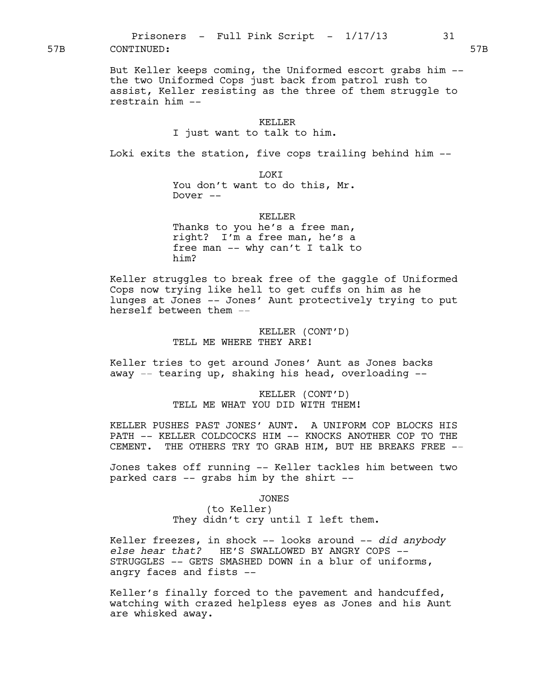But Keller keeps coming, the Uniformed escort grabs him - the two Uniformed Cops just back from patrol rush to assist, Keller resisting as the three of them struggle to restrain him --

### KELLER

### I just want to talk to him.

Loki exits the station, five cops trailing behind him --

LOKI You don't want to do this, Mr. Dover --

KELLER

Thanks to you he's a free man, right? I'm a free man, he's a free man -- why can't I talk to him?

Keller struggles to break free of the gaggle of Uniformed Cops now trying like hell to get cuffs on him as he lunges at Jones -- Jones' Aunt protectively trying to put herself between them --

> KELLER (CONT'D) TELL ME WHERE THEY ARE!

Keller tries to get around Jones' Aunt as Jones backs away -- tearing up, shaking his head, overloading --

> KELLER (CONT'D) TELL ME WHAT YOU DID WITH THEM!

KELLER PUSHES PAST JONES' AUNT. A UNIFORM COP BLOCKS HIS PATH -- KELLER COLDCOCKS HIM -- KNOCKS ANOTHER COP TO THE CEMENT. THE OTHERS TRY TO GRAB HIM, BUT HE BREAKS FREE --

Jones takes off running -- Keller tackles him between two parked cars -- grabs him by the shirt --

JONES

(to Keller) They didn't cry until I left them.

Keller freezes, in shock -- looks around -- *did anybody else hear that?* HE'S SWALLOWED BY ANGRY COPS -- STRUGGLES -- GETS SMASHED DOWN in a blur of uniforms, angry faces and fists --

Keller's finally forced to the pavement and handcuffed, watching with crazed helpless eyes as Jones and his Aunt are whisked away.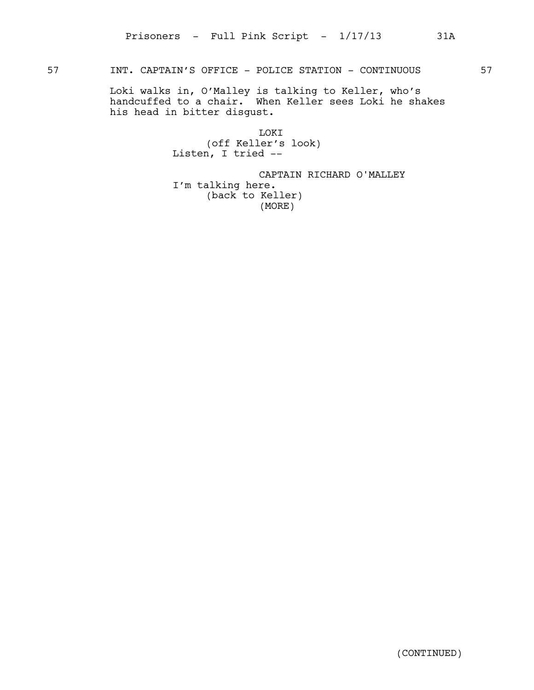# 57 INT. CAPTAIN'S OFFICE - POLICE STATION - CONTINUOUS 57

Loki walks in, O'Malley is talking to Keller, who's handcuffed to a chair. When Keller sees Loki he shakes his head in bitter disgust.

> LOKI (off Keller's look) Listen, I tried --

CAPTAIN RICHARD O'MALLEY I'm talking here. (back to Keller) (MORE)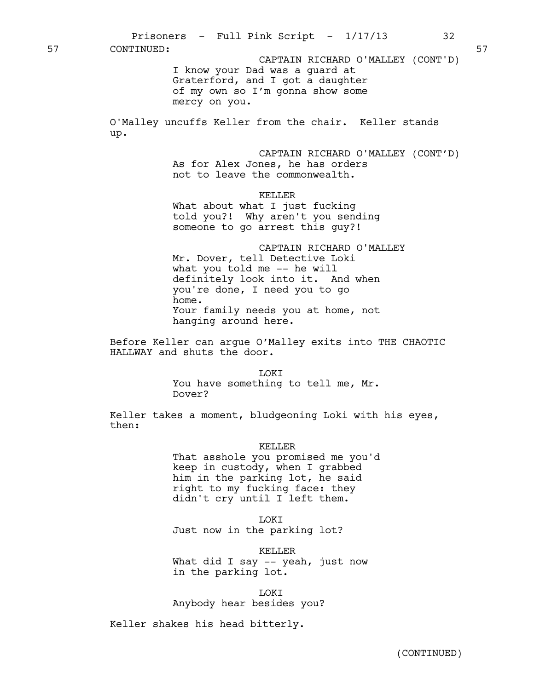I know your Dad was a guard at Graterford, and I got a daughter of my own so I'm gonna show some mercy on you. O'Malley uncuffs Keller from the chair. Keller stands up. CAPTAIN RICHARD O'MALLEY (CONT'D) As for Alex Jones, he has orders not to leave the commonwealth. KELLER What about what I just fucking told you?! Why aren't you sending someone to go arrest this guy?! CAPTAIN RICHARD O'MALLEY Mr. Dover, tell Detective Loki what you told me -- he will definitely look into it. And when you're done, I need you to go home. Your family needs you at home, not hanging around here. Before Keller can argue O'Malley exits into THE CHAOTIC HALLWAY and shuts the door. **TOKT** You have something to tell me, Mr. Dover? Keller takes a moment, bludgeoning Loki with his eyes, then: KELLER That asshole you promised me you'd keep in custody, when I grabbed him in the parking lot, he said right to my fucking face: they didn't cry until I left them. **T.OKT** Just now in the parking lot? KELLER What did I say -- yeah, just now in the parking lot. LOKI Anybody hear besides you? Keller shakes his head bitterly. Prisoners - Full Pink Script -  $1/17/13$  32 57 CONTINUED: 57 CAPTAIN RICHARD O'MALLEY (CONT'D)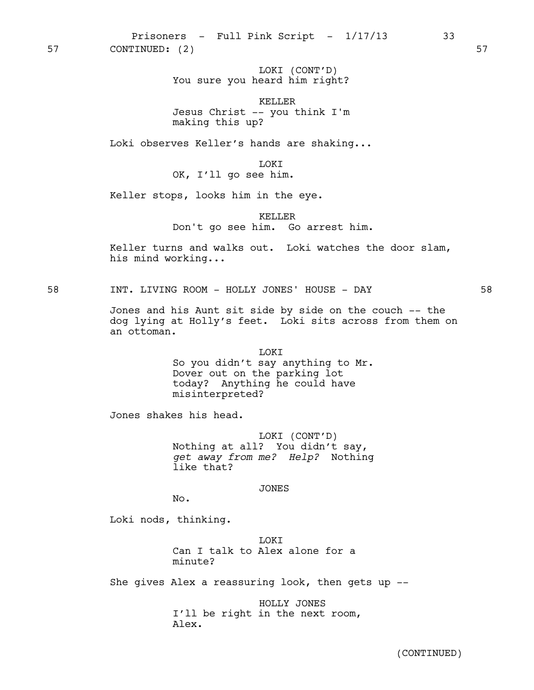Prisoners - Full Pink Script -  $1/17/13$  33 57 CONTINUED: (2) 57

> LOKI (CONT'D) You sure you heard him right?

> KELLER Jesus Christ -- you think I'm making this up?

Loki observes Keller's hands are shaking...

LOKI

OK, I'll go see him.

Keller stops, looks him in the eye.

KELLER Don't go see him. Go arrest him.

Keller turns and walks out. Loki watches the door slam, his mind working...

58 INT. LIVING ROOM - HOLLY JONES' HOUSE - DAY 58

Jones and his Aunt sit side by side on the couch -- the dog lying at Holly's feet. Loki sits across from them on an ottoman.

> LOKI So you didn't say anything to Mr. Dover out on the parking lot today? Anything he could have misinterpreted?

Jones shakes his head.

LOKI (CONT'D) Nothing at all? You didn't say, *get away from me? Help?* Nothing like that?

JONES

No.

Loki nods, thinking.

LOKI Can I talk to Alex alone for a minute?

She gives Alex a reassuring look, then gets up --

HOLLY JONES I'll be right in the next room, Alex.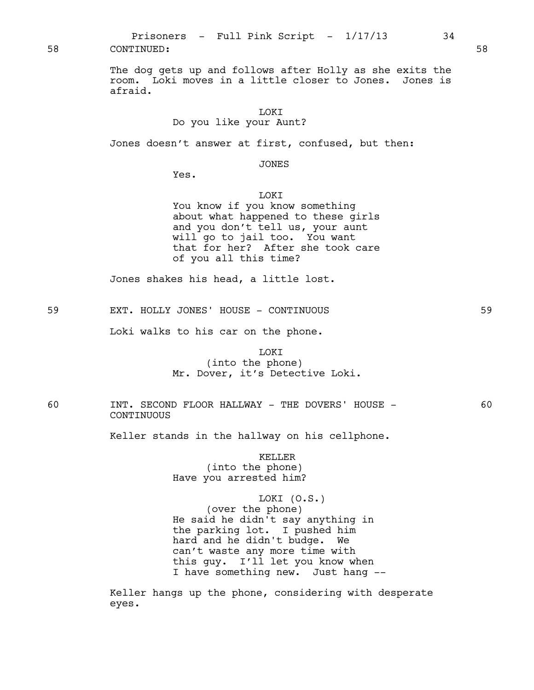58 CONTINUED: 58

The dog gets up and follows after Holly as she exits the room. Loki moves in a little closer to Jones. Jones is afraid.

Do you like your Aunt?

Jones doesn't answer at first, confused, but then:

JONES

Yes.

## LOKI

You know if you know something about what happened to these girls and you don't tell us, your aunt will go to jail too. You want that for her? After she took care of you all this time?

Jones shakes his head, a little lost.

59 EXT. HOLLY JONES' HOUSE - CONTINUOUS 59

Loki walks to his car on the phone.

# LOKI (into the phone) Mr. Dover, it's Detective Loki.

60 INT. SECOND FLOOR HALLWAY - THE DOVERS' HOUSE - 60 CONTINUOUS

Keller stands in the hallway on his cellphone.

KELLER (into the phone) Have you arrested him?

LOKI (O.S.)

(over the phone) He said he didn't say anything in the parking lot. I pushed him hard and he didn't budge. We can't waste any more time with this guy. I'll let you know when I have something new. Just hang --

Keller hangs up the phone, considering with desperate eyes.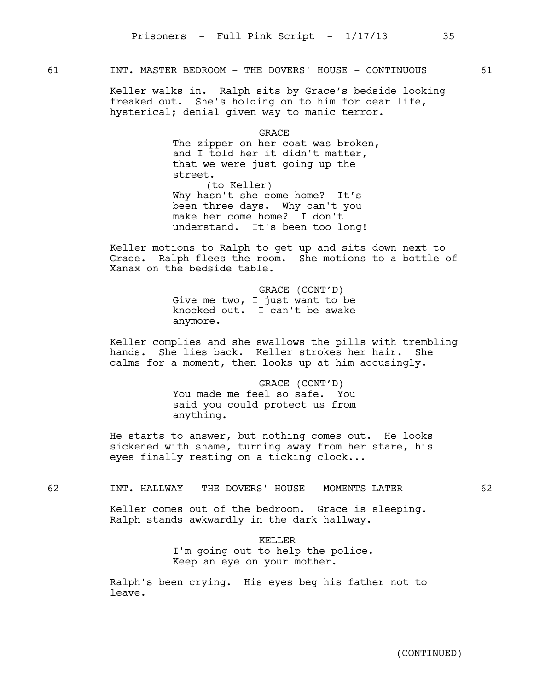# 61 **INT. MASTER BEDROOM - THE DOVERS' HOUSE - CONTINUOUS** 61

Keller walks in. Ralph sits by Grace's bedside looking freaked out. She's holding on to him for dear life, hysterical; denial given way to manic terror.

GRACE

The zipper on her coat was broken, and I told her it didn't matter, that we were just going up the street. (to Keller) Why hasn't she come home? It's been three days. Why can't you make her come home? I don't understand. It's been too long!

Keller motions to Ralph to get up and sits down next to Grace. Ralph flees the room. She motions to a bottle of Xanax on the bedside table.

> GRACE (CONT'D) Give me two, I just want to be knocked out. I can't be awake anymore.

Keller complies and she swallows the pills with trembling hands. She lies back. Keller strokes her hair. She calms for a moment, then looks up at him accusingly.

> GRACE (CONT'D) You made me feel so safe. You said you could protect us from anything.

He starts to answer, but nothing comes out. He looks sickened with shame, turning away from her stare, his eyes finally resting on a ticking clock...

## 62 INT. HALLWAY - THE DOVERS' HOUSE - MOMENTS LATER 62

Keller comes out of the bedroom. Grace is sleeping. Ralph stands awkwardly in the dark hallway.

> KELLER I'm going out to help the police. Keep an eye on your mother.

Ralph's been crying. His eyes beg his father not to leave.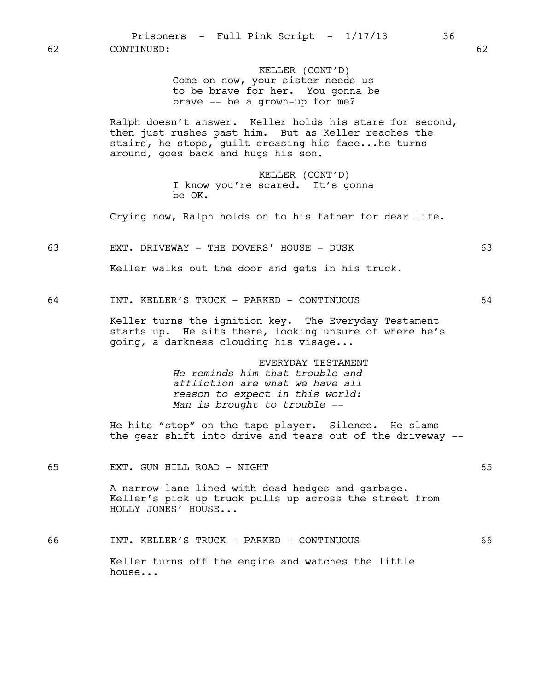| 62 | Prisoners - Full Pink Script - 1/17/13<br>36<br>CONTINUED:                                                                                                                                                   | 62 |
|----|--------------------------------------------------------------------------------------------------------------------------------------------------------------------------------------------------------------|----|
|    | KELLER (CONT'D)<br>Come on now, your sister needs us<br>to be brave for her. You gonna be<br>brave -- be a grown-up for me?                                                                                  |    |
|    | Ralph doesn't answer. Keller holds his stare for second,<br>then just rushes past him. But as Keller reaches the<br>stairs, he stops, guilt creasing his facehe turns<br>around, goes back and hugs his son. |    |
|    | KELLER (CONT'D)<br>I know you're scared. It's gonna<br>be OK.                                                                                                                                                |    |
|    | Crying now, Ralph holds on to his father for dear life.                                                                                                                                                      |    |
| 63 | EXT. DRIVEWAY - THE DOVERS' HOUSE - DUSK                                                                                                                                                                     | 63 |
|    | Keller walks out the door and gets in his truck.                                                                                                                                                             |    |
| 64 | INT. KELLER'S TRUCK - PARKED - CONTINUOUS                                                                                                                                                                    | 64 |
|    | Keller turns the ignition key. The Everyday Testament<br>starts up. He sits there, looking unsure of where he's<br>going, a darkness clouding his visage                                                     |    |
|    | EVERYDAY TESTAMENT<br>He reminds him that trouble and<br>affliction are what we have all<br>reason to expect in this world:<br>Man is brought to trouble --                                                  |    |
|    | He hits "stop" on the tape player. Silence. He slams<br>the gear shift into drive and tears out of the driveway --                                                                                           |    |
| 65 | EXT. GUN HILL ROAD - NIGHT                                                                                                                                                                                   | 65 |
|    | A narrow lane lined with dead hedges and garbage.<br>Keller's pick up truck pulls up across the street from<br>HOLLY JONES' HOUSE                                                                            |    |
| 66 | INT. KELLER'S TRUCK - PARKED - CONTINUOUS                                                                                                                                                                    | 66 |
|    | Keller turns off the engine and watches the little<br>house                                                                                                                                                  |    |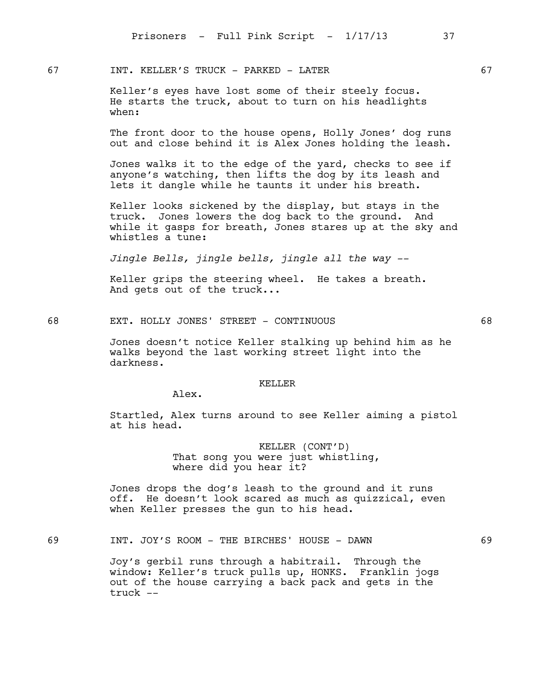67 INT. KELLER'S TRUCK - PARKED - LATER 67

Keller's eyes have lost some of their steely focus. He starts the truck, about to turn on his headlights when:

The front door to the house opens, Holly Jones' dog runs out and close behind it is Alex Jones holding the leash.

Jones walks it to the edge of the yard, checks to see if anyone's watching, then lifts the dog by its leash and lets it dangle while he taunts it under his breath.

Keller looks sickened by the display, but stays in the truck. Jones lowers the dog back to the ground. And while it gasps for breath, Jones stares up at the sky and whistles a tune:

*Jingle Bells, jingle bells, jingle all the way --*

Keller grips the steering wheel. He takes a breath. And gets out of the truck...

68 EXT. HOLLY JONES' STREET - CONTINUOUS 68

Jones doesn't notice Keller stalking up behind him as he walks beyond the last working street light into the darkness.

## KELLER

Alex.

Startled, Alex turns around to see Keller aiming a pistol at his head.

> KELLER (CONT'D) That song you were just whistling, where did you hear it?

Jones drops the dog's leash to the ground and it runs off. He doesn't look scared as much as quizzical, even when Keller presses the gun to his head.

69 INT. JOY'S ROOM - THE BIRCHES' HOUSE - DAWN 69

Joy's gerbil runs through a habitrail. Through the window: Keller's truck pulls up, HONKS. Franklin jogs out of the house carrying a back pack and gets in the truck --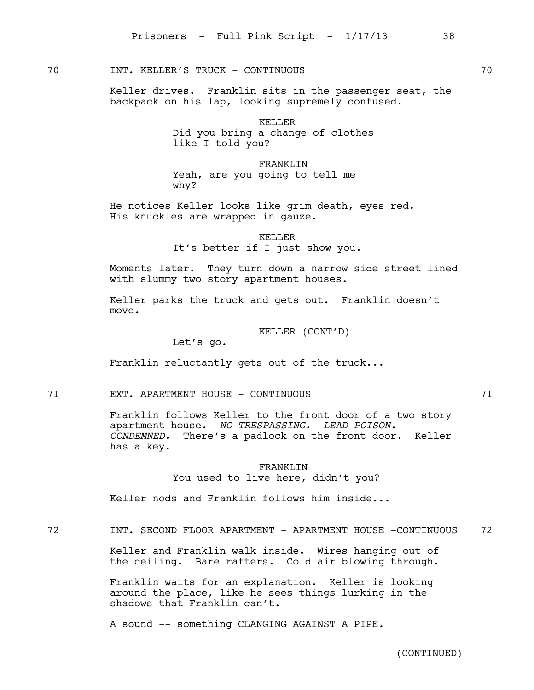70 INT. KELLER'S TRUCK - CONTINUOUS 70

Keller drives. Franklin sits in the passenger seat, the backpack on his lap, looking supremely confused.

> KELLER Did you bring a change of clothes like I told you?

FRANKLIN Yeah, are you going to tell me why?

He notices Keller looks like grim death, eyes red. His knuckles are wrapped in gauze.

KELLER

It's better if I just show you.

Moments later. They turn down a narrow side street lined with slummy two story apartment houses.

Keller parks the truck and gets out. Franklin doesn't move.

KELLER (CONT'D)

Let's go.

Franklin reluctantly gets out of the truck...

71 EXT. APARTMENT HOUSE - CONTINUOUS 71

Franklin follows Keller to the front door of a two story apartment house. *NO TRESPASSING. LEAD POISON. CONDEMNED.* There's a padlock on the front door. Keller has a key.

> FRANKLTN You used to live here, didn't you?

Keller nods and Franklin follows him inside...

72 INT. SECOND FLOOR APARTMENT - APARTMENT HOUSE -CONTINUOUS 72

Keller and Franklin walk inside. Wires hanging out of the ceiling. Bare rafters. Cold air blowing through.

Franklin waits for an explanation. Keller is looking around the place, like he sees things lurking in the shadows that Franklin can't.

A sound -- something CLANGING AGAINST A PIPE.

(CONTINUED)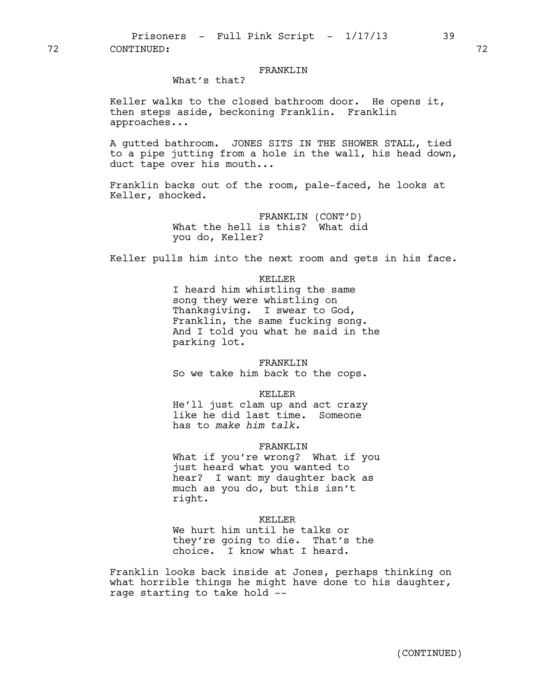# FRANKLIN

What's that?

Keller walks to the closed bathroom door. He opens it, then steps aside, beckoning Franklin. Franklin approaches...

A gutted bathroom. JONES SITS IN THE SHOWER STALL, tied to a pipe jutting from a hole in the wall, his head down, duct tape over his mouth...

Franklin backs out of the room, pale-faced, he looks at Keller, shocked.

> FRANKLIN (CONT'D) What the hell is this? What did you do, Keller?

Keller pulls him into the next room and gets in his face.

KELLER I heard him whistling the same song they were whistling on Thanksgiving. I swear to God, Franklin, the same fucking song. And I told you what he said in the parking lot.

FRANKLIN So we take him back to the cops.

KELLER

He'll just clam up and act crazy like he did last time. Someone has to *make him talk.* 

### FRANKLIN

What if you're wrong? What if you just heard what you wanted to hear? I want my daughter back as much as you do, but this isn't right.

## KELLER

We hurt him until he talks or they're going to die. That's the choice. I know what I heard.

Franklin looks back inside at Jones, perhaps thinking on what horrible things he might have done to his daughter, rage starting to take hold --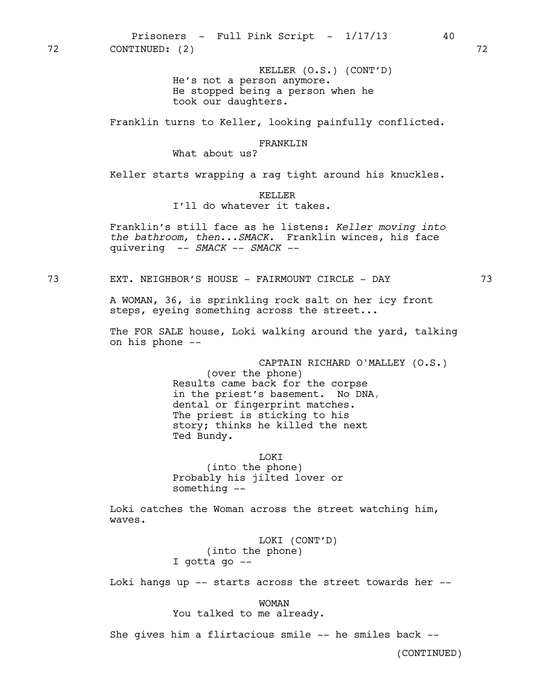KELLER (O.S.) (CONT'D) He's not a person anymore. He stopped being a person when he took our daughters.

Franklin turns to Keller, looking painfully conflicted.

### FRANKLIN

# What about us?

Keller starts wrapping a rag tight around his knuckles.

### KELLER

I'll do whatever it takes.

Franklin's still face as he listens: *Keller moving into the bathroom, then...SMACK.* Franklin winces, his face quivering -- *SMACK* -- *SMACK --* 

73 EXT. NEIGHBOR'S HOUSE - FAIRMOUNT CIRCLE - DAY 73

A WOMAN, 36, is sprinkling rock salt on her icy front steps, eyeing something across the street...

The FOR SALE house, Loki walking around the yard, talking on his phone --

CAPTAIN RICHARD O'MALLEY (O.S.)

(over the phone) Results came back for the corpse in the priest's basement. No DNA, dental or fingerprint matches. The priest is sticking to his story; thinks he killed the next Ted Bundy.

LOKI

(into the phone) Probably his jilted lover or something --

Loki catches the Woman across the street watching him, waves.

> LOKI (CONT'D) (into the phone) I gotta go --

Loki hangs up -- starts across the street towards her --

WOMAN You talked to me already.

She gives him a flirtacious smile -- he smiles back --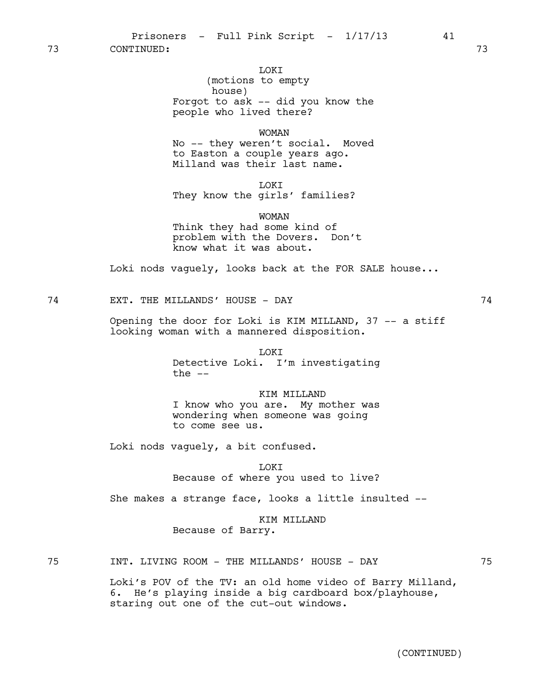### LOKI

(motions to empty house) Forgot to ask -- did you know the people who lived there?

WOMAN

No -- they weren't social. Moved to Easton a couple years ago. Milland was their last name.

LOKI They know the girls' families?

WOMAN

Think they had some kind of problem with the Dovers. Don't know what it was about.

Loki nods vaguely, looks back at the FOR SALE house...

74 EXT. THE MILLANDS' HOUSE - DAY 74

Opening the door for Loki is KIM MILLAND, 37 -- a stiff looking woman with a mannered disposition.

> **LOKT** Detective Loki. I'm investigating the  $--$

> KIM MILLAND I know who you are. My mother was wondering when someone was going to come see us.

Loki nods vaguely, a bit confused.

**TOKT** Because of where you used to live?

She makes a strange face, looks a little insulted --

KIM MILLAND Because of Barry.

75 INT. LIVING ROOM - THE MILLANDS' HOUSE - DAY 75

Loki's POV of the TV: an old home video of Barry Milland, 6. He's playing inside a big cardboard box/playhouse, staring out one of the cut-out windows.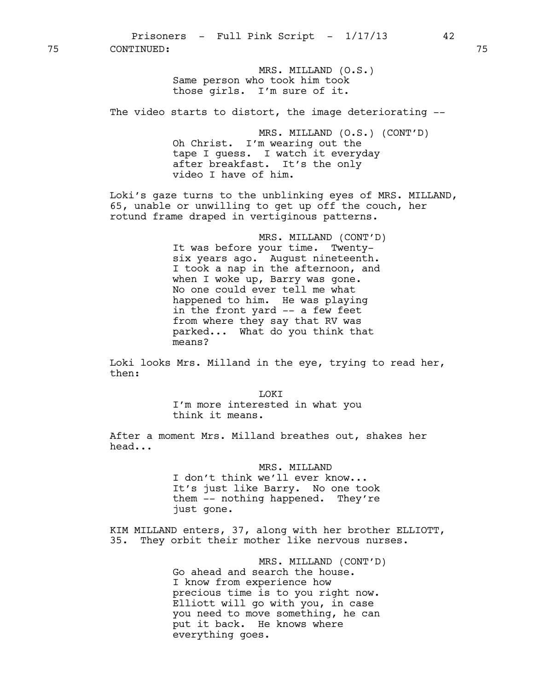75 CONTINUED: 75

MRS. MILLAND (O.S.) Same person who took him took those girls. I'm sure of it.

The video starts to distort, the image deteriorating --

MRS. MILLAND (O.S.) (CONT'D) Oh Christ. I'm wearing out the tape I guess. I watch it everyday after breakfast. It's the only video I have of him.

Loki's gaze turns to the unblinking eyes of MRS. MILLAND, 65, unable or unwilling to get up off the couch, her rotund frame draped in vertiginous patterns.

> MRS. MILLAND (CONT'D) It was before your time. Twentysix years ago. August nineteenth. I took a nap in the afternoon, and when I woke up, Barry was gone. No one could ever tell me what happened to him. He was playing in the front yard -- a few feet from where they say that RV was parked... What do you think that means?

Loki looks Mrs. Milland in the eye, trying to read her, then:

> LOKI I'm more interested in what you think it means.

After a moment Mrs. Milland breathes out, shakes her head...

> MRS. MILLAND I don't think we'll ever know... It's just like Barry. No one took them -- nothing happened. They're just gone.

KIM MILLAND enters, 37, along with her brother ELLIOTT, 35. They orbit their mother like nervous nurses.

> MRS. MILLAND (CONT'D) Go ahead and search the house. I know from experience how precious time is to you right now. Elliott will go with you, in case you need to move something, he can put it back. He knows where everything goes.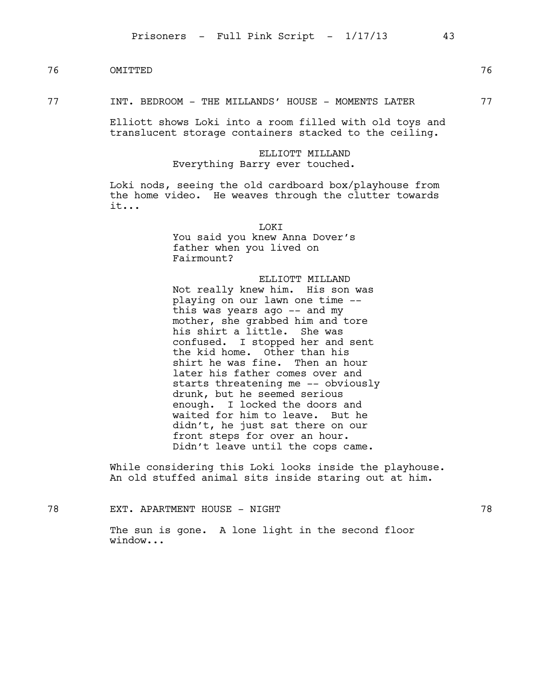# 76 OMITTED 76

### 77 **INT. BEDROOM** - THE MILLANDS' HOUSE - MOMENTS LATER 77

Elliott shows Loki into a room filled with old toys and translucent storage containers stacked to the ceiling.

# ELLIOTT MILLAND Everything Barry ever touched.

Loki nods, seeing the old cardboard box/playhouse from the home video. He weaves through the clutter towards it...

> LOKI You said you knew Anna Dover's father when you lived on Fairmount?

ELLIOTT MILLAND Not really knew him. His son was playing on our lawn one time - this was years ago -- and my mother, she grabbed him and tore his shirt a little. She was confused. I stopped her and sent the kid home. Other than his shirt he was fine. Then an hour later his father comes over and starts threatening me -- obviously drunk, but he seemed serious enough. I locked the doors and waited for him to leave. But he didn't, he just sat there on our front steps for over an hour. Didn't leave until the cops came.

While considering this Loki looks inside the playhouse. An old stuffed animal sits inside staring out at him.

78 EXT. APARTMENT HOUSE - NIGHT 78 The sun is gone. A lone light in the second floor window...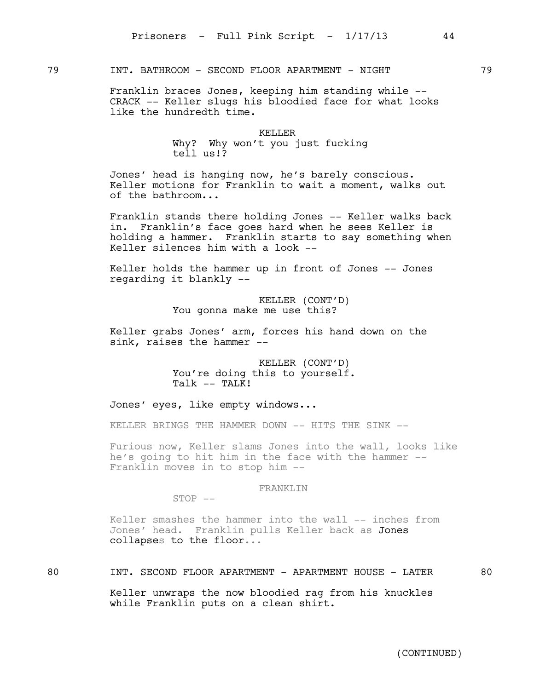79 INT. BATHROOM - SECOND FLOOR APARTMENT - NIGHT 79

Franklin braces Jones, keeping him standing while -- CRACK -- Keller slugs his bloodied face for what looks like the hundredth time.

### KELLER

Why? Why won't you just fucking tell us!?

Jones' head is hanging now, he's barely conscious. Keller motions for Franklin to wait a moment, walks out of the bathroom...

Franklin stands there holding Jones -- Keller walks back in. Franklin's face goes hard when he sees Keller is holding a hammer. Franklin starts to say something when Keller silences him with a look --

Keller holds the hammer up in front of Jones -- Jones regarding it blankly --

> KELLER (CONT'D) You gonna make me use this?

Keller grabs Jones' arm, forces his hand down on the sink, raises the hammer --

> KELLER (CONT'D) You're doing this to yourself. Talk -- TALK!

Jones' eyes, like empty windows...

KELLER BRINGS THE HAMMER DOWN -- HITS THE SINK --

Furious now, Keller slams Jones into the wall, looks like he's going to hit him in the face with the hammer -- Franklin moves in to stop him --

# FRANKLIN

 $STOP$   $--$ 

Keller smashes the hammer into the wall -- inches from Jones' head. Franklin pulls Keller back as Jones collapses to the floor...

# 80 INT. SECOND FLOOR APARTMENT - APARTMENT HOUSE - LATER 80

Keller unwraps the now bloodied rag from his knuckles while Franklin puts on a clean shirt.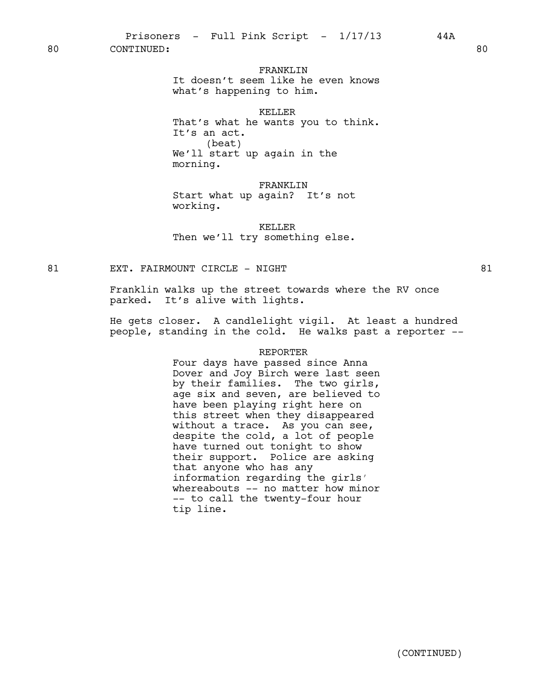80 CONTINUED: 80

# FRANKLIN

It doesn't seem like he even knows what's happening to him.

## KELLER

That's what he wants you to think. It's an act. (beat) We'll start up again in the morning.

## FRANKLIN

Start what up again? It's not working.

KELLER Then we'll try something else.

81 EXT. FAIRMOUNT CIRCLE - NIGHT 81

Franklin walks up the street towards where the RV once parked. It's alive with lights.

He gets closer. A candlelight vigil. At least a hundred people, standing in the cold. He walks past a reporter --

### REPORTER

Four days have passed since Anna Dover and Joy Birch were last seen by their families. The two girls, age six and seven, are believed to have been playing right here on this street when they disappeared without a trace. As you can see, despite the cold, a lot of people have turned out tonight to show their support. Police are asking that anyone who has any information regarding the girls' whereabouts -- no matter how minor -- to call the twenty-four hour tip line.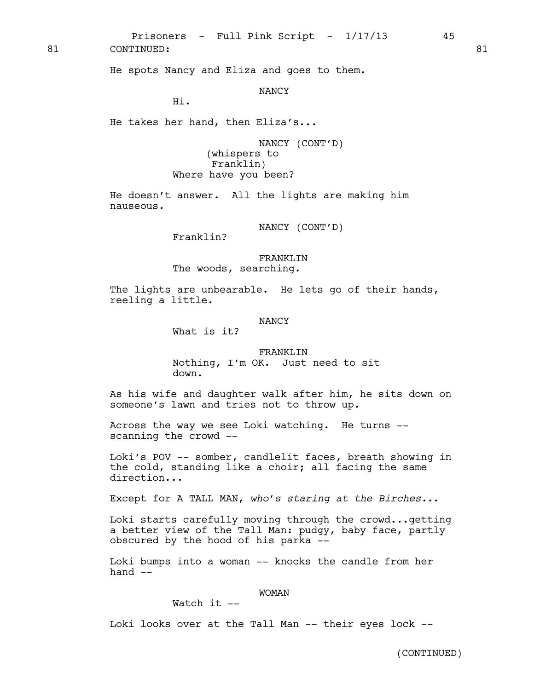Prisoners - Full Pink Script -  $1/17/13$  45 81 CONTINUED: 81

He spots Nancy and Eliza and goes to them.

NANCY

Hi.

He takes her hand, then Eliza's...

NANCY (CONT'D) (whispers to Franklin) Where have you been?

He doesn't answer. All the lights are making him nauseous.

NANCY (CONT'D)

Franklin?

FRANKLIN The woods, searching.

The lights are unbearable. He lets go of their hands, reeling a little.

## NANCY

What is it?

FRANKLTN Nothing, I'm OK. Just need to sit down.

As his wife and daughter walk after him, he sits down on someone's lawn and tries not to throw up.

Across the way we see Loki watching. He turns - scanning the crowd --

Loki's POV -- somber, candlelit faces, breath showing in the cold, standing like a choir; all facing the same direction...

Except for A TALL MAN, *who's staring at the Birches.*..

Loki starts carefully moving through the crowd...getting a better view of the Tall Man: pudgy, baby face, partly obscured by the hood of his parka --

Loki bumps into a woman -- knocks the candle from her hand  $--$ 

### WOMAN

Watch  $it$   $-$ 

Loki looks over at the Tall Man -- their eyes lock --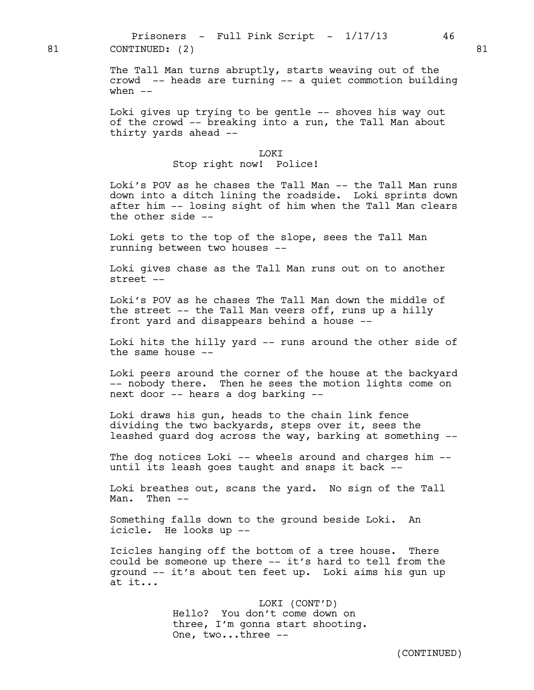The Tall Man turns abruptly, starts weaving out of the crowd -- heads are turning -- a quiet commotion building when  $--$ 

Loki gives up trying to be gentle -- shoves his way out of the crowd -- breaking into a run, the Tall Man about thirty yards ahead --

## LOKI

# Stop right now! Police!

Loki's POV as he chases the Tall Man -- the Tall Man runs down into a ditch lining the roadside. Loki sprints down after him -- losing sight of him when the Tall Man clears the other side --

Loki gets to the top of the slope, sees the Tall Man running between two houses --

Loki gives chase as the Tall Man runs out on to another street --

Loki's POV as he chases The Tall Man down the middle of the street -- the Tall Man veers off, runs up a hilly front yard and disappears behind a house --

Loki hits the hilly yard -- runs around the other side of the same house  $-$ 

Loki peers around the corner of the house at the backyard -- nobody there. Then he sees the motion lights come on next door -- hears a dog barking --

Loki draws his gun, heads to the chain link fence dividing the two backyards, steps over it, sees the leashed guard dog across the way, barking at something --

The dog notices Loki -- wheels around and charges him -until its leash goes taught and snaps it back --

Loki breathes out, scans the yard. No sign of the Tall Man. Then --

Something falls down to the ground beside Loki. An icicle. He looks up --

Icicles hanging off the bottom of a tree house. There could be someone up there -- it's hard to tell from the ground -- it's about ten feet up. Loki aims his gun up at it...

> LOKI (CONT'D) Hello? You don't come down on three, I'm gonna start shooting. One, two...three --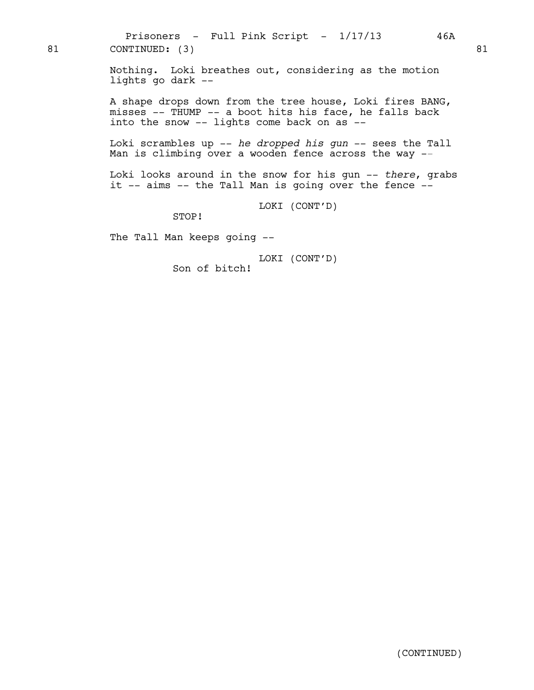Nothing. Loki breathes out, considering as the motion lights go dark --

A shape drops down from the tree house, Loki fires BANG, misses -- THUMP -- a boot hits his face, he falls back into the snow -- lights come back on as --

Loki scrambles up -- *he dropped his gun* -- sees the Tall Man is climbing over a wooden fence across the way --

Loki looks around in the snow for his gun -- *there*, grabs it -- aims -- the Tall Man is going over the fence --

LOKI (CONT'D)

STOP!

The Tall Man keeps going --

LOKI (CONT'D) Son of bitch!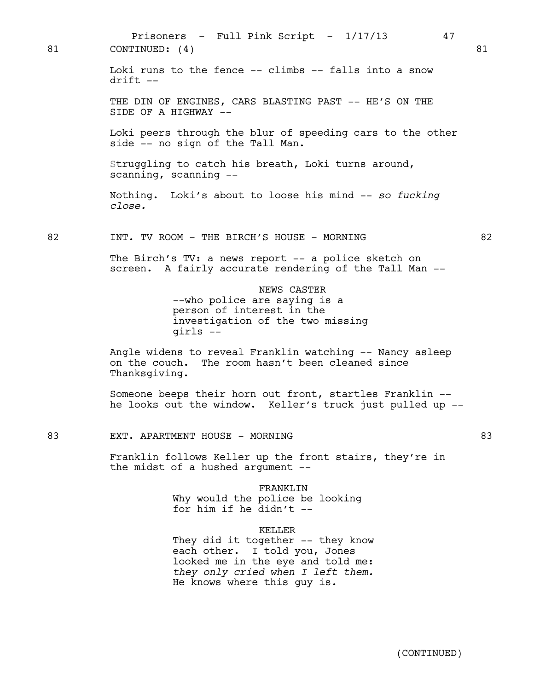Loki runs to the fence -- climbs -- falls into a snow  $drift$   $--$ THE DIN OF ENGINES, CARS BLASTING PAST -- HE'S ON THE SIDE OF A HIGHWAY -- Loki peers through the blur of speeding cars to the other side -- no sign of the Tall Man. Struggling to catch his breath, Loki turns around, scanning, scanning -- Nothing. Loki's about to loose his mind -- *so fucking close.*  82 INT. TV ROOM - THE BIRCH'S HOUSE - MORNING 82 The Birch's TV: a news report -- a police sketch on screen. A fairly accurate rendering of the Tall Man -- NEWS CASTER --who police are saying is a person of interest in the investigation of the two missing girls -- Angle widens to reveal Franklin watching -- Nancy asleep on the couch. The room hasn't been cleaned since Thanksgiving. Someone beeps their horn out front, startles Franklin - he looks out the window. Keller's truck just pulled up -- 83 EXT. APARTMENT HOUSE - MORNING 83 Franklin follows Keller up the front stairs, they're in the midst of a hushed argument -- FRANKLIN Why would the police be looking for him if he didn't  $-$ KELLER They did it together -- they know each other. I told you, Jones looked me in the eye and told me: *they only cried when I left them.*  He knows where this guy is. Prisoners - Full Pink Script -  $1/17/13$  47 81 CONTINUED: (4) 81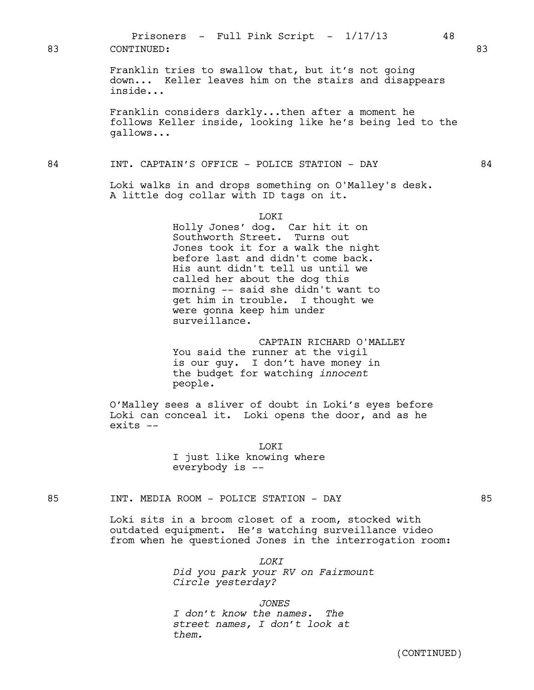| 83 | CONTINUED:                                                                                                                                                                                                                                                                                                                                              | 83 |
|----|---------------------------------------------------------------------------------------------------------------------------------------------------------------------------------------------------------------------------------------------------------------------------------------------------------------------------------------------------------|----|
|    | Franklin tries to swallow that, but it's not going<br>down Keller leaves him on the stairs and disappears<br>inside                                                                                                                                                                                                                                     |    |
|    | Franklin considers darklythen after a moment he<br>follows Keller inside, looking like he's being led to the<br>gallows                                                                                                                                                                                                                                 |    |
| 84 | INT. CAPTAIN'S OFFICE - POLICE STATION - DAY                                                                                                                                                                                                                                                                                                            | 84 |
|    | Loki walks in and drops something on O'Malley's desk.<br>A little dog collar with ID tags on it.                                                                                                                                                                                                                                                        |    |
|    | <b>T.OKT</b><br>Holly Jones' dog. Car hit it on<br>Southworth Street. Turns out<br>Jones took it for a walk the night<br>before last and didn't come back.<br>His aunt didn't tell us until we<br>called her about the dog this<br>morning -- said she didn't want to<br>get him in trouble. I thought we<br>were gonna keep him under<br>surveillance. |    |
|    | CAPTAIN RICHARD O'MALLEY<br>You said the runner at the vigil<br>is our guy. I don't have money in<br>the budget for watching <i>innocent</i><br>people.                                                                                                                                                                                                 |    |
|    | O'Malley sees a sliver of doubt in Loki's eves before                                                                                                                                                                                                                                                                                                   |    |

Prisoners - Full Pink Script -  $1/17/13$  48

O'Malley sees a sliver of doubt in Loki's eyes before Loki can conceal it. Loki opens the door, and as he exits --

> LOKI I just like knowing where everybody is --

# 85 INT. MEDIA ROOM - POLICE STATION - DAY 65

Loki sits in a broom closet of a room, stocked with outdated equipment. He's watching surveillance video from when he questioned Jones in the interrogation room:

*LOKI*

*Did you park your RV on Fairmount Circle yesterday?*

*JONES*

*I don't know the names. The street names, I don't look at them.*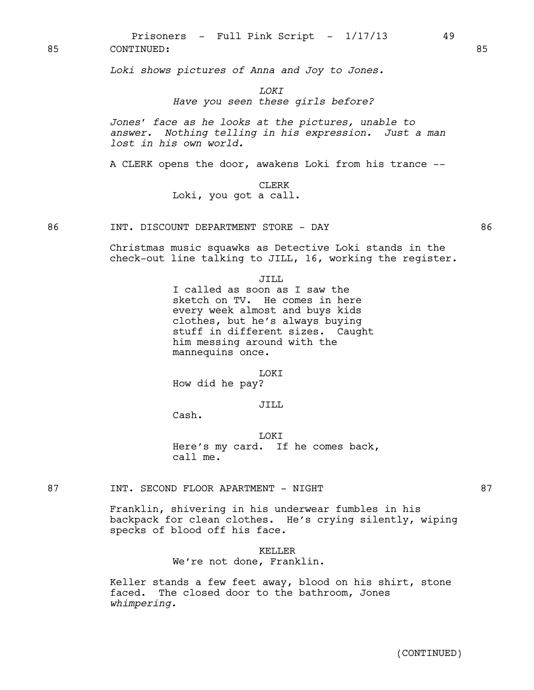Prisoners - Full Pink Script -  $1/17/13$  49 85 CONTINUED: 85

*Loki shows pictures of Anna and Joy to Jones.*

*LOKI*

## *Have you seen these girls before?*

*Jones' face as he looks at the pictures, unable to answer. Nothing telling in his expression. Just a man lost in his own world.* 

A CLERK opens the door, awakens Loki from his trance --

CLERK Loki, you got a call.

Christmas music squawks as Detective Loki stands in the check-out line talking to JILL, 16, working the register.

JILL

I called as soon as I saw the sketch on TV. He comes in here every week almost and buys kids clothes, but he's always buying stuff in different sizes. Caught him messing around with the mannequins once.

LOKI How did he pay?

JILL

Cash.

LOKI Here's my card. If he comes back, call me.

87 INT. SECOND FLOOR APARTMENT - NIGHT 87

Franklin, shivering in his underwear fumbles in his backpack for clean clothes. He's crying silently, wiping specks of blood off his face.

KELLER

We're not done, Franklin.

Keller stands a few feet away, blood on his shirt, stone faced. The closed door to the bathroom, Jones *whimpering.*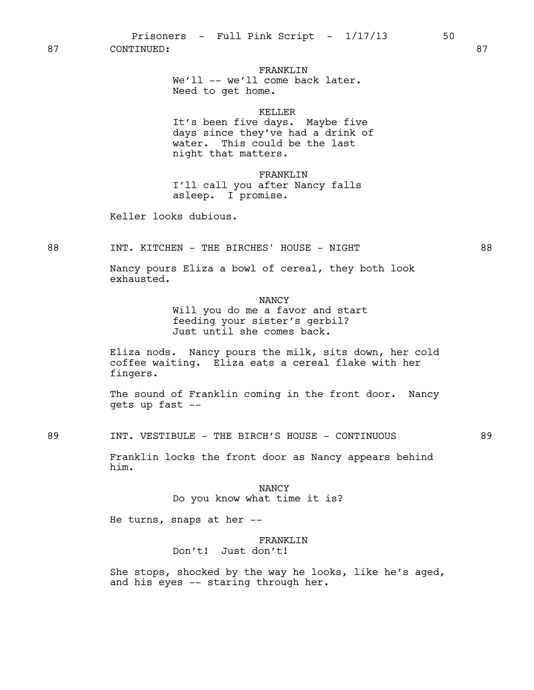87 CONTINUED: 87

## FRANKLIN

We'll -- we'll come back later. Need to get home.

### KELLER

It's been five days. Maybe five days since they've had a drink of water. This could be the last night that matters.

FRANKLIN I'll call you after Nancy falls asleep. I promise.

Keller looks dubious.

88 INT. KITCHEN - THE BIRCHES' HOUSE - NIGHT 88

Nancy pours Eliza a bowl of cereal, they both look exhausted.

NANCY

Will you do me a favor and start feeding your sister's gerbil? Just until she comes back.

Eliza nods. Nancy pours the milk, sits down, her cold coffee waiting. Eliza eats a cereal flake with her fingers.

The sound of Franklin coming in the front door. Nancy gets up fast --

89 INT. VESTIBULE - THE BIRCH'S HOUSE - CONTINUOUS 89

Franklin locks the front door as Nancy appears behind him.

> NANCY Do you know what time it is?

He turns, snaps at her --

### FRANKLIN

Don't! Just don't!

She stops, shocked by the way he looks, like he's aged, and his eyes -- staring through her.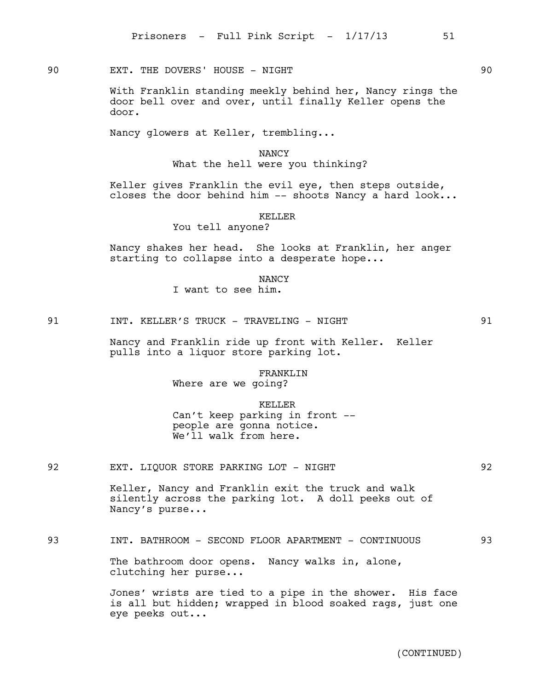90 EXT. THE DOVERS' HOUSE - NIGHT

With Franklin standing meekly behind her, Nancy rings the door bell over and over, until finally Keller opens the door.

Nancy glowers at Keller, trembling...

# NANCY What the hell were you thinking?

Keller gives Franklin the evil eye, then steps outside, closes the door behind him  $--$  shoots Nancy a hard look...

## KELLER

You tell anyone?

Nancy shakes her head. She looks at Franklin, her anger starting to collapse into a desperate hope...

**NANCY** 

I want to see him.

91 **INT. KELLER'S TRUCK - TRAVELING - NIGHT** 91

Nancy and Franklin ride up front with Keller. Keller pulls into a liquor store parking lot.

# FRANKLIN

Where are we going?

## KELLER Can't keep parking in front - people are gonna notice. We'll walk from here.

92 EXT. LIQUOR STORE PARKING LOT - NIGHT 192

Keller, Nancy and Franklin exit the truck and walk silently across the parking lot. A doll peeks out of Nancy's purse...

93 INT. BATHROOM - SECOND FLOOR APARTMENT - CONTINUOUS 93

The bathroom door opens. Nancy walks in, alone, clutching her purse...

Jones' wrists are tied to a pipe in the shower. His face is all but hidden; wrapped in blood soaked rags, just one eye peeks out...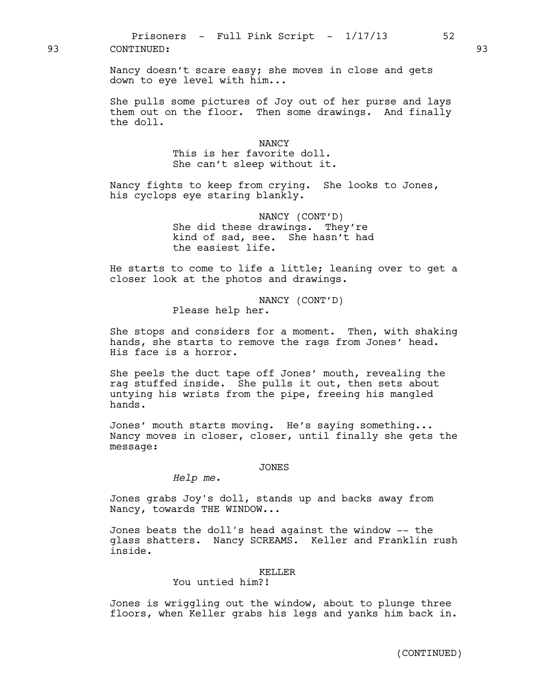Nancy doesn't scare easy; she moves in close and gets down to eye level with him...

She pulls some pictures of Joy out of her purse and lays them out on the floor. Then some drawings. And finally the doll.

### **NANCY**

This is her favorite doll. She can't sleep without it.

Nancy fights to keep from crying. She looks to Jones, his cyclops eye staring blankly.

> NANCY (CONT'D) She did these drawings. They're kind of sad, see. She hasn't had the easiest life.

He starts to come to life a little; leaning over to get a closer look at the photos and drawings.

> NANCY (CONT'D) Please help her.

She stops and considers for a moment. Then, with shaking hands, she starts to remove the rags from Jones' head. His face is a horror.

She peels the duct tape off Jones' mouth, revealing the rag stuffed inside. She pulls it out, then sets about untying his wrists from the pipe, freeing his mangled hands.

Jones' mouth starts moving. He's saying something... Nancy moves in closer, closer, until finally she gets the message:

### JONES

*Help me.*

Jones grabs Joy's doll, stands up and backs away from Nancy, towards THE WINDOW...

Jones beats the doll's head against the window -- the glass shatters. Nancy SCREAMS. Keller and Franklin rush inside.

#### KELLER

# You untied him?!

Jones is wriggling out the window, about to plunge three floors, when Keller grabs his legs and yanks him back in.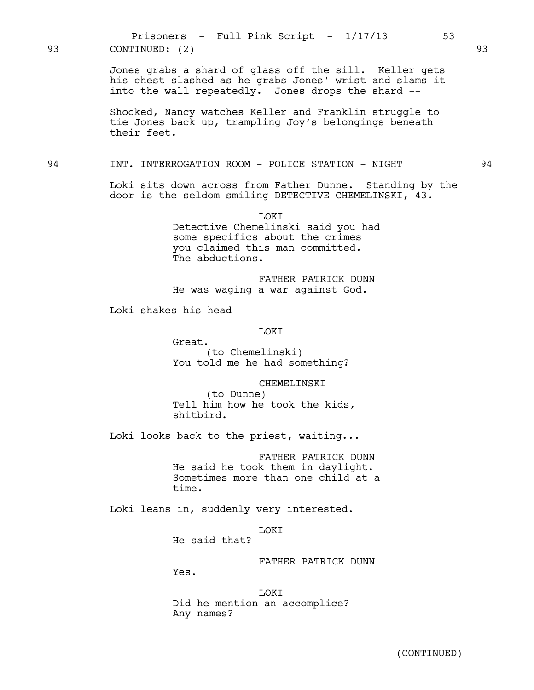Jones grabs a shard of glass off the sill. Keller gets his chest slashed as he grabs Jones' wrist and slams it into the wall repeatedly. Jones drops the shard -- Shocked, Nancy watches Keller and Franklin struggle to tie Jones back up, trampling Joy's belongings beneath their feet. 94 INT. INTERROGATION ROOM - POLICE STATION - NIGHT 94 Loki sits down across from Father Dunne. Standing by the door is the seldom smiling DETECTIVE CHEMELINSKI, 43. LOKI Detective Chemelinski said you had some specifics about the crimes you claimed this man committed. The abductions. FATHER PATRICK DUNN He was waging a war against God. Loki shakes his head -- LOKI Great. (to Chemelinski) You told me he had something? CHEMELINSKI (to Dunne) Tell him how he took the kids, shitbird. Loki looks back to the priest, waiting... Prisoners - Full Pink Script -  $1/17/13$  53 93 CONTINUED: (2) 93

> FATHER PATRICK DUNN He said he took them in daylight. Sometimes more than one child at a time.

Loki leans in, suddenly very interested.

LOKI

He said that?

FATHER PATRICK DUNN

Yes.

LOKI Did he mention an accomplice? Any names?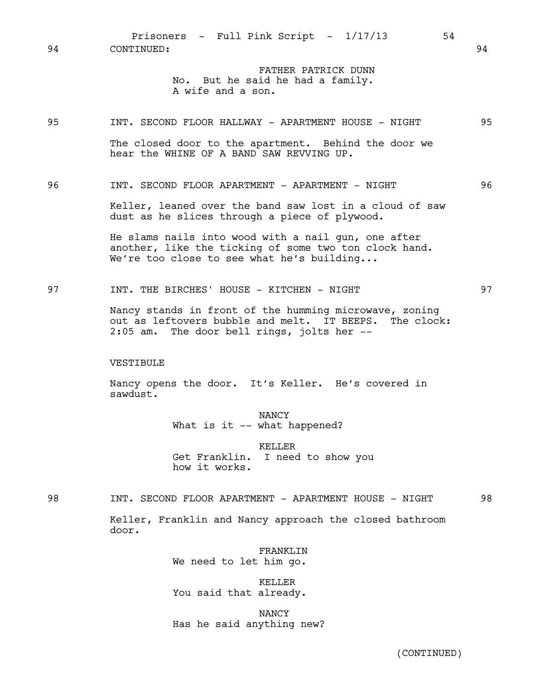Prisoners - Full Pink Script -  $1/17/13$  54 94 CONTINUED: 94

> FATHER PATRICK DUNN No. But he said he had a family. A wife and a son.

95 INT. SECOND FLOOR HALLWAY - APARTMENT HOUSE - NIGHT 95

The closed door to the apartment. Behind the door we hear the WHINE OF A BAND SAW REVVING UP.

96 INT. SECOND FLOOR APARTMENT - APARTMENT - NIGHT 96

Keller, leaned over the band saw lost in a cloud of saw dust as he slices through a piece of plywood.

He slams nails into wood with a nail gun, one after another, like the ticking of some two ton clock hand. We're too close to see what he's building...

97 INT. THE BIRCHES' HOUSE - KITCHEN - NIGHT 197

Nancy stands in front of the humming microwave, zoning out as leftovers bubble and melt. IT BEEPS. The clock: 2:05 am. The door bell rings, jolts her --

VESTIBULE

Nancy opens the door. It's Keller. He's covered in sawdust.

> NANCY What is it -- what happened?

KELLER Get Franklin. I need to show you how it works.

98 INT. SECOND FLOOR APARTMENT - APARTMENT HOUSE - NIGHT 98

Keller, Franklin and Nancy approach the closed bathroom door.

> FRANKLIN We need to let him go.

KELLER You said that already.

NANCY Has he said anything new?

(CONTINUED)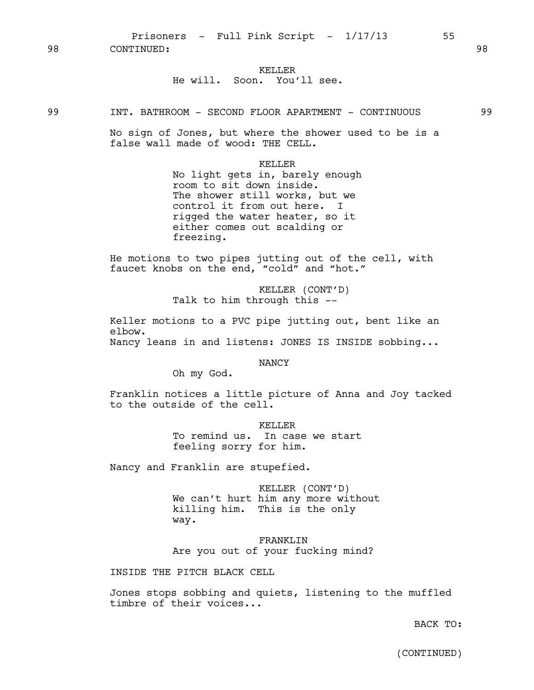Prisoners - Full Pink Script -  $1/17/13$  55 98 CONTINUED: 98

# KELLER He will. Soon. You'll see.

No sign of Jones, but where the shower used to be is a false wall made of wood: THE CELL.

### KELLER

No light gets in, barely enough room to sit down inside. The shower still works, but we control it from out here. I rigged the water heater, so it either comes out scalding or freezing.

He motions to two pipes jutting out of the cell, with faucet knobs on the end, "cold" and "hot."

> KELLER (CONT'D) Talk to him through this --

Keller motions to a PVC pipe jutting out, bent like an elbow.

Nancy leans in and listens: JONES IS INSIDE sobbing...

NANCY

Oh my God.

Franklin notices a little picture of Anna and Joy tacked to the outside of the cell.

> KELLER To remind us. In case we start feeling sorry for him.

Nancy and Franklin are stupefied.

KELLER (CONT'D) We can't hurt him any more without killing him. This is the only way.

FRANKLIN Are you out of your fucking mind?

INSIDE THE PITCH BLACK CELL

Jones stops sobbing and quiets, listening to the muffled timbre of their voices...

BACK TO:

(CONTINUED)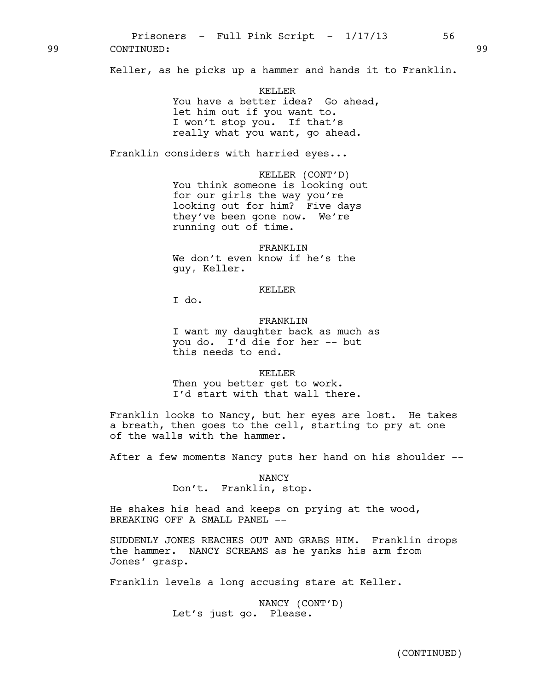99 CONTINUED: 99

Keller, as he picks up a hammer and hands it to Franklin.

KELLER You have a better idea? Go ahead, let him out if you want to. I won't stop you. If that's really what you want, go ahead.

Franklin considers with harried eyes...

KELLER (CONT'D) You think someone is looking out for our girls the way you're looking out for him? Five days they've been gone now. We're running out of time.

FRANKLIN We don't even know if he's the guy, Keller.

### KELLER

I do.

FRANKLIN I want my daughter back as much as you do. I'd die for her -- but this needs to end.

KELLER

Then you better get to work. I'd start with that wall there.

Franklin looks to Nancy, but her eyes are lost. He takes a breath, then goes to the cell, starting to pry at one of the walls with the hammer.

After a few moments Nancy puts her hand on his shoulder --

NANCY Don't. Franklin, stop.

He shakes his head and keeps on prying at the wood, BREAKING OFF A SMALL PANEL --

SUDDENLY JONES REACHES OUT AND GRABS HIM. Franklin drops the hammer. NANCY SCREAMS as he yanks his arm from Jones' grasp.

Franklin levels a long accusing stare at Keller.

NANCY (CONT'D) Let's just go. Please.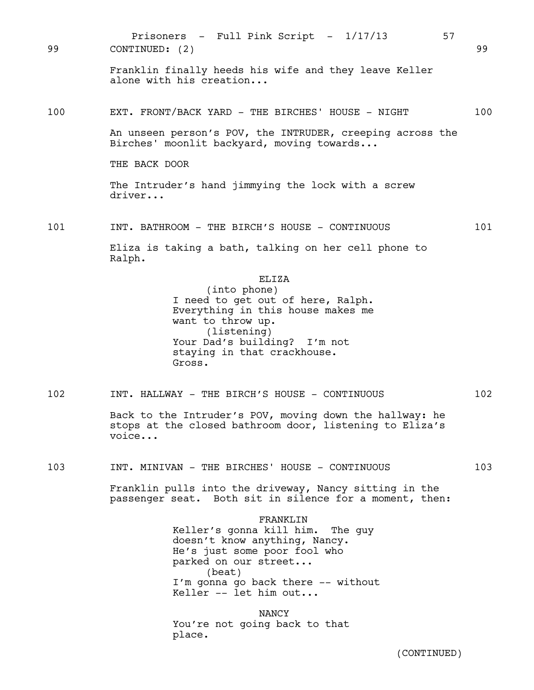Franklin finally heeds his wife and they leave Keller alone with his creation... 100 EXT. FRONT/BACK YARD - THE BIRCHES' HOUSE - NIGHT 100 An unseen person's POV, the INTRUDER, creeping across the Birches' moonlit backyard, moving towards... THE BACK DOOR The Intruder's hand jimmying the lock with a screw driver... 101 INT. BATHROOM - THE BIRCH'S HOUSE - CONTINUOUS 101 Eliza is taking a bath, talking on her cell phone to Ralph. ELIZA (into phone) I need to get out of here, Ralph. Everything in this house makes me want to throw up. (listening) Your Dad's building? I'm not staying in that crackhouse. Gross. 102 INT. HALLWAY - THE BIRCH'S HOUSE - CONTINUOUS 102 Back to the Intruder's POV, moving down the hallway: he stops at the closed bathroom door, listening to Eliza's voice... 103 INT. MINIVAN - THE BIRCHES' HOUSE - CONTINUOUS 103 Franklin pulls into the driveway, Nancy sitting in the passenger seat. Both sit in silence for a moment, then: FRANKLIN Keller's gonna kill him. The guy doesn't know anything, Nancy. He's just some poor fool who parked on our street... (beat) I'm gonna go back there -- without Keller -- let him out... NANCY You're not going back to that place. Prisoners - Full Pink Script -  $1/17/13$  57 99 CONTINUED: (2) 99

(CONTINUED)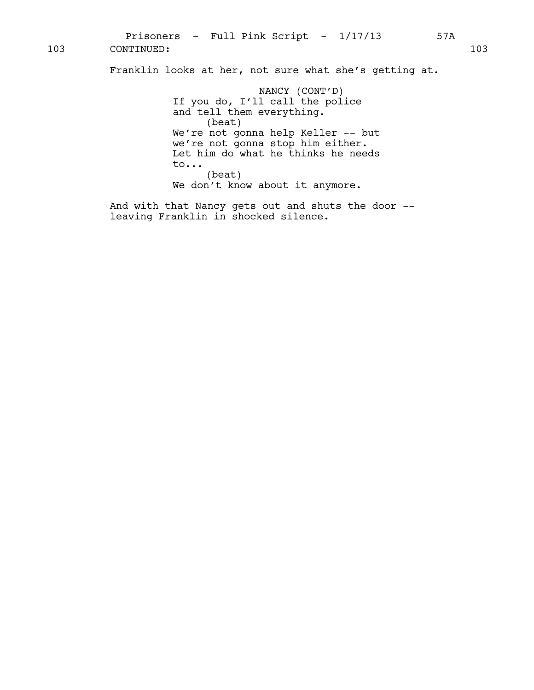Franklin looks at her, not sure what she's getting at.

NANCY (CONT'D) If you do, I'll call the police and tell them everything. (beat) We're not gonna help Keller -- but we're not gonna stop him either. Let him do what he thinks he needs to... (beat) We don't know about it anymore.

And with that Nancy gets out and shuts the door - leaving Franklin in shocked silence.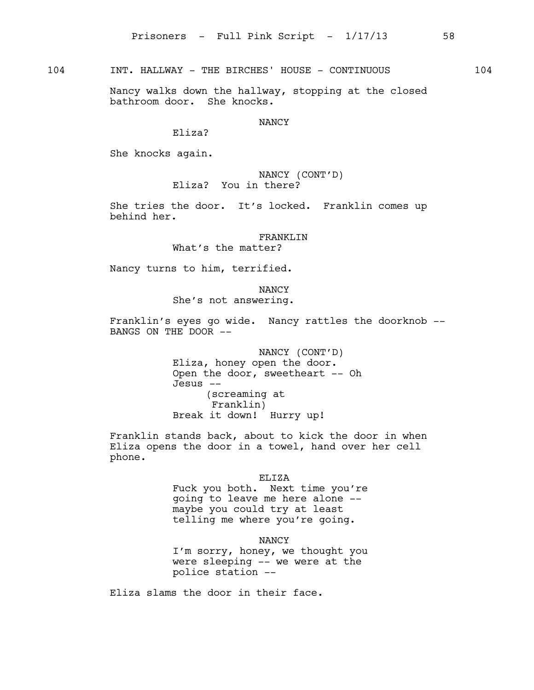104 INT. HALLWAY - THE BIRCHES' HOUSE - CONTINUOUS 104

Nancy walks down the hallway, stopping at the closed bathroom door. She knocks.

## **NANCY**

Eliza?

She knocks again.

NANCY (CONT'D) Eliza? You in there?

She tries the door. It's locked. Franklin comes up behind her.

FRANKLTN

What's the matter?

Nancy turns to him, terrified.

NANCY She's not answering.

Franklin's eyes go wide. Nancy rattles the doorknob -- BANGS ON THE DOOR --

> NANCY (CONT'D) Eliza, honey open the door. Open the door, sweetheart -- Oh Jesus -- (screaming at Franklin) Break it down! Hurry up!

Franklin stands back, about to kick the door in when Eliza opens the door in a towel, hand over her cell phone.

ELIZA

Fuck you both. Next time you're going to leave me here alone - maybe you could try at least telling me where you're going.

NANCY

I'm sorry, honey, we thought you were sleeping -- we were at the police station --

Eliza slams the door in their face.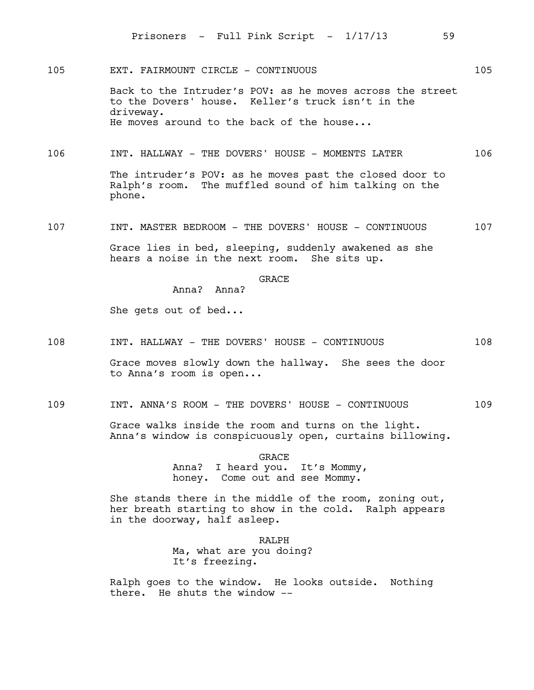105 EXT. FAIRMOUNT CIRCLE - CONTINUOUS 105

Back to the Intruder's POV: as he moves across the street to the Dovers' house. Keller's truck isn't in the driveway. He moves around to the back of the house...

106 INT. HALLWAY - THE DOVERS' HOUSE - MOMENTS LATER 106

The intruder's POV: as he moves past the closed door to Ralph's room. The muffled sound of him talking on the phone.

107 INT. MASTER BEDROOM - THE DOVERS' HOUSE - CONTINUOUS 107

Grace lies in bed, sleeping, suddenly awakened as she hears a noise in the next room. She sits up. hears a noise in the next room.

**GRACE** 

Anna? Anna?

She gets out of bed...

108 INT. HALLWAY - THE DOVERS' HOUSE - CONTINUOUS 108

Grace moves slowly down the hallway. She sees the door to Anna's room is open...

109 INT. ANNA'S ROOM - THE DOVERS' HOUSE - CONTINUOUS 109

Grace walks inside the room and turns on the light. Anna's window is conspicuously open, curtains billowing.

> GRACE Anna? I heard you. It's Mommy, honey. Come out and see Mommy.

She stands there in the middle of the room, zoning out, her breath starting to show in the cold. Ralph appears in the doorway, half asleep.

> RALPH Ma, what are you doing? It's freezing.

Ralph goes to the window. He looks outside. Nothing there. He shuts the window --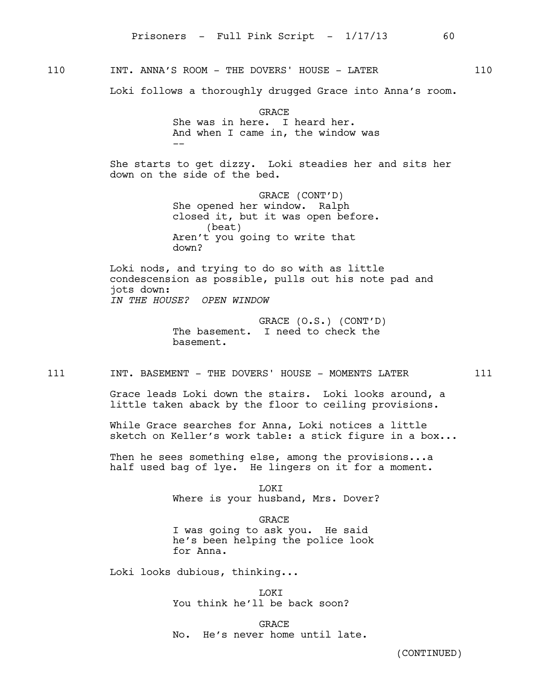110 INT. ANNA'S ROOM - THE DOVERS' HOUSE - LATER 110

Loki follows a thoroughly drugged Grace into Anna's room.

GRACE She was in here. I heard her. And when I came in, the window was --

She starts to get dizzy. Loki steadies her and sits her down on the side of the bed.

> GRACE (CONT'D) She opened her window. Ralph closed it, but it was open before. (beat) Aren't you going to write that down?

Loki nods, and trying to do so with as little condescension as possible, pulls out his note pad and jots down: *IN THE HOUSE? OPEN WINDOW*

> GRACE (O.S.) (CONT'D) The basement. I need to check the basement.

111 INT. BASEMENT - THE DOVERS' HOUSE - MOMENTS LATER 111

Grace leads Loki down the stairs. Loki looks around, a little taken aback by the floor to ceiling provisions.

While Grace searches for Anna, Loki notices a little sketch on Keller's work table: a stick figure in a box...

Then he sees something else, among the provisions...a half used bag of lye. He lingers on it for a moment.

> LOKI Where is your husband, Mrs. Dover?

GRACE I was going to ask you. He said he's been helping the police look for Anna.

Loki looks dubious, thinking...

LOKI You think he'll be back soon?

**GRACE** No. He's never home until late.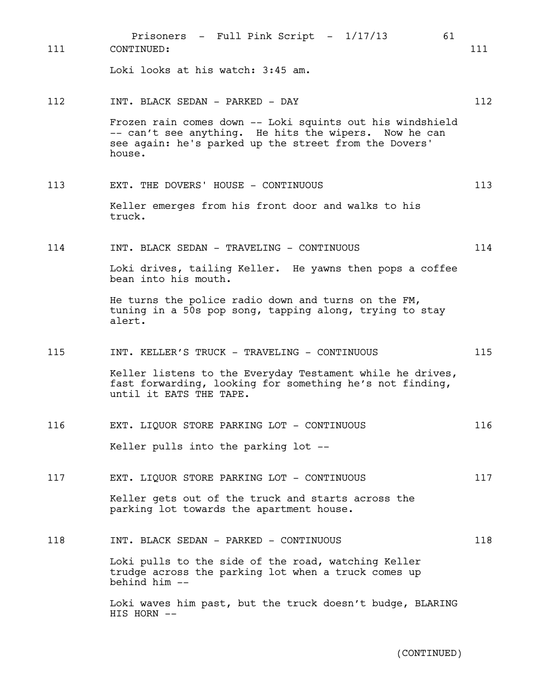| 111 | Prisoners - Full Pink Script - 1/17/13<br>61<br>CONTINUED:                                                                                                                            | 111 |
|-----|---------------------------------------------------------------------------------------------------------------------------------------------------------------------------------------|-----|
|     | Loki looks at his watch: 3:45 am.                                                                                                                                                     |     |
| 112 | INT. BLACK SEDAN - PARKED - DAY                                                                                                                                                       | 112 |
|     | Frozen rain comes down -- Loki squints out his windshield<br>-- can't see anything. He hits the wipers. Now he can<br>see again: he's parked up the street from the Dovers'<br>house. |     |
| 113 | EXT. THE DOVERS' HOUSE - CONTINUOUS                                                                                                                                                   | 113 |
|     | Keller emerges from his front door and walks to his<br>truck.                                                                                                                         |     |
| 114 | INT. BLACK SEDAN - TRAVELING - CONTINUOUS                                                                                                                                             | 114 |
|     | Loki drives, tailing Keller. He yawns then pops a coffee<br>bean into his mouth.                                                                                                      |     |
|     | He turns the police radio down and turns on the FM,<br>tuning in a 50s pop song, tapping along, trying to stay<br>alert.                                                              |     |
| 115 | INT. KELLER'S TRUCK - TRAVELING - CONTINUOUS                                                                                                                                          | 115 |
|     | Keller listens to the Everyday Testament while he drives,<br>fast forwarding, looking for something he's not finding,<br>until it EATS THE TAPE.                                      |     |
| 116 | EXT. LIQUOR STORE PARKING LOT - CONTINUOUS                                                                                                                                            | 116 |
|     | Keller pulls into the parking lot --                                                                                                                                                  |     |
| 117 | EXT. LIQUOR STORE PARKING LOT - CONTINUOUS                                                                                                                                            | 117 |
|     | Keller gets out of the truck and starts across the<br>parking lot towards the apartment house.                                                                                        |     |
| 118 | INT. BLACK SEDAN - PARKED - CONTINUOUS                                                                                                                                                | 118 |
|     | Loki pulls to the side of the road, watching Keller<br>trudge across the parking lot when a truck comes up<br>behind him --                                                           |     |
|     | Loki waves him past, but the truck doesn't budge, BLARING<br>HIS HORN --                                                                                                              |     |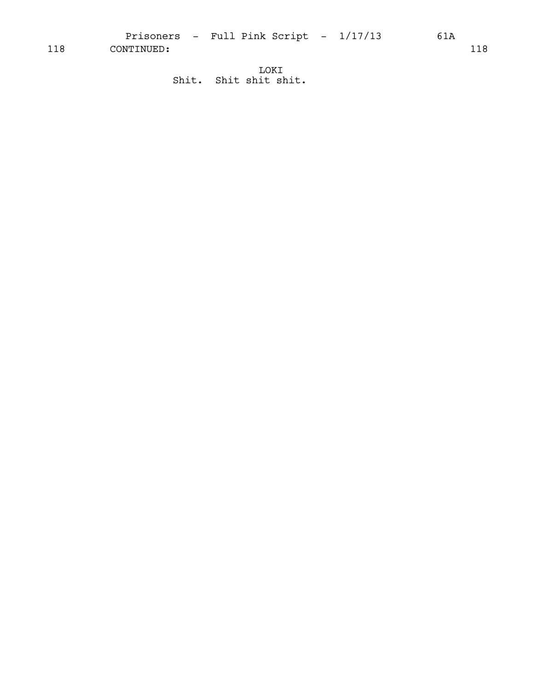Prisoners - Full Pink Script -  $1/17/13$  61A

118 CONTINUED: 118

LOKI Shit. Shit shit shit.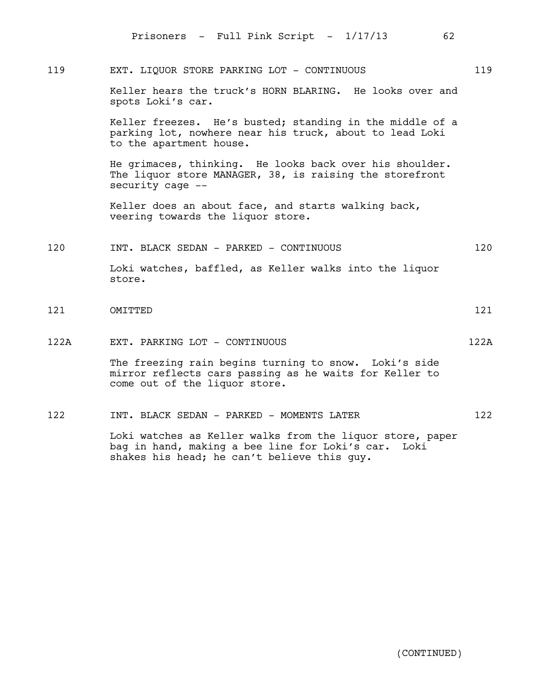|      | Prisoners - Full Pink Script - 1/17/13<br>62                                                                                                     |      |
|------|--------------------------------------------------------------------------------------------------------------------------------------------------|------|
| 119  | EXT. LIQUOR STORE PARKING LOT - CONTINUOUS                                                                                                       | 119  |
|      | Keller hears the truck's HORN BLARING. He looks over and<br>spots Loki's car.                                                                    |      |
|      | Keller freezes. He's busted; standing in the middle of a<br>parking lot, nowhere near his truck, about to lead Loki<br>to the apartment house.   |      |
|      | He grimaces, thinking. He looks back over his shoulder.<br>The liquor store MANAGER, 38, is raising the storefront<br>security cage --           |      |
|      | Keller does an about face, and starts walking back,<br>veering towards the liquor store.                                                         |      |
| 120  | INT. BLACK SEDAN - PARKED - CONTINUOUS                                                                                                           | 120  |
|      | Loki watches, baffled, as Keller walks into the liquor<br>store.                                                                                 |      |
| 121  | OMITTED                                                                                                                                          | 121  |
| 122A | EXT. PARKING LOT - CONTINUOUS                                                                                                                    | 122A |
|      | The freezing rain begins turning to snow. Loki's side<br>mirror reflects cars passing as he waits for Keller to<br>come out of the liquor store. |      |
| 122  | INT. BLACK SEDAN - PARKED - MOMENTS LATER                                                                                                        | 122  |

Loki watches as Keller walks from the liquor store, paper bag in hand, making a bee line for Loki's car. Loki shakes his head; he can't believe this guy.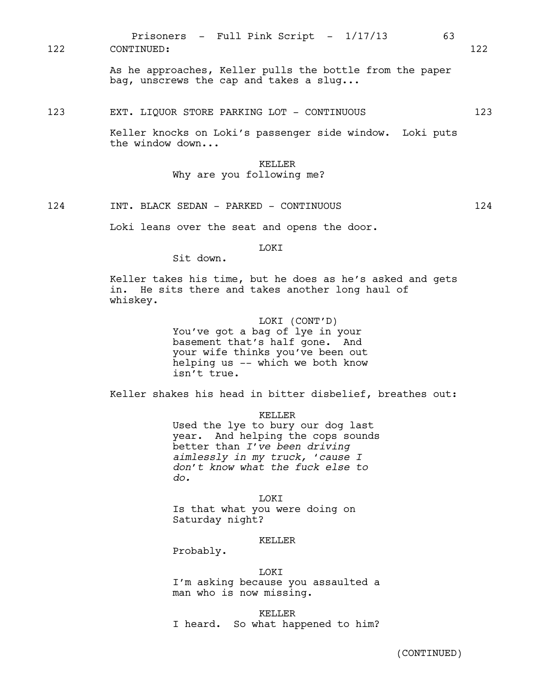Prisoners - Full Pink Script - 1/17/13 63 122 CONTINUED: 122

> As he approaches, Keller pulls the bottle from the paper bag, unscrews the cap and takes a slug...

### 123 EXT. LIQUOR STORE PARKING LOT - CONTINUOUS 123

Keller knocks on Loki's passenger side window. Loki puts the window down...

## KELLER Why are you following me?

124 INT. BLACK SEDAN - PARKED - CONTINUOUS 124

Loki leans over the seat and opens the door.

### LOKI

Sit down.

Keller takes his time, but he does as he's asked and gets in. He sits there and takes another long haul of whiskey.

> LOKI (CONT'D) You've got a bag of lye in your basement that's half gone. And your wife thinks you've been out helping us -- which we both know isn't true.

Keller shakes his head in bitter disbelief, breathes out:

KELLER

Used the lye to bury our dog last year. And helping the cops sounds better than *I've been driving aimlessly in my truck, 'cause I don't know what the fuck else to do.*

LOKI Is that what you were doing on Saturday night?

### KELLER

Probably.

### LOKI

I'm asking because you assaulted a man who is now missing.

KELLER I heard. So what happened to him?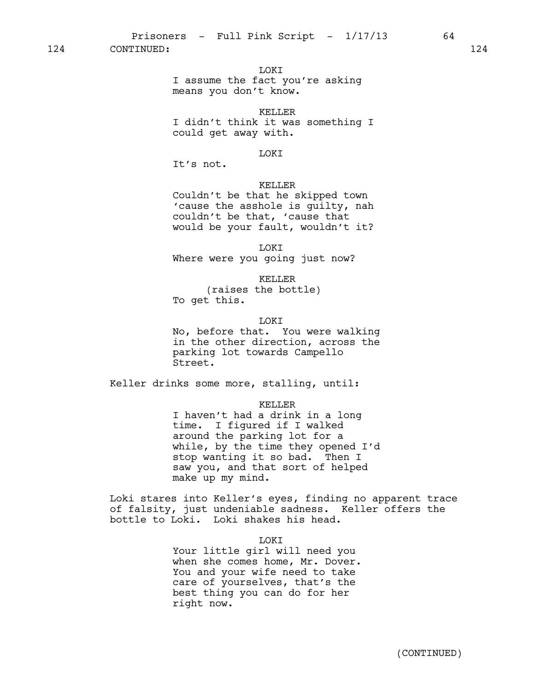### LOKI

I assume the fact you're asking means you don't know.

#### KELLER

I didn't think it was something I could get away with.

#### LOKI

It's not.

### KELLER

Couldn't be that he skipped town 'cause the asshole is guilty, nah couldn't be that, 'cause that would be your fault, wouldn't it?

LOKI Where were you going just now?

KELLER

(raises the bottle) To get this.

LOKI

No, before that. You were walking in the other direction, across the parking lot towards Campello Street.

Keller drinks some more, stalling, until:

KELLER

I haven't had a drink in a long time. I figured if I walked around the parking lot for a while, by the time they opened I'd stop wanting it so bad. Then I saw you, and that sort of helped make up my mind.

Loki stares into Keller's eyes, finding no apparent trace of falsity, just undeniable sadness. Keller offers the bottle to Loki. Loki shakes his head.

LOKI

Your little girl will need you when she comes home, Mr. Dover. You and your wife need to take care of yourselves, that's the best thing you can do for her right now.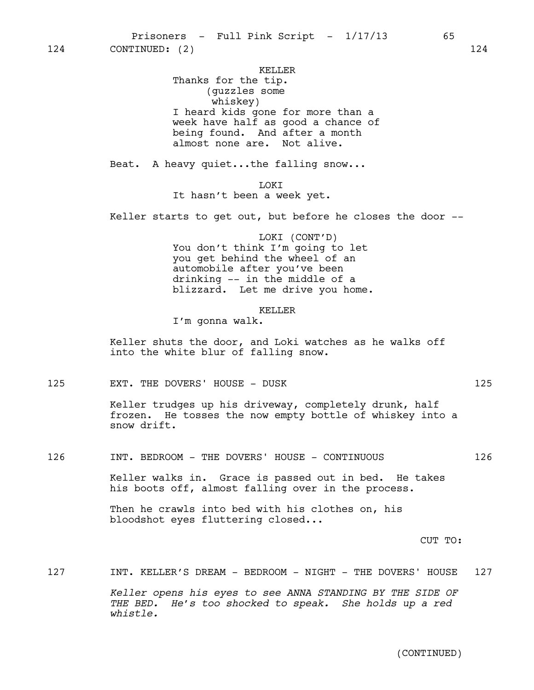KELLER

Thanks for the tip. (guzzles some whiskey) I heard kids gone for more than a week have half as good a chance of being found. And after a month almost none are. Not alive.

Beat. A heavy quiet...the falling snow...

**T.OKT** It hasn't been a week yet.

Keller starts to get out, but before he closes the door --

LOKI (CONT'D) You don't think I'm going to let you get behind the wheel of an automobile after you've been drinking -- in the middle of a blizzard. Let me drive you home.

#### KELLER

I'm gonna walk.

Keller shuts the door, and Loki watches as he walks off into the white blur of falling snow.

125 EXT. THE DOVERS' HOUSE - DUSK 125

Keller trudges up his driveway, completely drunk, half frozen. He tosses the now empty bottle of whiskey into a snow drift.

126 INT. BEDROOM - THE DOVERS' HOUSE - CONTINUOUS 126

Keller walks in. Grace is passed out in bed. He takes his boots off, almost falling over in the process.

Then he crawls into bed with his clothes on, his bloodshot eyes fluttering closed...

CUT TO:

127 INT. KELLER'S DREAM - BEDROOM - NIGHT - THE DOVERS' HOUSE 127

*Keller opens his eyes to see ANNA STANDING BY THE SIDE OF THE BED. He's too shocked to speak. She holds up a red whistle.*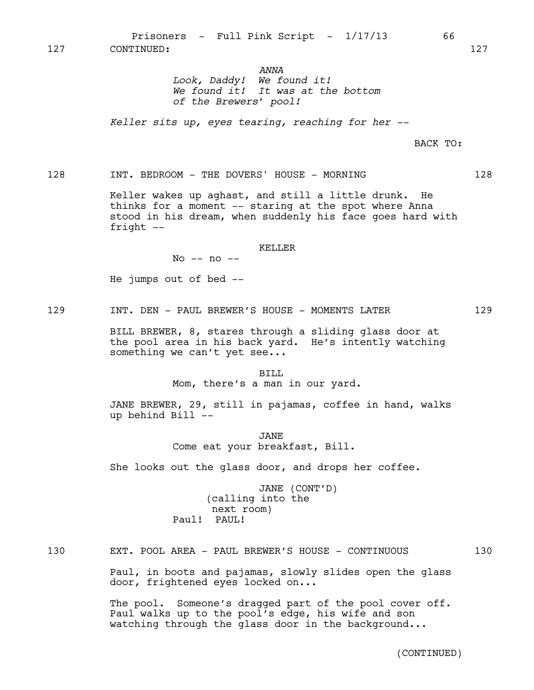*ANNA*

*Look, Daddy! We found it! We found it! It was at the bottom of the Brewers' pool!* 

*Keller sits up, eyes tearing, reaching for her --*

BACK TO:

128 INT. BEDROOM - THE DOVERS' HOUSE - MORNING 128

Keller wakes up aghast, and still a little drunk. He thinks for a moment -- staring at the spot where Anna stood in his dream, when suddenly his face goes hard with fright --

#### KELLER

No -- no --

He jumps out of bed --

129 INT. DEN – PAUL BREWER'S HOUSE – MOMENTS LATER 129

BILL BREWER, 8, stares through a sliding glass door at the pool area in his back yard. He's intently watching something we can't yet see...

#### BILL

Mom, there's a man in our yard.

JANE BREWER, 29, still in pajamas, coffee in hand, walks up behind Bill --

> JANE Come eat your breakfast, Bill.

She looks out the glass door, and drops her coffee.

JANE (CONT'D) (calling into the next room) Paul! PAUL!

130 EXT. POOL AREA - PAUL BREWER'S HOUSE - CONTINUOUS 130

Paul, in boots and pajamas, slowly slides open the glass door, frightened eyes locked on...

The pool. Someone's dragged part of the pool cover off. Paul walks up to the pool's edge, his wife and son watching through the glass door in the background...

(CONTINUED)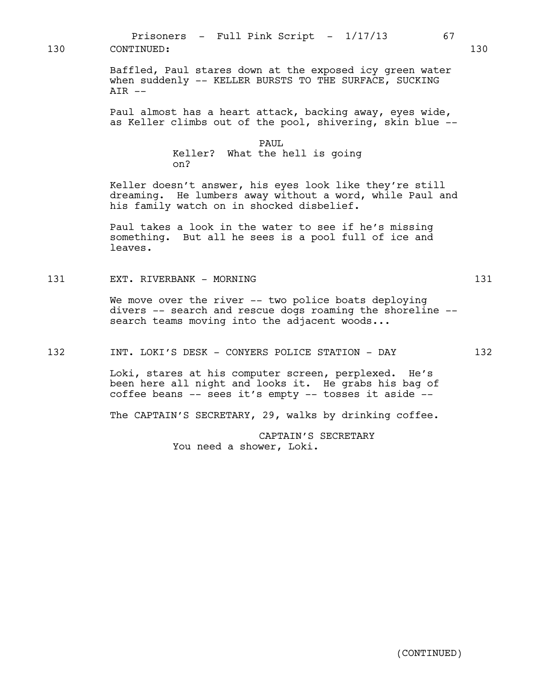Baffled, Paul stares down at the exposed icy green water when suddenly -- KELLER BURSTS TO THE SURFACE, SUCKING  $AIR$   $--$ Paul almost has a heart attack, backing away, eyes wide, as Keller climbs out of the pool, shivering, skin blue -- PAUL Keller? What the hell is going on? Keller doesn't answer, his eyes look like they're still dreaming. He lumbers away without a word, while Paul and his family watch on in shocked disbelief. Paul takes a look in the water to see if he's missing something. But all he sees is a pool full of ice and leaves. 131 EXT. RIVERBANK - MORNING 131 We move over the river -- two police boats deploying divers -- search and rescue dogs roaming the shoreline - search teams moving into the adjacent woods... 132 INT. LOKI'S DESK - CONYERS POLICE STATION - DAY 132 Loki, stares at his computer screen, perplexed. He's been here all night and looks it. He grabs his bag of coffee beans -- sees it's empty -- tosses it aside -- The CAPTAIN'S SECRETARY, 29, walks by drinking coffee. CAPTAIN'S SECRETARY You need a shower, Loki. 130 CONTINUED: 130

Prisoners - Full Pink Script -  $1/17/13$  67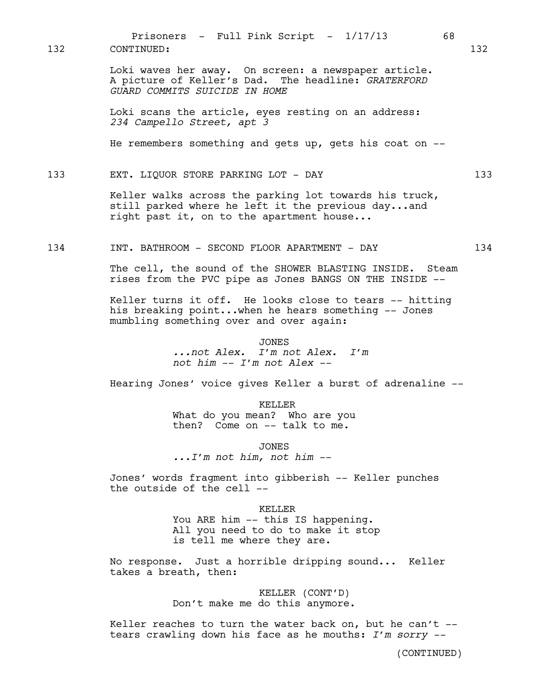Loki waves her away. On screen: a newspaper article. A picture of Keller's Dad. The headline: *GRATERFORD GUARD COMMITS SUICIDE IN HOME* Loki scans the article, eyes resting on an address: *234 Campello Street, apt 3* He remembers something and gets up, gets his coat on  $-$ 133 EXT. LIQUOR STORE PARKING LOT - DAY 133 Keller walks across the parking lot towards his truck, still parked where he left it the previous day...and right past it, on to the apartment house... 134 INT. BATHROOM - SECOND FLOOR APARTMENT - DAY 134 The cell, the sound of the SHOWER BLASTING INSIDE. Steam rises from the PVC pipe as Jones BANGS ON THE INSIDE -- Keller turns it off. He looks close to tears -- hitting his breaking point...when he hears something -- Jones mumbling something over and over again: JONES *...not Alex. I'm not Alex. I'm not him -- I'm not Alex --* Hearing Jones' voice gives Keller a burst of adrenaline -- KELLER What do you mean? Who are you then? Come on -- talk to me. JONES *...I'm not him, not him --* Jones' words fragment into gibberish -- Keller punches the outside of the cell -- KELLER You ARE him -- this IS happening. All you need to do to make it stop is tell me where they are. No response. Just a horrible dripping sound... Keller takes a breath, then: 132 CONTINUED: 132

Prisoners - Full Pink Script -  $1/17/13$  68

KELLER (CONT'D) Don't make me do this anymore.

Keller reaches to turn the water back on, but he can't  $$ tears crawling down his face as he mouths: *I'm sorry --*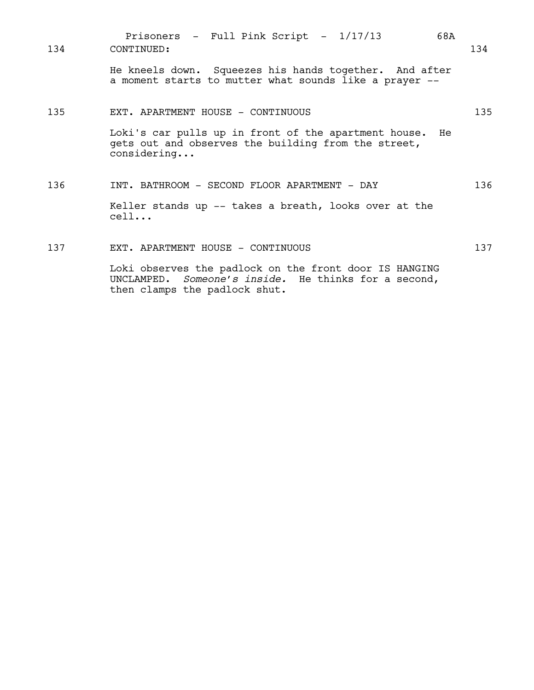| 134 | Prisoners $-$ Full Pink Script $-$ 1/17/13<br>68A<br>CONTINUED:                                                                                 | 134 |
|-----|-------------------------------------------------------------------------------------------------------------------------------------------------|-----|
|     | He kneels down. Squeezes his hands together. And after<br>a moment starts to mutter what sounds like a prayer --                                |     |
| 135 | EXT. APARTMENT HOUSE - CONTINUOUS                                                                                                               | 135 |
|     | Loki's car pulls up in front of the apartment house.<br>He<br>gets out and observes the building from the street,<br>considering                |     |
| 136 | INT. BATHROOM - SECOND FLOOR APARTMENT - DAY                                                                                                    | 136 |
|     | Keller stands up -- takes a breath, looks over at the<br>cell                                                                                   |     |
| 137 | EXT. APARTMENT HOUSE - CONTINUOUS                                                                                                               | 137 |
|     | Loki observes the padlock on the front door IS HANGING<br>UNCLAMPED. Someone's inside. He thinks for a second,<br>then clamps the padlock shut. |     |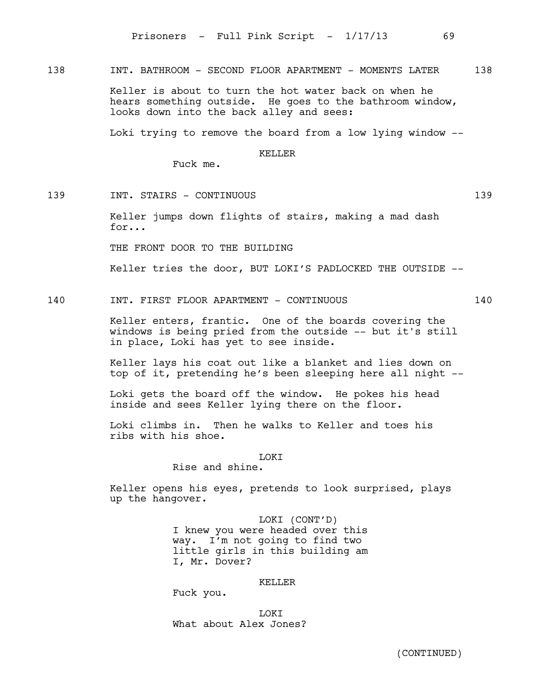138 INT. BATHROOM - SECOND FLOOR APARTMENT - MOMENTS LATER 138

Keller is about to turn the hot water back on when he hears something outside. He goes to the bathroom window, looks down into the back alley and sees:

Loki trying to remove the board from a low lying window --

#### KELLER

Fuck me.

139 INT. STAIRS - CONTINUOUS 139

Keller jumps down flights of stairs, making a mad dash for...

THE FRONT DOOR TO THE BUILDING

Keller tries the door, BUT LOKI'S PADLOCKED THE OUTSIDE --

140 INT. FIRST FLOOR APARTMENT - CONTINUOUS 140

Keller enters, frantic. One of the boards covering the windows is being pried from the outside -- but it's still in place, Loki has yet to see inside.

Keller lays his coat out like a blanket and lies down on top of it, pretending he's been sleeping here all night --

Loki gets the board off the window. He pokes his head inside and sees Keller lying there on the floor.

Loki climbs in. Then he walks to Keller and toes his ribs with his shoe.

LOKI

Rise and shine.

Keller opens his eyes, pretends to look surprised, plays up the hangover.

> LOKI (CONT'D) I knew you were headed over this way. I'm not going to find two little girls in this building am I, Mr. Dover?

#### KELLER

Fuck you.

LOKI What about Alex Jones?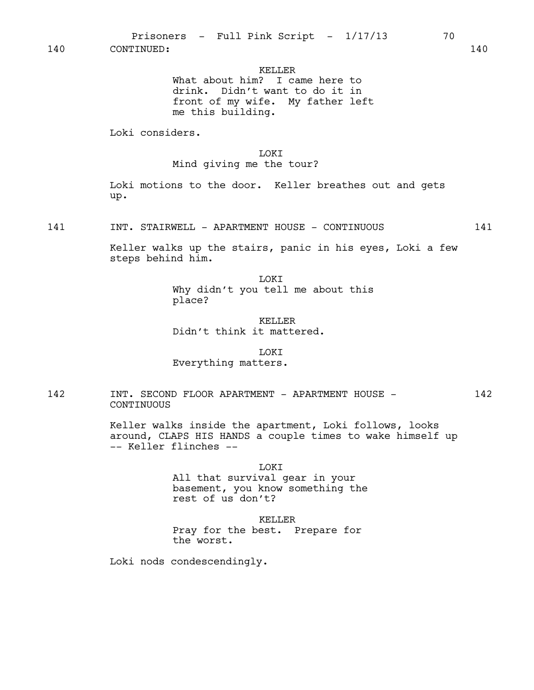KELLER

What about him? I came here to drink. Didn't want to do it in front of my wife. My father left me this building.

Loki considers.

LOKI

Mind giving me the tour?

Loki motions to the door. Keller breathes out and gets up.

141 INT. STAIRWELL - APARTMENT HOUSE - CONTINUOUS 141

Keller walks up the stairs, panic in his eyes, Loki a few steps behind him.

> **TOKT** Why didn't you tell me about this place?

KELLER Didn't think it mattered.

**LOKT** Everything matters.

142 INT. SECOND FLOOR APARTMENT - APARTMENT HOUSE - 142 CONTINUOUS

> Keller walks inside the apartment, Loki follows, looks around, CLAPS HIS HANDS a couple times to wake himself up -- Keller flinches --

> > **LOKT**

All that survival gear in your basement, you know something the rest of us don't?

KELLER Pray for the best. Prepare for the worst.

Loki nods condescendingly.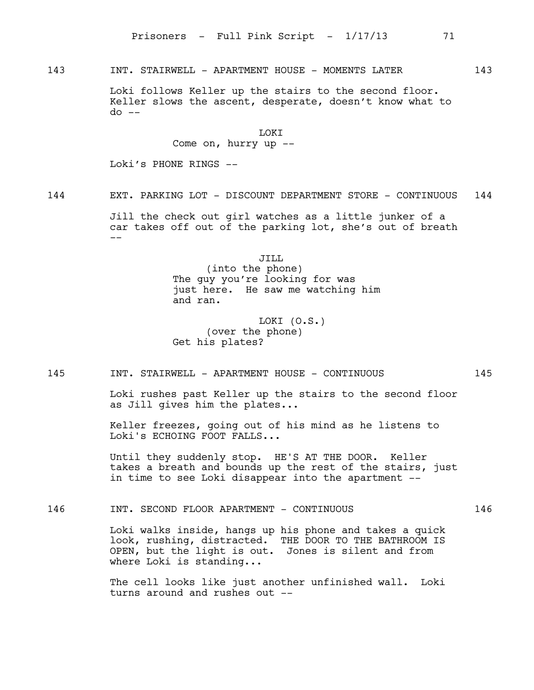### 143 INT. STAIRWELL - APARTMENT HOUSE - MOMENTS LATER 143

Loki follows Keller up the stairs to the second floor. Keller slows the ascent, desperate, doesn't know what to do --

## LOKI

Come on, hurry up --

Loki's PHONE RINGS --

144 EXT. PARKING LOT - DISCOUNT DEPARTMENT STORE - CONTINUOUS 144

Jill the check out girl watches as a little junker of a car takes off out of the parking lot, she's out of breath  $-$ 

JILL

(into the phone) The quy you're looking for was just here. He saw me watching him and ran.

LOKI (O.S.) (over the phone) Get his plates?

### 145 INT. STAIRWELL - APARTMENT HOUSE - CONTINUOUS 145

Loki rushes past Keller up the stairs to the second floor as Jill gives him the plates...

Keller freezes, going out of his mind as he listens to Loki's ECHOING FOOT FALLS...

Until they suddenly stop. HE'S AT THE DOOR. Keller takes a breath and bounds up the rest of the stairs, just in time to see Loki disappear into the apartment --

146 INT. SECOND FLOOR APARTMENT - CONTINUOUS 146

Loki walks inside, hangs up his phone and takes a quick look, rushing, distracted. THE DOOR TO THE BATHROOM IS OPEN, but the light is out. Jones is silent and from where Loki is standing...

The cell looks like just another unfinished wall. Loki turns around and rushes out --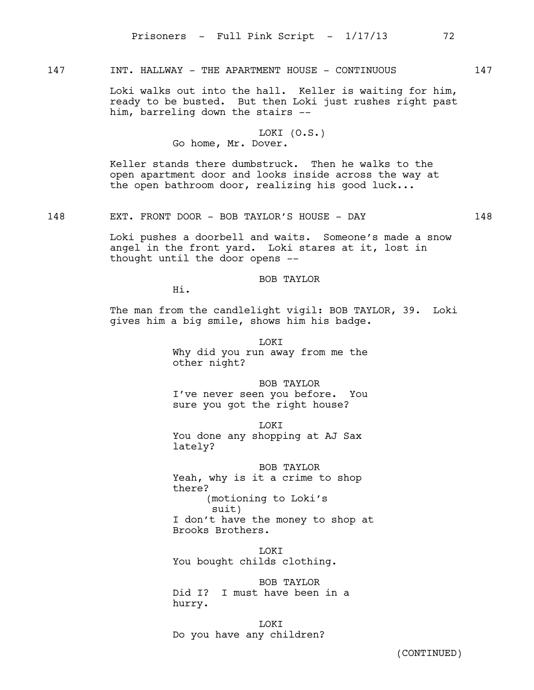### 147 INT. HALLWAY - THE APARTMENT HOUSE - CONTINUOUS 147

Loki walks out into the hall. Keller is waiting for him, ready to be busted. But then Loki just rushes right past him, barreling down the stairs --

### LOKI (O.S.) Go home, Mr. Dover.

Keller stands there dumbstruck. Then he walks to the open apartment door and looks inside across the way at the open bathroom door, realizing his good luck...

148 EXT. FRONT DOOR - BOB TAYLOR'S HOUSE - DAY 148

Loki pushes a doorbell and waits. Someone's made a snow angel in the front yard. Loki stares at it, lost in thought until the door opens --

BOB TAYLOR

Hi.

The man from the candlelight vigil: BOB TAYLOR, 39. Loki gives him a big smile, shows him his badge.

> LOKI Why did you run away from me the other night?

> BOB TAYLOR I've never seen you before. You sure you got the right house?

LOKI You done any shopping at AJ Sax lately?

BOB TAYLOR Yeah, why is it a crime to shop there? (motioning to Loki's suit) I don't have the money to shop at Brooks Brothers.

LOKI You bought childs clothing.

BOB TAYLOR Did I? I must have been in a hurry.

LOKI Do you have any children?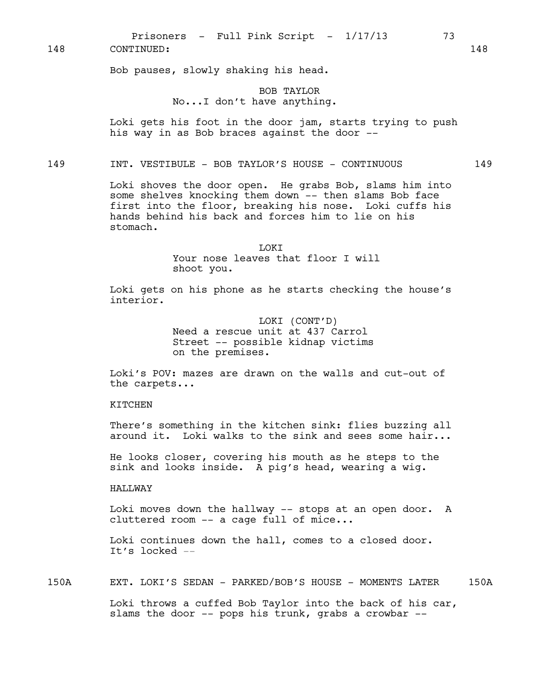Bob pauses, slowly shaking his head.

### BOB TAYLOR No...I don't have anything.

Loki gets his foot in the door jam, starts trying to push his way in as Bob braces against the door --

149 INT. VESTIBULE - BOB TAYLOR'S HOUSE - CONTINUOUS 149

Loki shoves the door open. He grabs Bob, slams him into some shelves knocking them down -- then slams Bob face first into the floor, breaking his nose. Loki cuffs his hands behind his back and forces him to lie on his stomach.

> LOKI Your nose leaves that floor I will shoot you.

Loki gets on his phone as he starts checking the house's interior.

> LOKI (CONT'D) Need a rescue unit at 437 Carrol Street -- possible kidnap victims on the premises.

Loki's POV: mazes are drawn on the walls and cut-out of the carpets...

### **KTTCHEN**

There's something in the kitchen sink: flies buzzing all around it. Loki walks to the sink and sees some hair...

He looks closer, covering his mouth as he steps to the sink and looks inside. A pig's head, wearing a wig.

### HALLWAY

Loki moves down the hallway -- stops at an open door. A cluttered room -- a cage full of mice...

Loki continues down the hall, comes to a closed door. It's locked --

150A EXT. LOKI'S SEDAN - PARKED/BOB'S HOUSE - MOMENTS LATER 150A

Loki throws a cuffed Bob Taylor into the back of his car, slams the door -- pops his trunk, grabs a crowbar --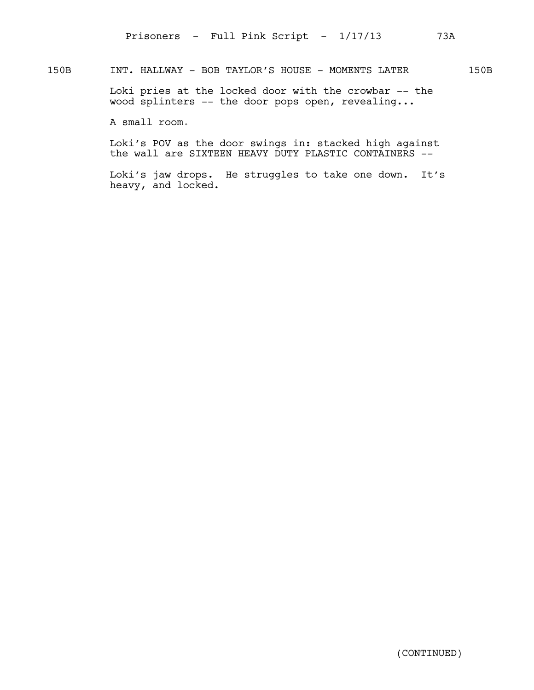### 150B INT. HALLWAY - BOB TAYLOR'S HOUSE - MOMENTS LATER 150B

Loki pries at the locked door with the crowbar -- the wood splinters -- the door pops open, revealing...

A small room.

Loki's POV as the door swings in: stacked high against the wall are SIXTEEN HEAVY DUTY PLASTIC CONTAINERS --

Loki's jaw drops. He struggles to take one down. It's heavy, and locked.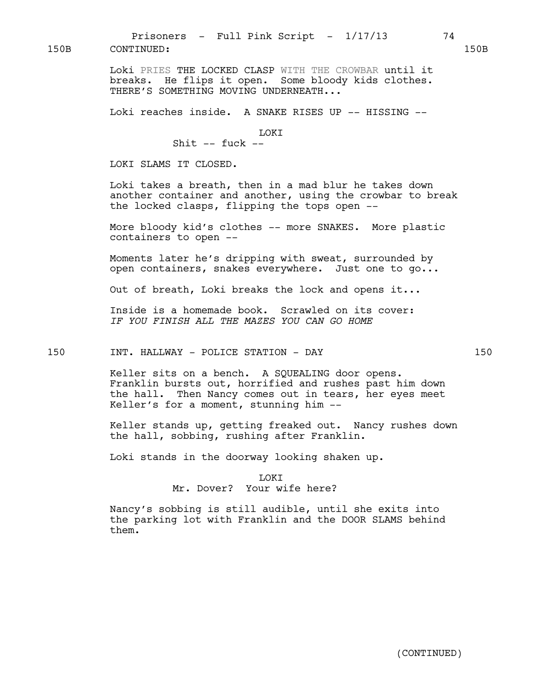Loki PRIES THE LOCKED CLASP WITH THE CROWBAR until it breaks. He flips it open. Some bloody kids clothes. THERE'S SOMETHING MOVING UNDERNEATH...

Loki reaches inside. A SNAKE RISES UP -- HISSING --

LOKI

Shit  $--$  fuck  $--$ 

LOKI SLAMS IT CLOSED.

Loki takes a breath, then in a mad blur he takes down another container and another, using the crowbar to break the locked clasps, flipping the tops open --

More bloody kid's clothes -- more SNAKES. More plastic containers to open --

Moments later he's dripping with sweat, surrounded by open containers, snakes everywhere. Just one to go...

Out of breath, Loki breaks the lock and opens it...

Inside is a homemade book. Scrawled on its cover: *IF YOU FINISH ALL THE MAZES YOU CAN GO HOME*

150 INT. HALLWAY - POLICE STATION - DAY 150

Keller sits on a bench. A SQUEALING door opens. Franklin bursts out, horrified and rushes past him down the hall. Then Nancy comes out in tears, her eyes meet Keller's for a moment, stunning him --

Keller stands up, getting freaked out. Nancy rushes down the hall, sobbing, rushing after Franklin.

Loki stands in the doorway looking shaken up.

T OKT Mr. Dover? Your wife here?

Nancy's sobbing is still audible, until she exits into the parking lot with Franklin and the DOOR SLAMS behind them.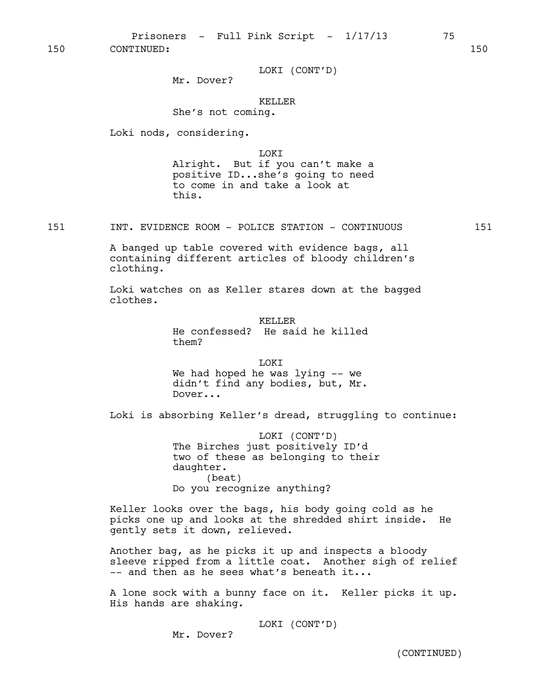LOKI (CONT'D)

Mr. Dover?

### KELLER

She's not coming.

Loki nods, considering.

LOKI

Alright. But if you can't make a positive ID...she's going to need to come in and take a look at this.

151 INT. EVIDENCE ROOM - POLICE STATION - CONTINUOUS 151

A banged up table covered with evidence bags, all containing different articles of bloody children's clothing.

Loki watches on as Keller stares down at the bagged clothes.

> KELLER He confessed? He said he killed them?

LOKI We had hoped he was lying -- we didn't find any bodies, but, Mr. Dover...

Loki is absorbing Keller's dread, struggling to continue:

LOKI (CONT'D) The Birches just positively ID'd two of these as belonging to their daughter. (beat) Do you recognize anything?

Keller looks over the bags, his body going cold as he picks one up and looks at the shredded shirt inside. He gently sets it down, relieved.

Another bag, as he picks it up and inspects a bloody sleeve ripped from a little coat. Another sigh of relief -- and then as he sees what's beneath it...

A lone sock with a bunny face on it. Keller picks it up. His hands are shaking.

LOKI (CONT'D)

Mr. Dover?

(CONTINUED)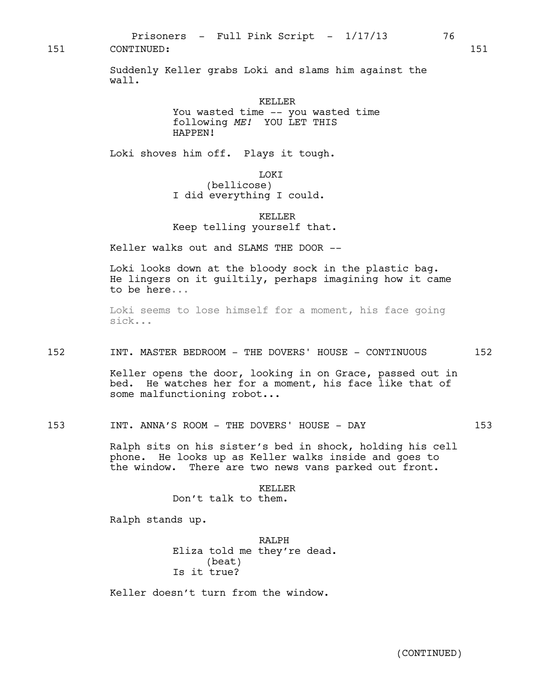Suddenly Keller grabs Loki and slams him against the wall.

#### KELLER

You wasted time -- you wasted time following *ME!* YOU LET THIS HAPPEN!

Loki shoves him off. Plays it tough.

### LOKI

(bellicose) I did everything I could.

### KELLER Keep telling yourself that.

Keller walks out and SLAMS THE DOOR --

Loki looks down at the bloody sock in the plastic bag. He lingers on it guiltily, perhaps imagining how it came to be here...

Loki seems to lose himself for a moment, his face going sick...

### 152 INT. MASTER BEDROOM - THE DOVERS' HOUSE - CONTINUOUS 152

Keller opens the door, looking in on Grace, passed out in bed. He watches her for a moment, his face like that of some malfunctioning robot...

153 INT. ANNA'S ROOM - THE DOVERS' HOUSE - DAY 153

Ralph sits on his sister's bed in shock, holding his cell phone. He looks up as Keller walks inside and goes to the window. There are two news vans parked out front.

#### KELLER

Don't talk to them.

Ralph stands up.

RALPH Eliza told me they're dead. (beat) Is it true?

Keller doesn't turn from the window.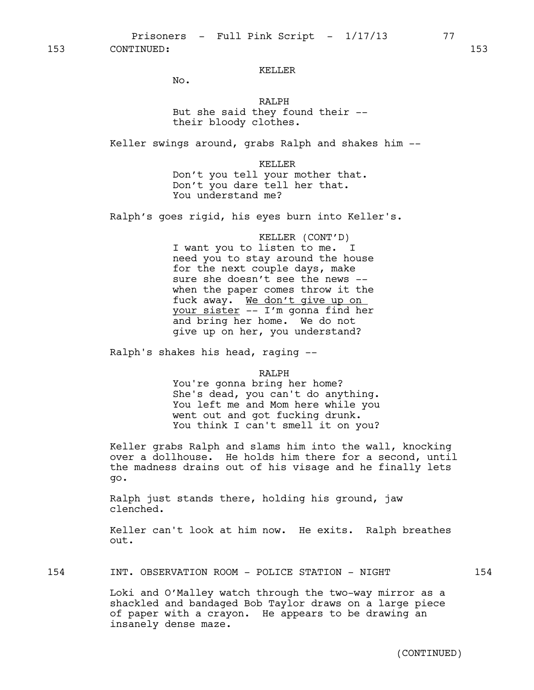#### KELLER

No.

RALPH But she said they found their - their bloody clothes.

Keller swings around, grabs Ralph and shakes him --

KELLER Don't you tell your mother that. Don't you dare tell her that. You understand me?

Ralph's goes rigid, his eyes burn into Keller's.

KELLER (CONT'D) I want you to listen to me. I need you to stay around the house for the next couple days, make sure she doesn't see the news - when the paper comes throw it the fuck away. We don't give up on your sister -- I'm gonna find her and bring her home. We do not give up on her, you understand?

Ralph's shakes his head, raging --

RALPH

You're gonna bring her home? She's dead, you can't do anything. You left me and Mom here while you went out and got fucking drunk. You think I can't smell it on you?

Keller grabs Ralph and slams him into the wall, knocking over a dollhouse. He holds him there for a second, until the madness drains out of his visage and he finally lets go.

Ralph just stands there, holding his ground, jaw clenched.

Keller can't look at him now. He exits. Ralph breathes out.

154 INT. OBSERVATION ROOM - POLICE STATION - NIGHT 154

Loki and O'Malley watch through the two-way mirror as a shackled and bandaged Bob Taylor draws on a large piece of paper with a crayon. He appears to be drawing an insanely dense maze.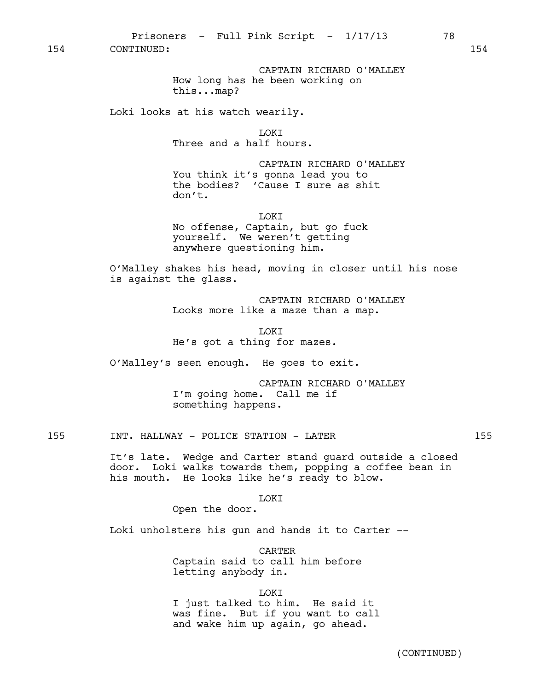CAPTAIN RICHARD O'MALLEY How long has he been working on this...map?

Loki looks at his watch wearily.

LOKI Three and a half hours.

CAPTAIN RICHARD O'MALLEY You think it's gonna lead you to the bodies? 'Cause I sure as shit don't.

LOKI No offense, Captain, but go fuck yourself. We weren't getting anywhere questioning him.

O'Malley shakes his head, moving in closer until his nose is against the glass.

> CAPTAIN RICHARD O'MALLEY Looks more like a maze than a map.

LOKI He's got a thing for mazes.

O'Malley's seen enough. He goes to exit.

CAPTAIN RICHARD O'MALLEY I'm going home. Call me if something happens.

155 INT. HALLWAY - POLICE STATION - LATER 155

It's late. Wedge and Carter stand guard outside a closed door. Loki walks towards them, popping a coffee bean in his mouth. He looks like he's ready to blow.

LOKI

Open the door.

Loki unholsters his gun and hands it to Carter --

CARTER Captain said to call him before letting anybody in.

LOKI

I just talked to him. He said it was fine. But if you want to call and wake him up again, go ahead.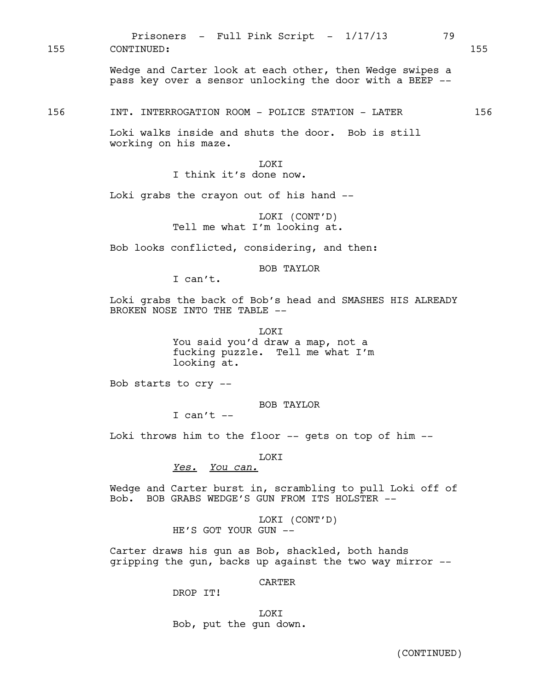Prisoners - Full Pink Script -  $1/17/13$  79 155 CONTINUED: 155

> Wedge and Carter look at each other, then Wedge swipes a pass key over a sensor unlocking the door with a BEEP --

156 INT. INTERROGATION ROOM - POLICE STATION - LATER 156

Loki walks inside and shuts the door. Bob is still working on his maze.

> **TOKT** I think it's done now.

Loki grabs the crayon out of his hand --

LOKI (CONT'D) Tell me what I'm looking at.

Bob looks conflicted, considering, and then:

BOB TAYLOR

I can't.

Loki grabs the back of Bob's head and SMASHES HIS ALREADY BROKEN NOSE INTO THE TABLE --

> LOKI You said you'd draw a map, not a fucking puzzle. Tell me what I'm looking at.

Bob starts to cry --

BOB TAYLOR

I can't  $--$ 

Loki throws him to the floor -- gets on top of him --

LOKI

*Yes. You can.*

Wedge and Carter burst in, scrambling to pull Loki off of Bob. BOB GRABS WEDGE'S GUN FROM ITS HOLSTER --

> LOKI (CONT'D) HE'S GOT YOUR GUN --

Carter draws his gun as Bob, shackled, both hands gripping the gun, backs up against the two way mirror --

**CARTER** 

DROP IT!

LOKI Bob, put the gun down.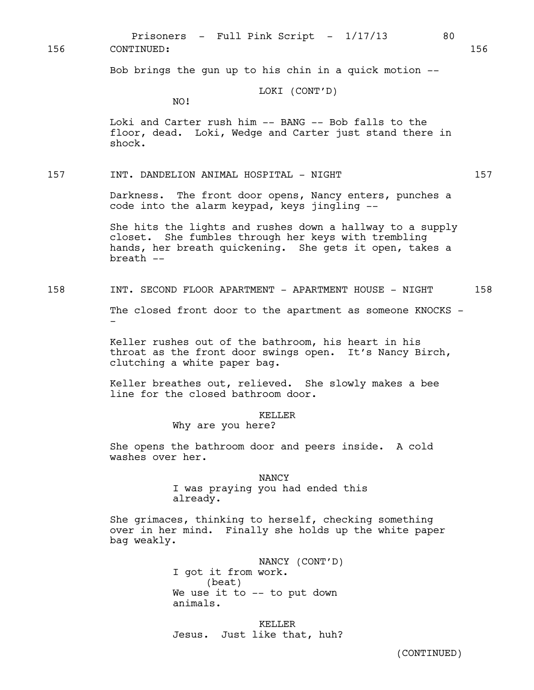Bob brings the gun up to his chin in a quick motion --

### LOKI (CONT'D)

Prisoners - Full Pink Script -  $1/17/13$  80

NO!

Loki and Carter rush him -- BANG -- Bob falls to the floor, dead. Loki, Wedge and Carter just stand there in shock.

157 INT. DANDELION ANIMAL HOSPITAL - NIGHT 157

Darkness. The front door opens, Nancy enters, punches a code into the alarm keypad, keys jingling --

She hits the lights and rushes down a hallway to a supply closet. She fumbles through her keys with trembling hands, her breath quickening. She gets it open, takes a breath --

158 INT. SECOND FLOOR APARTMENT - APARTMENT HOUSE - NIGHT 158

The closed front door to the apartment as someone KNOCKS --

Keller rushes out of the bathroom, his heart in his throat as the front door swings open. It's Nancy Birch, clutching a white paper bag.

Keller breathes out, relieved. She slowly makes a bee line for the closed bathroom door.

KELLER

Why are you here?

She opens the bathroom door and peers inside. A cold washes over her.

> NANCY I was praying you had ended this already.

She grimaces, thinking to herself, checking something over in her mind. Finally she holds up the white paper bag weakly.

> NANCY (CONT'D) I got it from work. (beat) We use it to -- to put down animals.

KELLER Jesus. Just like that, huh?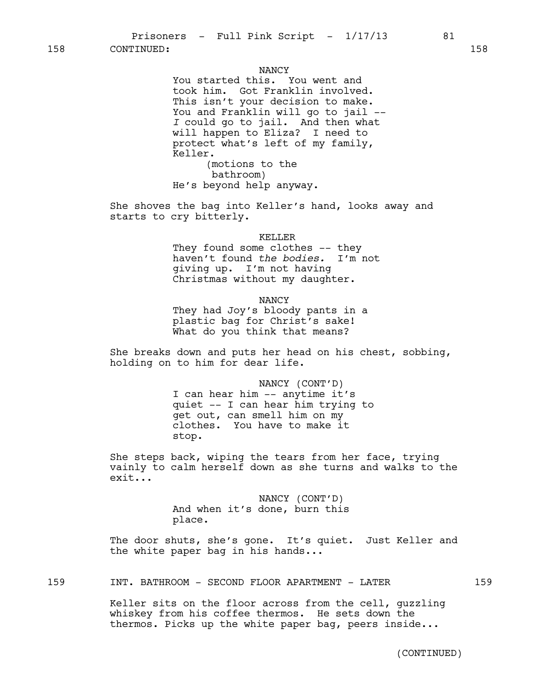#### NANCY

You started this. You went and took him. Got Franklin involved. This isn't your decision to make. You and Franklin will go to jail -- *I* could go to jail. And then what will happen to Eliza? I need to protect what's left of my family, Keller. (motions to the bathroom)

He's beyond help anyway.

She shoves the bag into Keller's hand, looks away and starts to cry bitterly.

#### KELLER

They found some clothes -- they haven't found *the bodies.* I'm not giving up. I'm not having Christmas without my daughter.

NANCY

They had Joy's bloody pants in a plastic bag for Christ's sake! What do you think that means?

She breaks down and puts her head on his chest, sobbing, holding on to him for dear life.

> NANCY (CONT'D) I can hear him -- anytime it's quiet -- I can hear him trying to get out, can smell him on my clothes. You have to make it stop.

She steps back, wiping the tears from her face, trying vainly to calm herself down as she turns and walks to the exit...

> NANCY (CONT'D) And when it's done, burn this place.

The door shuts, she's gone. It's quiet. Just Keller and the white paper bag in his hands...

159 INT. BATHROOM - SECOND FLOOR APARTMENT - LATER 159

Keller sits on the floor across from the cell, guzzling whiskey from his coffee thermos. He sets down the thermos. Picks up the white paper bag, peers inside...

(CONTINUED)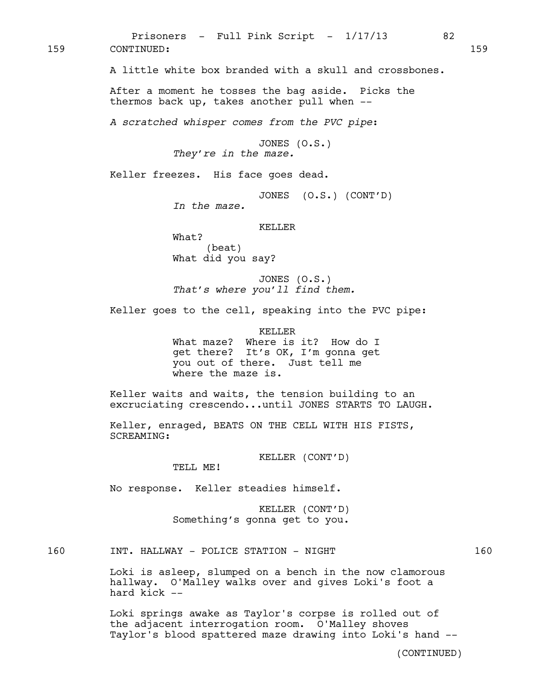A little white box branded with a skull and crossbones. After a moment he tosses the bag aside. Picks the thermos back up, takes another pull when -- *A scratched whisper comes from the PVC pipe*: JONES (O.S.) *They're in the maze.* Keller freezes. His face goes dead. JONES (O.S.) (CONT'D) *In the maze.* KELLER What? (beat) What did you say? JONES (O.S.) *That's where you'll find them.* Keller goes to the cell, speaking into the PVC pipe: KELLER What maze? Where is it? How do I get there? It's OK, I'm gonna get you out of there. Just tell me where the maze is. Keller waits and waits, the tension building to an excruciating crescendo...until JONES STARTS TO LAUGH. Keller, enraged, BEATS ON THE CELL WITH HIS FISTS, SCREAMING: KELLER (CONT'D) TELL ME! No response. Keller steadies himself. KELLER (CONT'D) Something's gonna get to you. 160 INT. HALLWAY - POLICE STATION - NIGHT 160 159 CONTINUED: 159

Prisoners - Full Pink Script -  $1/17/13$  82

Loki is asleep, slumped on a bench in the now clamorous hallway. O'Malley walks over and gives Loki's foot a hard kick --

Loki springs awake as Taylor's corpse is rolled out of the adjacent interrogation room. O'Malley shoves Taylor's blood spattered maze drawing into Loki's hand --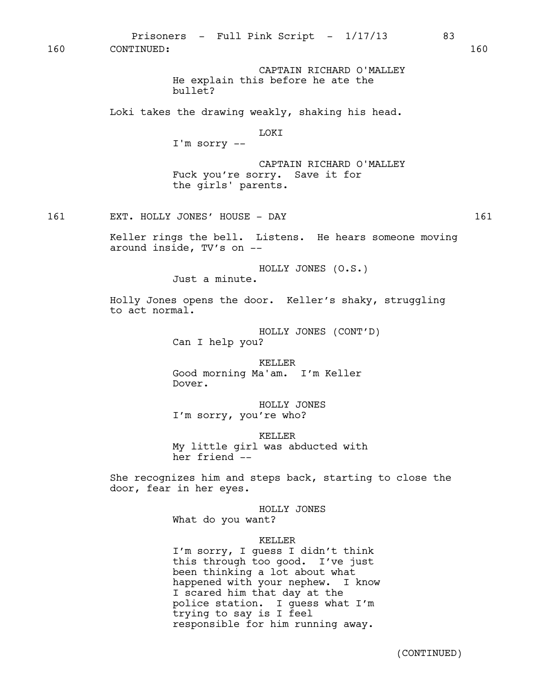CAPTAIN RICHARD O'MALLEY He explain this before he ate the bullet? Loki takes the drawing weakly, shaking his head. LOKI I'm sorry -- CAPTAIN RICHARD O'MALLEY Fuck you're sorry. Save it for the girls' parents. 161 EXT. HOLLY JONES' HOUSE - DAY 161 Keller rings the bell. Listens. He hears someone moving around inside, TV's on -- HOLLY JONES (O.S.) Just a minute. Holly Jones opens the door. Keller's shaky, struggling to act normal. HOLLY JONES (CONT'D) Can I help you? KELLER Good morning Ma'am. I'm Keller Dover. HOLLY JONES I'm sorry, you're who? KELLER My little girl was abducted with her friend -- She recognizes him and steps back, starting to close the door, fear in her eyes. HOLLY JONES What do you want? KELLER I'm sorry, I guess I didn't think this through too good. I've just been thinking a lot about what 160 CONTINUED: 160

Prisoners - Full Pink Script -  $1/17/13$  83

happened with your nephew. I know

police station. I guess what I'm

responsible for him running away.

I scared him that day at the

trying to say is I feel

(CONTINUED)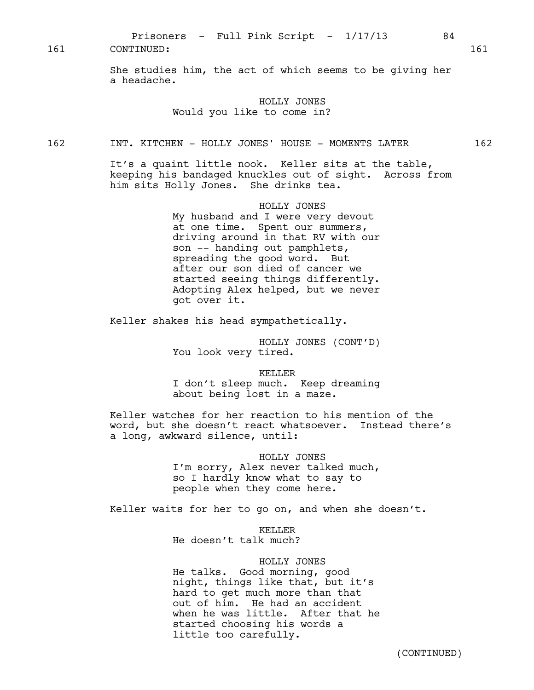She studies him, the act of which seems to be giving her a headache.

### HOLLY JONES Would you like to come in?

### 162 INT. KITCHEN - HOLLY JONES' HOUSE - MOMENTS LATER 162

It's a quaint little nook. Keller sits at the table, keeping his bandaged knuckles out of sight. Across from him sits Holly Jones. She drinks tea.

> HOLLY JONES My husband and I were very devout at one time. Spent our summers, driving around in that RV with our son -- handing out pamphlets, spreading the good word. But after our son died of cancer we started seeing things differently. Adopting Alex helped, but we never got over it.

Keller shakes his head sympathetically.

HOLLY JONES (CONT'D) You look very tired.

KELLER

I don't sleep much. Keep dreaming about being lost in a maze.

Keller watches for her reaction to his mention of the word, but she doesn't react whatsoever. Instead there's a long, awkward silence, until:

#### HOLLY JONES

I'm sorry, Alex never talked much, so I hardly know what to say to people when they come here.

Keller waits for her to go on, and when she doesn't.

KELLER

He doesn't talk much?

### HOLLY JONES

He talks. Good morning, good night, things like that, but it's hard to get much more than that out of him. He had an accident when he was little. After that he started choosing his words a little too carefully.

(CONTINUED)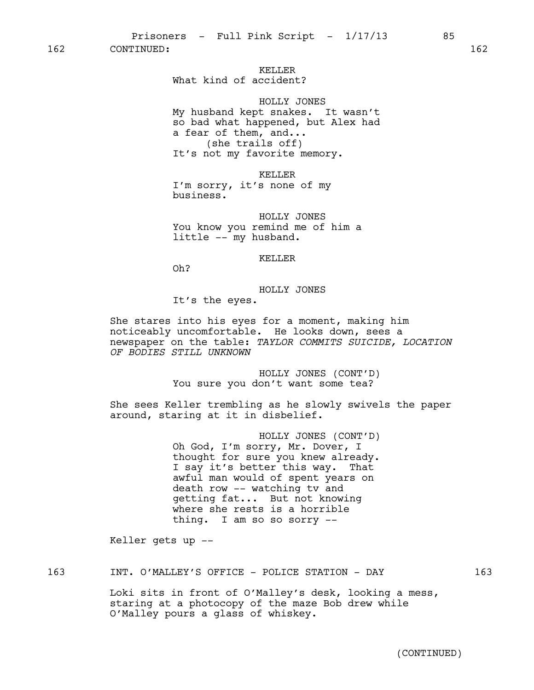Prisoners - Full Pink Script -  $1/17/13$  85

162 CONTINUED: 162

# KELLER

What kind of accident?

HOLLY JONES My husband kept snakes. It wasn't so bad what happened, but Alex had a fear of them, and... (she trails off) It's not my favorite memory.

KELLER I'm sorry, it's none of my business.

HOLLY JONES You know you remind me of him a little -- my husband.

### KELLER

Oh?

#### HOLLY JONES

It's the eyes.

She stares into his eyes for a moment, making him noticeably uncomfortable. He looks down, sees a newspaper on the table: *TAYLOR COMMITS SUICIDE, LOCATION OF BODIES STILL UNKNOWN*

> HOLLY JONES (CONT'D) You sure you don't want some tea?

She sees Keller trembling as he slowly swivels the paper around, staring at it in disbelief.

> HOLLY JONES (CONT'D) Oh God, I'm sorry, Mr. Dover, I thought for sure you knew already. I say it's better this way. That awful man would of spent years on death row -- watching tv and getting fat... But not knowing where she rests is a horrible thing. I am so so sorry --

Keller gets up --

### 163 INT. O'MALLEY'S OFFICE - POLICE STATION - DAY 163

Loki sits in front of O'Malley's desk, looking a mess, staring at a photocopy of the maze Bob drew while O'Malley pours a glass of whiskey.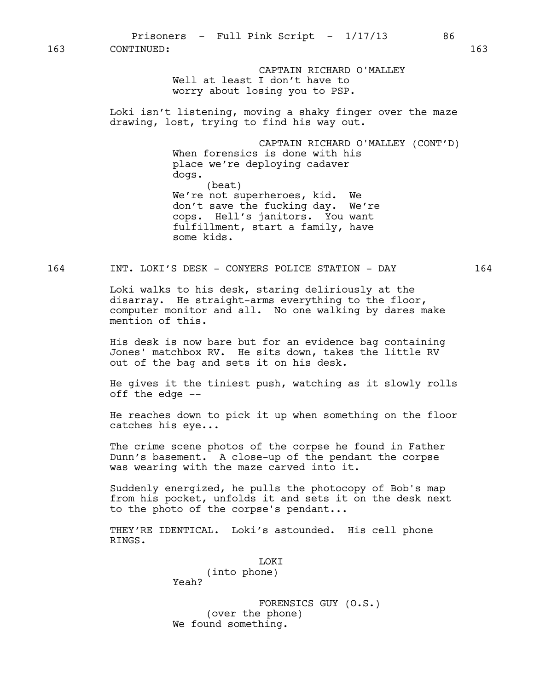Prisoners - Full Pink Script - 1/17/13 86

163 CONTINUED: 163

CAPTAIN RICHARD O'MALLEY Well at least I don't have to worry about losing you to PSP.

Loki isn't listening, moving a shaky finger over the maze drawing, lost, trying to find his way out.

> CAPTAIN RICHARD O'MALLEY (CONT'D) When forensics is done with his place we're deploying cadaver dogs. (beat) We're not superheroes, kid. We don't save the fucking day. We're cops. Hell's janitors. You want fulfillment, start a family, have some kids.

### 164 INT. LOKI'S DESK - CONYERS POLICE STATION - DAY 164

Loki walks to his desk, staring deliriously at the disarray. He straight-arms everything to the floor, computer monitor and all. No one walking by dares make mention of this.

His desk is now bare but for an evidence bag containing Jones' matchbox RV. He sits down, takes the little RV out of the bag and sets it on his desk.

He gives it the tiniest push, watching as it slowly rolls off the edge --

He reaches down to pick it up when something on the floor catches his eye...

The crime scene photos of the corpse he found in Father Dunn's basement. A close-up of the pendant the corpse was wearing with the maze carved into it.

Suddenly energized, he pulls the photocopy of Bob's map from his pocket, unfolds it and sets it on the desk next to the photo of the corpse's pendant...

THEY'RE IDENTICAL. Loki's astounded. His cell phone RINGS.

LOKI

(into phone) Yeah?

FORENSICS GUY (O.S.) (over the phone) We found something.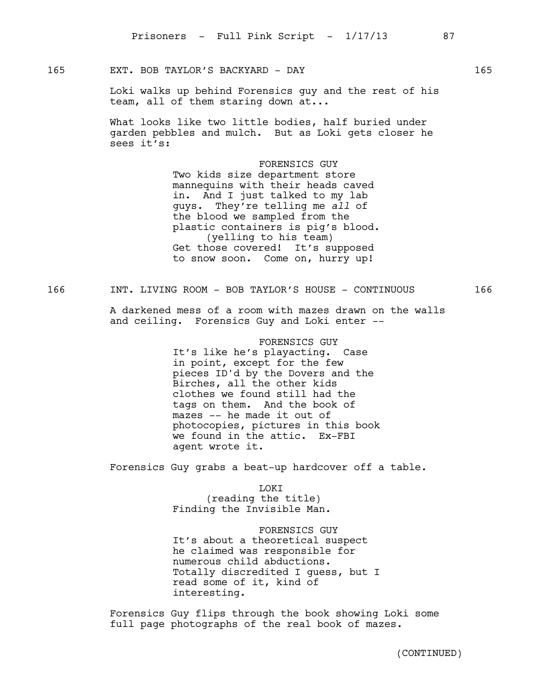### 165 EXT. BOB TAYLOR'S BACKYARD - DAY 165

Loki walks up behind Forensics guy and the rest of his team, all of them staring down at...

What looks like two little bodies, half buried under garden pebbles and mulch. But as Loki gets closer he sees it's:

> FORENSICS GUY Two kids size department store mannequins with their heads caved in. And I just talked to my lab guys. They're telling me *all* of the blood we sampled from the plastic containers is pig's blood. (yelling to his team) Get those covered! It's supposed to snow soon. Come on, hurry up!

166 INT. LIVING ROOM - BOB TAYLOR'S HOUSE - CONTINUOUS 166

A darkened mess of a room with mazes drawn on the walls and ceiling. Forensics Guy and Loki enter --

> FORENSICS GUY It's like he's playacting. Case in point, except for the few pieces ID'd by the Dovers and the Birches, all the other kids clothes we found still had the tags on them. And the book of mazes -- he made it out of photocopies, pictures in this book we found in the attic. Ex-FBI agent wrote it.

Forensics Guy grabs a beat-up hardcover off a table.

LOKI (reading the title) Finding the Invisible Man.

FORENSICS GUY It's about a theoretical suspect he claimed was responsible for numerous child abductions. Totally discredited I guess, but I read some of it, kind of interesting.

Forensics Guy flips through the book showing Loki some full page photographs of the real book of mazes.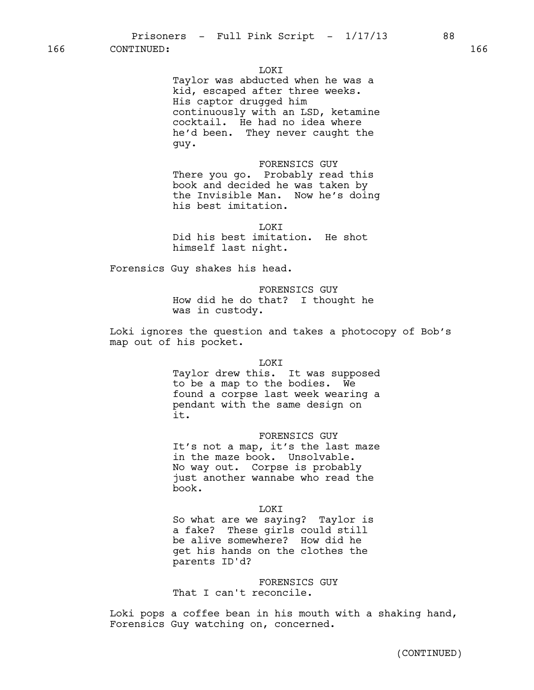### LOKI

Taylor was abducted when he was a kid, escaped after three weeks. His captor drugged him continuously with an LSD, ketamine cocktail. He had no idea where he'd been. They never caught the guy.

FORENSICS GUY There you go. Probably read this book and decided he was taken by the Invisible Man. Now he's doing his best imitation.

LOKI Did his best imitation. He shot himself last night.

Forensics Guy shakes his head.

FORENSICS GUY How did he do that? I thought he was in custody.

Loki ignores the question and takes a photocopy of Bob's map out of his pocket.

LOKI

Taylor drew this. It was supposed to be a map to the bodies. We found a corpse last week wearing a pendant with the same design on it.

FORENSICS GUY It's not a map, it's the last maze in the maze book. Unsolvable. No way out. Corpse is probably just another wannabe who read the book.

LOKI

So what are we saying? Taylor is a fake? These girls could still be alive somewhere? How did he get his hands on the clothes the parents ID'd?

FORENSICS GUY That I can't reconcile.

Loki pops a coffee bean in his mouth with a shaking hand, Forensics Guy watching on, concerned.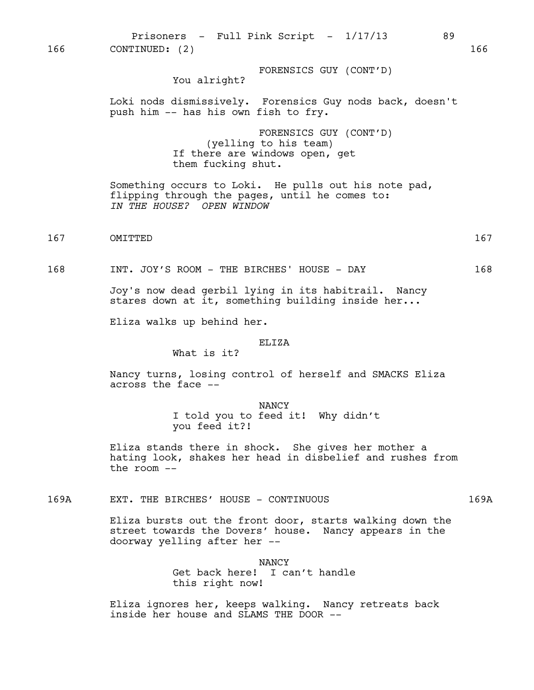Prisoners - Full Pink Script -  $1/17/13$  89 166 CONTINUED: (2) 166

FORENSICS GUY (CONT'D)

You alright?

Loki nods dismissively. Forensics Guy nods back, doesn't push him -- has his own fish to fry.

> FORENSICS GUY (CONT'D) (yelling to his team) If there are windows open, get them fucking shut.

Something occurs to Loki. He pulls out his note pad, flipping through the pages, until he comes to: *IN THE HOUSE? OPEN WINDOW*

167 OMITTED 167

168 INT. JOY'S ROOM - THE BIRCHES' HOUSE - DAY 168

Joy's now dead gerbil lying in its habitrail. Nancy stares down at it, something building inside her...

Eliza walks up behind her.

#### ELIZA

What is it?

Nancy turns, losing control of herself and SMACKS Eliza across the face --

> NANCY I told you to feed it! Why didn't you feed it?!

Eliza stands there in shock. She gives her mother a hating look, shakes her head in disbelief and rushes from the room --

169A EXT. THE BIRCHES' HOUSE - CONTINUOUS 169A

Eliza bursts out the front door, starts walking down the street towards the Dovers' house. Nancy appears in the doorway yelling after her --

> NANCY Get back here! I can't handle this right now!

Eliza ignores her, keeps walking. Nancy retreats back inside her house and SLAMS THE DOOR --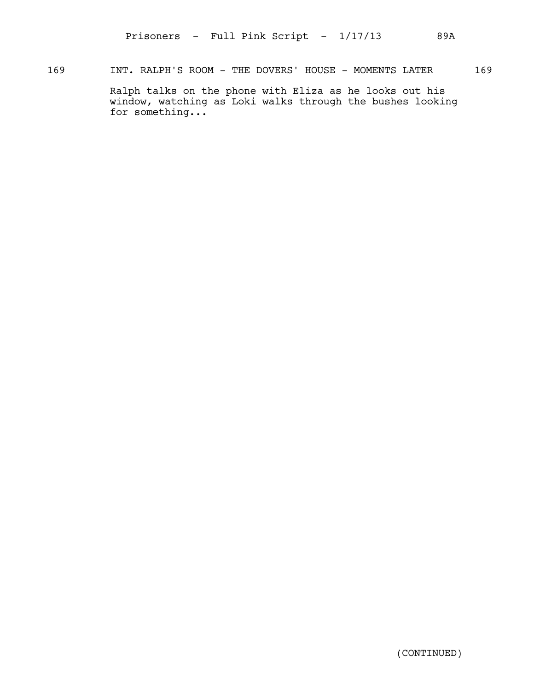### 169 INT. RALPH'S ROOM - THE DOVERS' HOUSE - MOMENTS LATER 169

Ralph talks on the phone with Eliza as he looks out his window, watching as Loki walks through the bushes looking for something...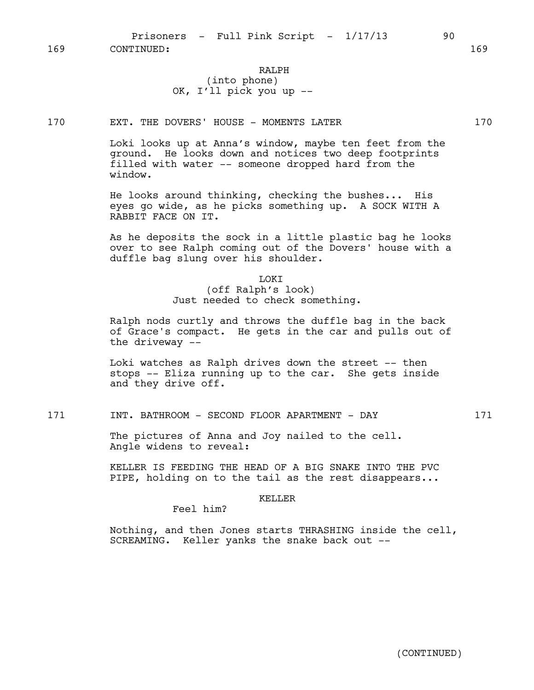### RALPH (into phone) OK, I'll pick you up --

#### 170 EXT. THE DOVERS' HOUSE - MOMENTS LATER 170

Loki looks up at Anna's window, maybe ten feet from the ground. He looks down and notices two deep footprints filled with water -- someone dropped hard from the window.

He looks around thinking, checking the bushes... His eyes go wide, as he picks something up. A SOCK WITH A RABBIT FACE ON IT.

As he deposits the sock in a little plastic bag he looks over to see Ralph coming out of the Dovers' house with a duffle bag slung over his shoulder.

### LOKI (off Ralph's look) Just needed to check something.

Ralph nods curtly and throws the duffle bag in the back of Grace's compact. He gets in the car and pulls out of the driveway --

Loki watches as Ralph drives down the street -- then stops -- Eliza running up to the car. She gets inside and they drive off.

### 171 INT. BATHROOM - SECOND FLOOR APARTMENT - DAY 171

The pictures of Anna and Joy nailed to the cell. Angle widens to reveal:

KELLER IS FEEDING THE HEAD OF A BIG SNAKE INTO THE PVC PIPE, holding on to the tail as the rest disappears...

#### KELLER

Feel him?

Nothing, and then Jones starts THRASHING inside the cell, SCREAMING. Keller yanks the snake back out --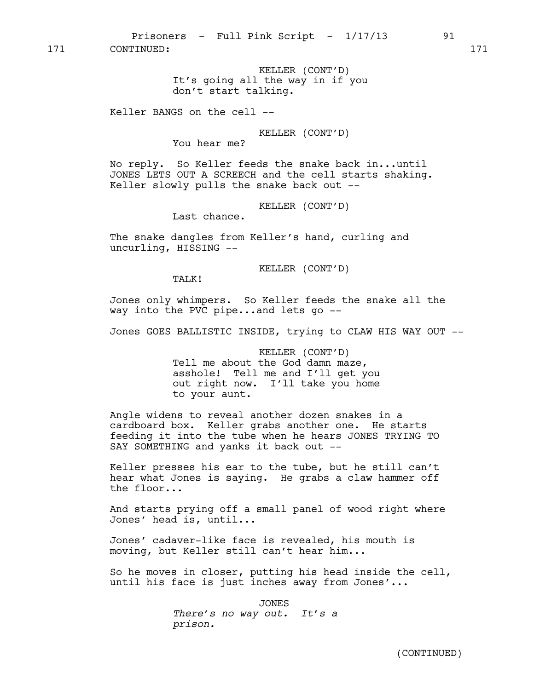KELLER (CONT'D) It's going all the way in if you don't start talking.

Keller BANGS on the cell --

KELLER (CONT'D)

You hear me?

No reply. So Keller feeds the snake back in...until JONES LETS OUT A SCREECH and the cell starts shaking. Keller slowly pulls the snake back out --

KELLER (CONT'D)

Last chance.

The snake dangles from Keller's hand, curling and uncurling, HISSING --

KELLER (CONT'D)

TALK!

Jones only whimpers. So Keller feeds the snake all the way into the PVC pipe...and lets go --

Jones GOES BALLISTIC INSIDE, trying to CLAW HIS WAY OUT --

KELLER (CONT'D) Tell me about the God damn maze, asshole! Tell me and I'll get you out right now. I'll take you home to your aunt.

Angle widens to reveal another dozen snakes in a cardboard box. Keller grabs another one. He starts feeding it into the tube when he hears JONES TRYING TO SAY SOMETHING and yanks it back out --

Keller presses his ear to the tube, but he still can't hear what Jones is saying. He grabs a claw hammer off the floor...

And starts prying off a small panel of wood right where Jones' head is, until...

Jones' cadaver-like face is revealed, his mouth is moving, but Keller still can't hear him...

So he moves in closer, putting his head inside the cell, until his face is just inches away from Jones'...

> JONES *There's no way out. It's a prison.*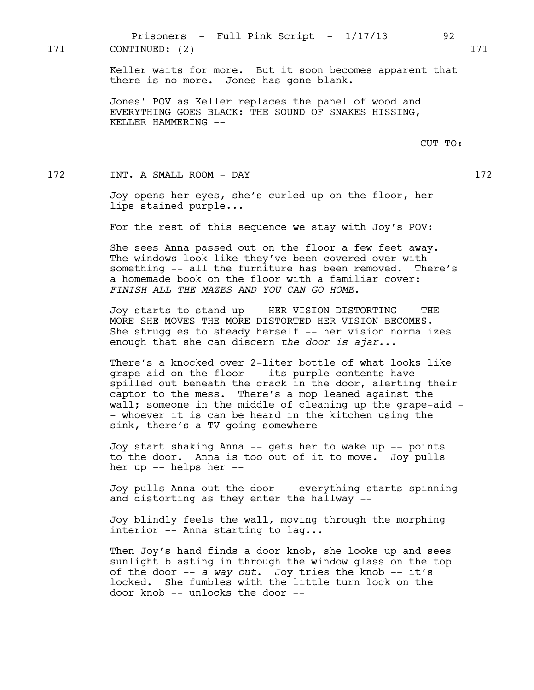Prisoners - Full Pink Script -  $1/17/13$  92 171 CONTINUED: (2) 171

> Keller waits for more. But it soon becomes apparent that there is no more. Jones has gone blank.

Jones' POV as Keller replaces the panel of wood and EVERYTHING GOES BLACK: THE SOUND OF SNAKES HISSING, KELLER HAMMERING --

CUT TO:

172 INT. A SMALL ROOM - DAY 172

Joy opens her eyes, she's curled up on the floor, her lips stained purple...

For the rest of this sequence we stay with Joy's POV:

She sees Anna passed out on the floor a few feet away. The windows look like they've been covered over with something -- all the furniture has been removed. There's a homemade book on the floor with a familiar cover: *FINISH ALL THE MAZES AND YOU CAN GO HOME.*

Joy starts to stand up -- HER VISION DISTORTING -- THE MORE SHE MOVES THE MORE DISTORTED HER VISION BECOMES. She struggles to steady herself -- her vision normalizes enough that she can discern *the door is ajar...* 

There's a knocked over 2-liter bottle of what looks like grape-aid on the floor -- its purple contents have spilled out beneath the crack in the door, alerting their captor to the mess. There's a mop leaned against the wall; someone in the middle of cleaning up the grape-aid -- whoever it is can be heard in the kitchen using the sink, there's a TV going somewhere --

Joy start shaking Anna -- gets her to wake up -- points to the door. Anna is too out of it to move. Joy pulls her up -- helps her --

Joy pulls Anna out the door -- everything starts spinning and distorting as they enter the hallway --

Joy blindly feels the wall, moving through the morphing interior -- Anna starting to lag...

Then Joy's hand finds a door knob, she looks up and sees sunlight blasting in through the window glass on the top of the door -- *a way out*. Joy tries the knob -- it's locked. She fumbles with the little turn lock on the door knob -- unlocks the door --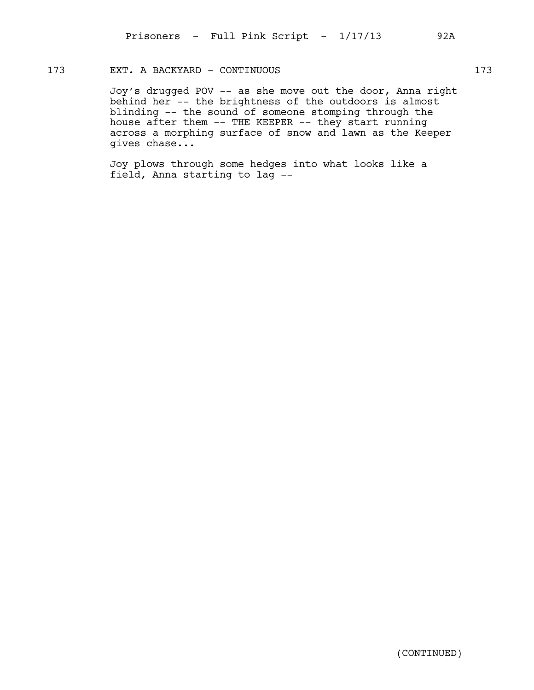### 173 EXT. A BACKYARD - CONTINUOUS 173

Joy's drugged POV -- as she move out the door, Anna right behind her -- the brightness of the outdoors is almost blinding -- the sound of someone stomping through the house after them -- THE KEEPER -- they start running across a morphing surface of snow and lawn as the Keeper gives chase...

Joy plows through some hedges into what looks like a field, Anna starting to lag --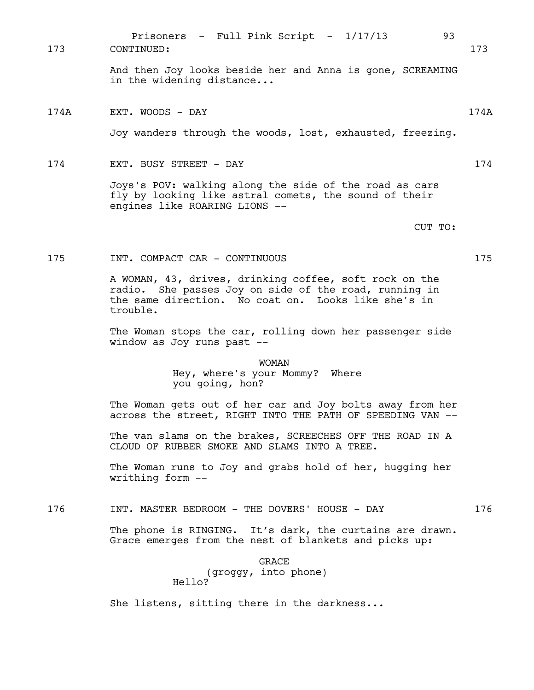Prisoners - Full Pink Script -  $1/17/13$  93 173 CONTINUED: 173

> And then Joy looks beside her and Anna is gone, SCREAMING in the widening distance...

174A EXT. WOODS - DAY 174A

Joy wanders through the woods, lost, exhausted, freezing.

174 EXT. BUSY STREET - DAY 174

Joys's POV: walking along the side of the road as cars fly by looking like astral comets, the sound of their engines like ROARING LIONS --

CUT TO:

175 INT. COMPACT CAR - CONTINUOUS 175

A WOMAN, 43, drives, drinking coffee, soft rock on the radio. She passes Joy on side of the road, running in the same direction. No coat on. Looks like she's in trouble.

The Woman stops the car, rolling down her passenger side window as Joy runs past --

> WOMAN Hey, where's your Mommy? Where you going, hon?

The Woman gets out of her car and Joy bolts away from her across the street, RIGHT INTO THE PATH OF SPEEDING VAN --

The van slams on the brakes, SCREECHES OFF THE ROAD IN A CLOUD OF RUBBER SMOKE AND SLAMS INTO A TREE.

The Woman runs to Joy and grabs hold of her, hugging her writhing form --

176 INT. MASTER BEDROOM - THE DOVERS' HOUSE - DAY 176

The phone is RINGING. It's dark, the curtains are drawn. Grace emerges from the nest of blankets and picks up:

> GRACE (groggy, into phone) Hello?

She listens, sitting there in the darkness...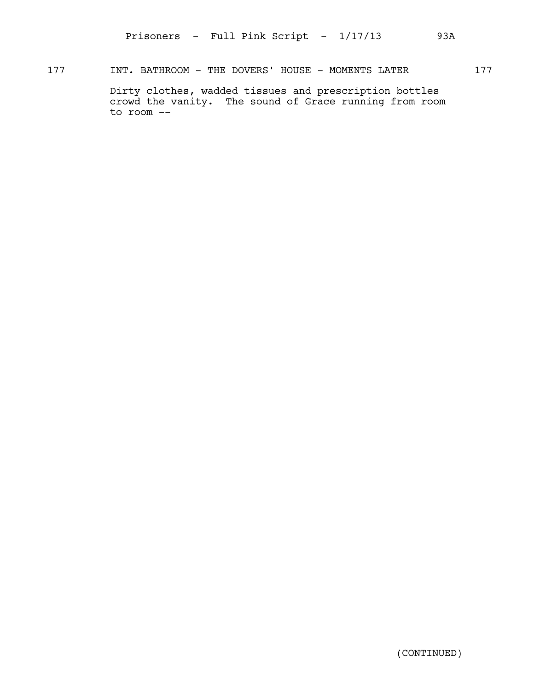177 INT. BATHROOM - THE DOVERS' HOUSE - MOMENTS LATER 177

Dirty clothes, wadded tissues and prescription bottles crowd the vanity. The sound of Grace running from room to room --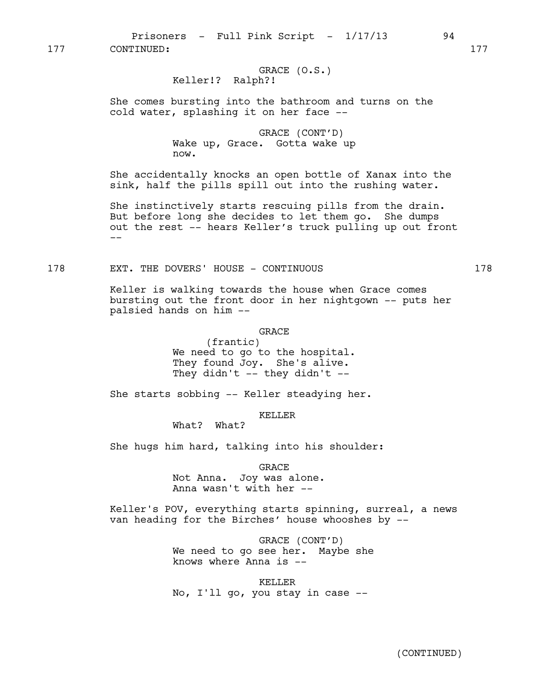Prisoners - Full Pink Script -  $1/17/13$  94 177 CONTINUED: 177

### GRACE (O.S.) Keller!? Ralph?!

She comes bursting into the bathroom and turns on the cold water, splashing it on her face --

> GRACE (CONT'D) Wake up, Grace. Gotta wake up now.

She accidentally knocks an open bottle of Xanax into the sink, half the pills spill out into the rushing water.

She instinctively starts rescuing pills from the drain. But before long she decides to let them go. She dumps out the rest -- hears Keller's truck pulling up out front  $-$ 

178 EXT. THE DOVERS' HOUSE - CONTINUOUS 178

Keller is walking towards the house when Grace comes bursting out the front door in her nightgown -- puts her palsied hands on him --

### GRACE

(frantic) We need to go to the hospital. They found Joy. She's alive. They didn't  $-$  they didn't  $-$ 

She starts sobbing -- Keller steadying her.

KELLER

What? What?

She hugs him hard, talking into his shoulder:

GRACE

Not Anna. Joy was alone. Anna wasn't with her --

Keller's POV, everything starts spinning, surreal, a news van heading for the Birches' house whooshes by --

> GRACE (CONT'D) We need to go see her. Maybe she knows where Anna is --

KELLER No, I'll go, you stay in case --

(CONTINUED)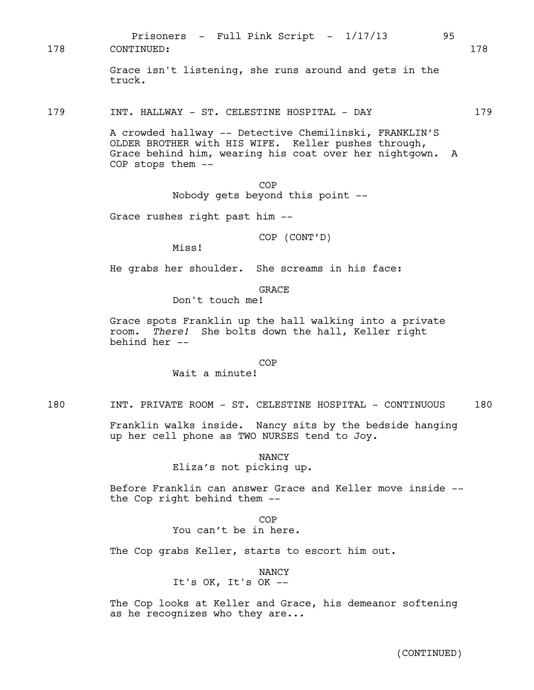Prisoners - Full Pink Script -  $1/17/13$  95 178 CONTINUED: 178

> Grace isn't listening, she runs around and gets in the truck.

179 INT. HALLWAY - ST. CELESTINE HOSPITAL - DAY 179

A crowded hallway -- Detective Chemilinski, FRANKLIN'S OLDER BROTHER with HIS WIFE. Keller pushes through, Grace behind him, wearing his coat over her nightgown. A COP stops them --

> COP Nobody gets beyond this point --

Grace rushes right past him --

COP (CONT'D)

Miss!

He grabs her shoulder. She screams in his face:

**GRACE** 

Don't touch me!

Grace spots Franklin up the hall walking into a private room. *There!* She bolts down the hall, Keller right behind her --

#### COP

Wait a minute!

180 INT. PRIVATE ROOM - ST. CELESTINE HOSPITAL - CONTINUOUS 180

Franklin walks inside. Nancy sits by the bedside hanging up her cell phone as TWO NURSES tend to Joy.

NANCY

Eliza's not picking up.

Before Franklin can answer Grace and Keller move inside - the Cop right behind them --

> COP You can't be in here.

The Cop grabs Keller, starts to escort him out.

#### NANCY

It's OK, It's OK --

The Cop looks at Keller and Grace, his demeanor softening as he recognizes who they are...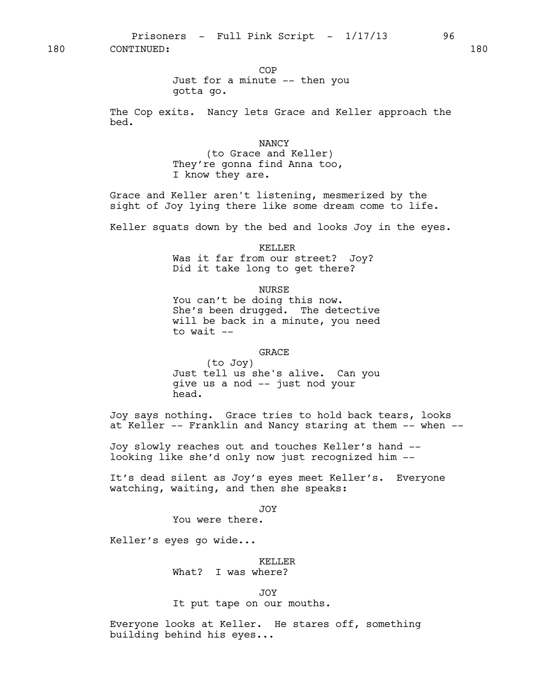Prisoners - Full Pink Script -  $1/17/13$  96 180 CONTINUED: 180

COP

Just for a minute -- then you gotta go.

The Cop exits. Nancy lets Grace and Keller approach the bed.

NANCY

(to Grace and Keller) They're gonna find Anna too, I know they are.

Grace and Keller aren't listening, mesmerized by the sight of Joy lying there like some dream come to life.

Keller squats down by the bed and looks Joy in the eyes.

KELLER

Was it far from our street? Joy? Did it take long to get there?

NURSE

You can't be doing this now. She's been drugged. The detective will be back in a minute, you need to wait --

### GRACE

(to Joy) Just tell us she's alive. Can you give us a nod -- just nod your head.

Joy says nothing. Grace tries to hold back tears, looks at Keller -- Franklin and Nancy staring at them -- when --

Joy slowly reaches out and touches Keller's hand - looking like she'd only now just recognized him --

It's dead silent as Joy's eyes meet Keller's. Everyone watching, waiting, and then she speaks:

JOY

You were there.

Keller's eyes go wide...

# KELLER

What? I was where?

JOY

It put tape on our mouths.

Everyone looks at Keller. He stares off, something building behind his eyes...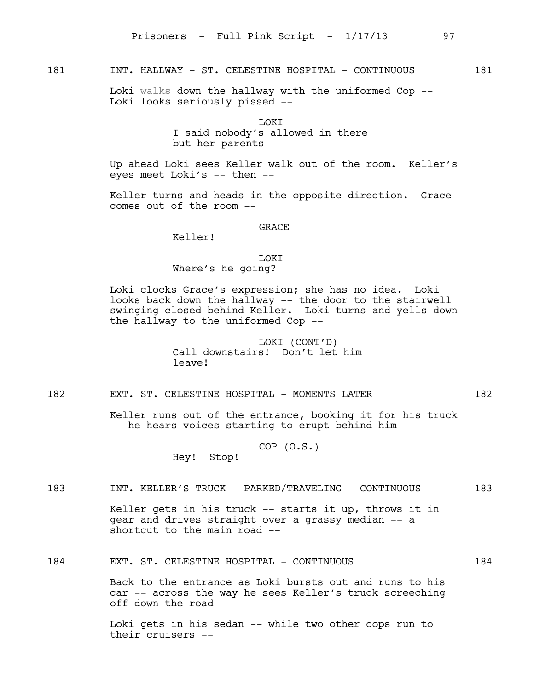# 181 INT. HALLWAY - ST. CELESTINE HOSPITAL - CONTINUOUS 181

Loki walks down the hallway with the uniformed Cop -- Loki looks seriously pissed --

> **LOKT** I said nobody's allowed in there but her parents --

Up ahead Loki sees Keller walk out of the room. Keller's eyes meet Loki's  $-$  then  $-$ 

Keller turns and heads in the opposite direction. Grace comes out of the room --

GRACE

Keller!

**TOKT** Where's he going?

Loki clocks Grace's expression; she has no idea. Loki looks back down the hallway -- the door to the stairwell swinging closed behind Keller. Loki turns and yells down the hallway to the uniformed Cop --

> LOKI (CONT'D) Call downstairs! Don't let him leave!

182 EXT. ST. CELESTINE HOSPITAL - MOMENTS LATER 182

Keller runs out of the entrance, booking it for his truck -- he hears voices starting to erupt behind him --

> COP (O.S.) Hey! Stop!

# 183 INT. KELLER'S TRUCK - PARKED/TRAVELING - CONTINUOUS 183

Keller gets in his truck -- starts it up, throws it in gear and drives straight over a grassy median -- a shortcut to the main road --

### 184 EXT. ST. CELESTINE HOSPITAL - CONTINUOUS 184

Back to the entrance as Loki bursts out and runs to his car -- across the way he sees Keller's truck screeching off down the road --

Loki gets in his sedan -- while two other cops run to their cruisers --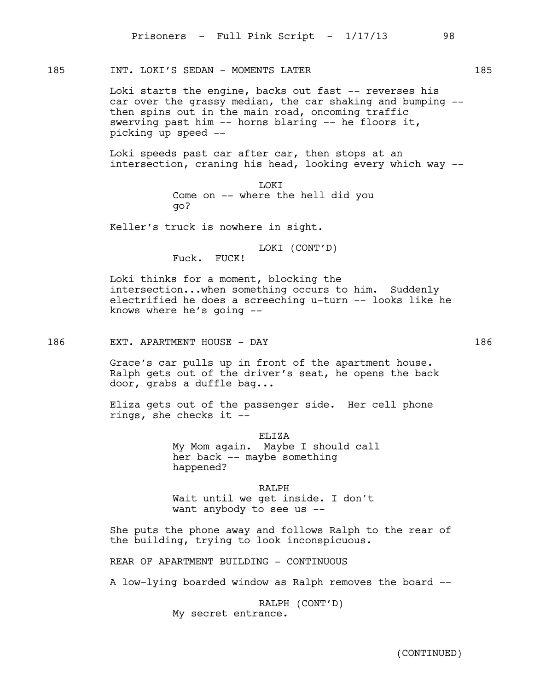185 INT. LOKI'S SEDAN - MOMENTS LATER 185

Loki starts the engine, backs out fast -- reverses his car over the grassy median, the car shaking and bumping - then spins out in the main road, oncoming traffic swerving past him -- horns blaring -- he floors it, picking up speed --

Loki speeds past car after car, then stops at an intersection, craning his head, looking every which way --

> **LOKT** Come on -- where the hell did you go?

Keller's truck is nowhere in sight.

LOKI (CONT'D)

Fuck. FUCK!

Loki thinks for a moment, blocking the intersection...when something occurs to him. Suddenly electrified he does a screeching u-turn -- looks like he knows where he's going --

186 EXT. APARTMENT HOUSE - DAY 186

Grace's car pulls up in front of the apartment house. Ralph gets out of the driver's seat, he opens the back door, grabs a duffle bag...

Eliza gets out of the passenger side. Her cell phone rings, she checks it --

> ELIZA My Mom again. Maybe I should call her back -- maybe something happened?

RALPH Wait until we get inside. I don't want anybody to see us --

She puts the phone away and follows Ralph to the rear of the building, trying to look inconspicuous.

REAR OF APARTMENT BUILDING - CONTINUOUS

A low-lying boarded window as Ralph removes the board --

RALPH (CONT'D) My secret entrance.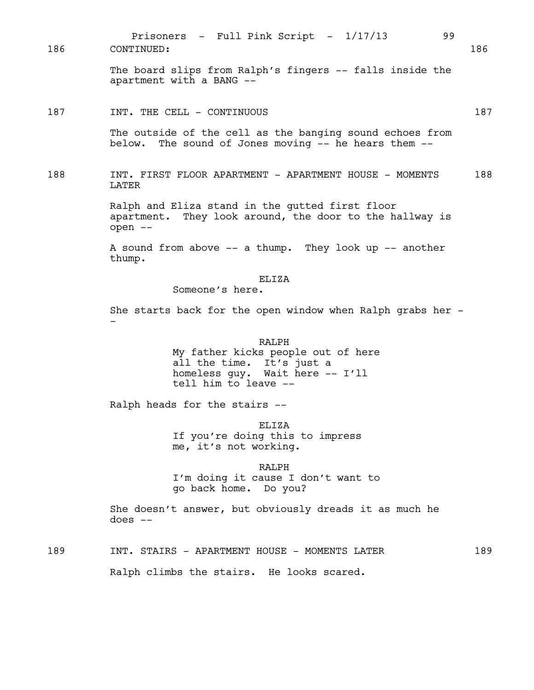The board slips from Ralph's fingers -- falls inside the apartment with a BANG -- 187 INT. THE CELL - CONTINUOUS 187 The outside of the cell as the banging sound echoes from below. The sound of Jones moving -- he hears them -- 188 INT. FIRST FLOOR APARTMENT - APARTMENT HOUSE - MOMENTS 188 LATER Ralph and Eliza stand in the gutted first floor apartment. They look around, the door to the hallway is open -- A sound from above -- a thump. They look up -- another thump. ELIZA Someone's here. She starts back for the open window when Ralph grabs her - - RALPH My father kicks people out of here all the time. It's just a homeless guy. Wait here -- I'll tell him to leave -- Ralph heads for the stairs -- ELIZA If you're doing this to impress me, it's not working. RALPH I'm doing it cause I don't want to go back home. Do you? She doesn't answer, but obviously dreads it as much he  $does --$ 189 INT. STAIRS - APARTMENT HOUSE - MOMENTS LATER 189 Ralph climbs the stairs. He looks scared. Prisoners - Full Pink Script -  $1/17/13$  99 186 CONTINUED: 186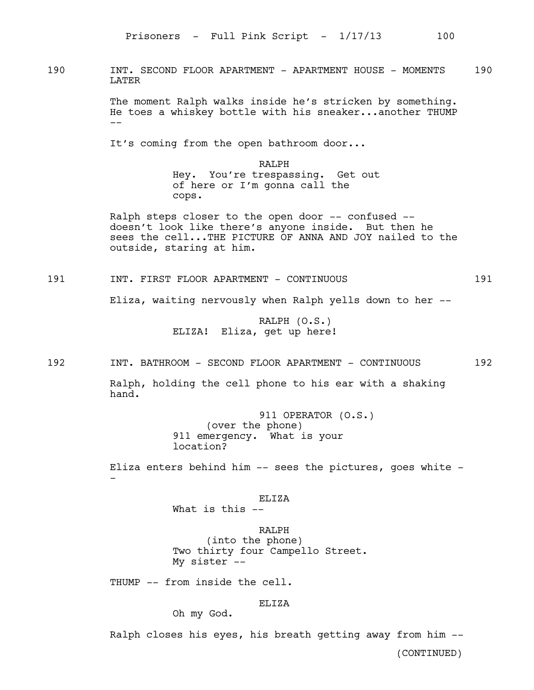190 INT. SECOND FLOOR APARTMENT - APARTMENT HOUSE - MOMENTS 190 LATER

> The moment Ralph walks inside he's stricken by something. He toes a whiskey bottle with his sneaker...another THUMP --

It's coming from the open bathroom door...

RALPH Hey. You're trespassing. Get out of here or I'm gonna call the cops.

Ralph steps closer to the open door -- confused - doesn't look like there's anyone inside. But then he sees the cell...THE PICTURE OF ANNA AND JOY nailed to the outside, staring at him.

191 INT. FIRST FLOOR APARTMENT - CONTINUOUS 191

Eliza, waiting nervously when Ralph yells down to her --

RALPH (O.S.) ELIZA! Eliza, get up here!

192 INT. BATHROOM - SECOND FLOOR APARTMENT - CONTINUOUS 192

Ralph, holding the cell phone to his ear with a shaking hand.

> 911 OPERATOR (O.S.) (over the phone) 911 emergency. What is your location?

Eliza enters behind him -- sees the pictures, goes white - -

### ELIZA

What is this  $-$ 

RALPH (into the phone) Two thirty four Campello Street. My sister --

THUMP -- from inside the cell.

# ELIZA

Oh my God.

Ralph closes his eyes, his breath getting away from him --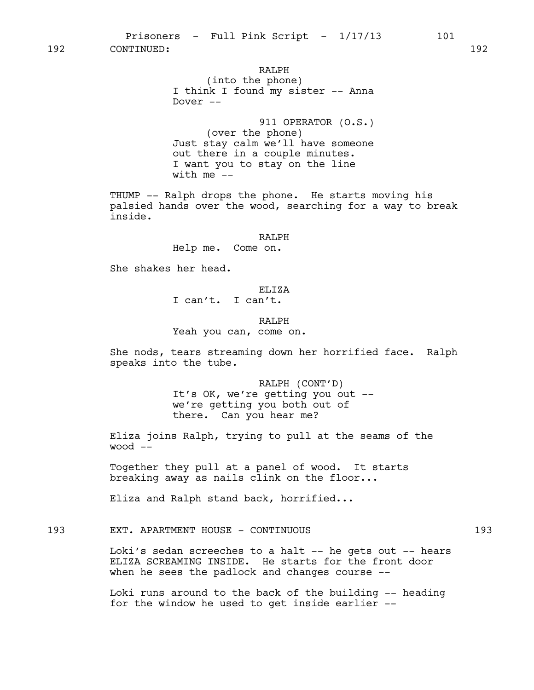# RALPH (into the phone) I think I found my sister -- Anna Dover --

911 OPERATOR (O.S.) (over the phone) Just stay calm we'll have someone out there in a couple minutes. I want you to stay on the line with me  $--$ 

THUMP -- Ralph drops the phone. He starts moving his palsied hands over the wood, searching for a way to break inside.

#### RALPH

Help me. Come on.

She shakes her head.

ELIZA

I can't. I can't.

RALPH

Yeah you can, come on.

She nods, tears streaming down her horrified face. Ralph speaks into the tube.

> RALPH (CONT'D) It's OK, we're getting you out - we're getting you both out of there. Can you hear me?

Eliza joins Ralph, trying to pull at the seams of the wood --

Together they pull at a panel of wood. It starts breaking away as nails clink on the floor...

Eliza and Ralph stand back, horrified...

193 EXT. APARTMENT HOUSE - CONTINUOUS 193

Loki's sedan screeches to a halt -- he gets out -- hears ELIZA SCREAMING INSIDE. He starts for the front door when he sees the padlock and changes course --

Loki runs around to the back of the building -- heading for the window he used to get inside earlier --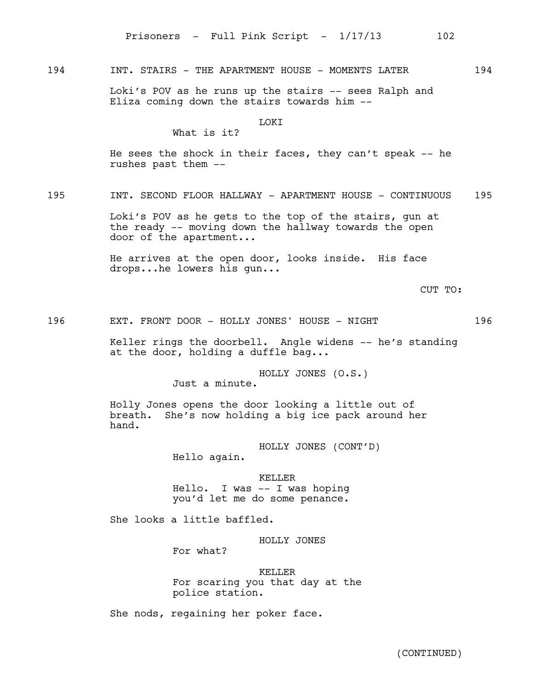194 INT. STAIRS - THE APARTMENT HOUSE - MOMENTS LATER 194

Loki's POV as he runs up the stairs -- sees Ralph and Eliza coming down the stairs towards him --

#### **LOKT**

# What is it?

He sees the shock in their faces, they can't speak -- he rushes past them --

195 INT. SECOND FLOOR HALLWAY - APARTMENT HOUSE - CONTINUOUS 195

Loki's POV as he gets to the top of the stairs, gun at the ready -- moving down the hallway towards the open door of the apartment...

He arrives at the open door, looks inside. His face drops...he lowers his gun...

CUT TO:

196 EXT. FRONT DOOR - HOLLY JONES' HOUSE - NIGHT 196

Keller rings the doorbell. Angle widens -- he's standing at the door, holding a duffle bag...

> HOLLY JONES (O.S.) Just a minute.

Holly Jones opens the door looking a little out of breath. She's now holding a big ice pack around her hand.

> HOLLY JONES (CONT'D) Hello again.

KELLER Hello. I was -- I was hoping you'd let me do some penance.

She looks a little baffled.

HOLLY JONES

For what?

### KELLER For scaring you that day at the police station.

She nods, regaining her poker face.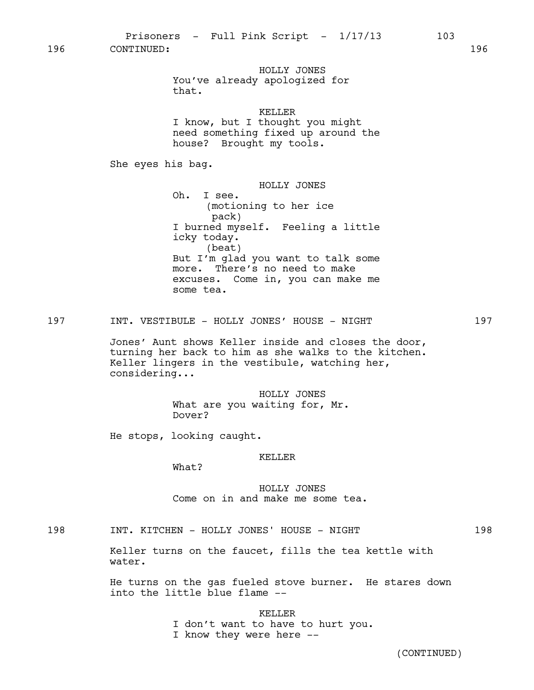HOLLY JONES You've already apologized for that.

### KELLER

I know, but I thought you might need something fixed up around the house? Brought my tools.

She eyes his bag.

HOLLY JONES Oh. I see. (motioning to her ice pack) I burned myself. Feeling a little icky today. (beat) But I'm glad you want to talk some more. There's no need to make excuses. Come in, you can make me some tea.

### 197 INT. VESTIBULE - HOLLY JONES' HOUSE - NIGHT 197

Jones' Aunt shows Keller inside and closes the door, turning her back to him as she walks to the kitchen. Keller lingers in the vestibule, watching her, considering...

> HOLLY JONES What are you waiting for, Mr. Dover?

He stops, looking caught.

#### KELLER

What?

HOLLY JONES Come on in and make me some tea.

198 INT. KITCHEN - HOLLY JONES' HOUSE - NIGHT 198

Keller turns on the faucet, fills the tea kettle with water.

He turns on the gas fueled stove burner. He stares down into the little blue flame --

#### KELLER

I don't want to have to hurt you. I know they were here --

(CONTINUED)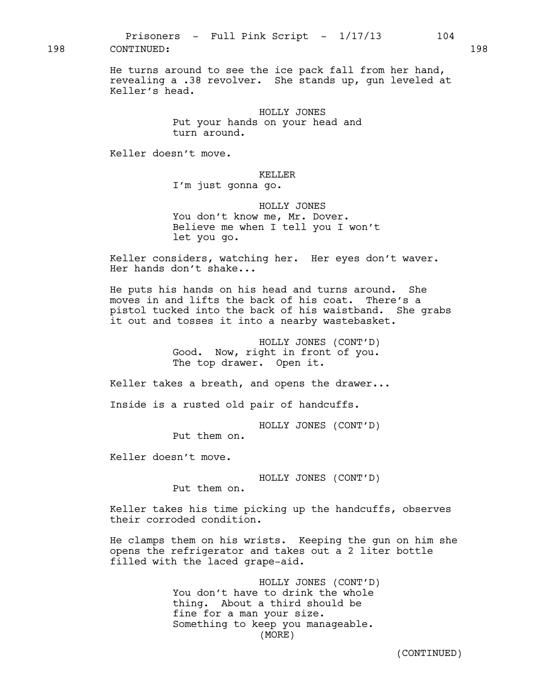198 CONTINUED: 198

He turns around to see the ice pack fall from her hand, revealing a .38 revolver. She stands up, gun leveled at Keller's head.

> HOLLY JONES Put your hands on your head and turn around.

Keller doesn't move.

#### KELLER

I'm just gonna go.

HOLLY JONES You don't know me, Mr. Dover. Believe me when I tell you I won't let you go.

Keller considers, watching her. Her eyes don't waver. Her hands don't shake...

He puts his hands on his head and turns around. She moves in and lifts the back of his coat. There's a pistol tucked into the back of his waistband. She grabs it out and tosses it into a nearby wastebasket.

> HOLLY JONES (CONT'D) Good. Now, right in front of you. The top drawer. Open it.

Keller takes a breath, and opens the drawer...

Inside is a rusted old pair of handcuffs.

HOLLY JONES (CONT'D)

Put them on.

Keller doesn't move.

HOLLY JONES (CONT'D)

Put them on.

Keller takes his time picking up the handcuffs, observes their corroded condition.

He clamps them on his wrists. Keeping the gun on him she opens the refrigerator and takes out a 2 liter bottle filled with the laced grape-aid.

> HOLLY JONES (CONT'D) You don't have to drink the whole thing. About a third should be fine for a man your size. Something to keep you manageable. (MORE)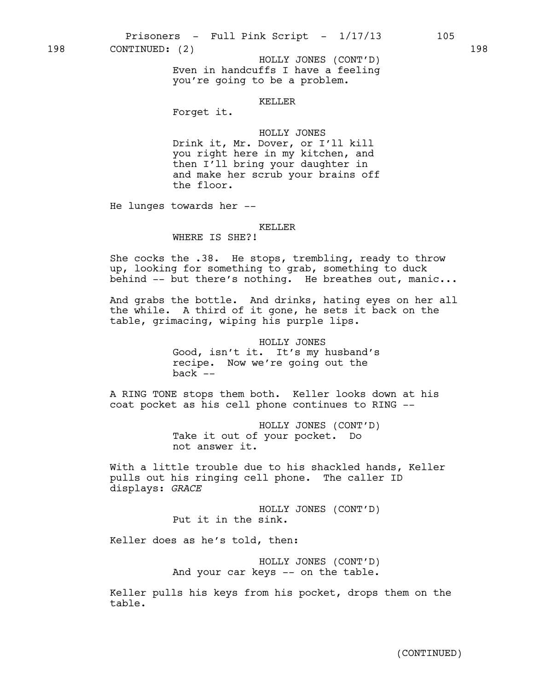198 CONTINUED: (2) 198

Even in handcuffs I have a feeling you're going to be a problem. HOLLY JONES (CONT'D)

### KELLER

Forget it.

### HOLLY JONES

Drink it, Mr. Dover, or I'll kill you right here in my kitchen, and then I'll bring your daughter in and make her scrub your brains off the floor.

He lunges towards her --

#### KELLER

# WHERE IS SHE?!

She cocks the .38. He stops, trembling, ready to throw up, looking for something to grab, something to duck behind -- but there's nothing. He breathes out, manic...

And grabs the bottle. And drinks, hating eyes on her all the while. A third of it gone, he sets it back on the table, grimacing, wiping his purple lips.

> HOLLY JONES Good, isn't it. It's my husband's recipe. Now we're going out the back --

A RING TONE stops them both. Keller looks down at his coat pocket as his cell phone continues to RING --

> HOLLY JONES (CONT'D) Take it out of your pocket. Do not answer it.

With a little trouble due to his shackled hands, Keller pulls out his ringing cell phone. The caller ID displays: *GRACE*

> HOLLY JONES (CONT'D) Put it in the sink.

Keller does as he's told, then:

HOLLY JONES (CONT'D) And your car keys -- on the table.

Keller pulls his keys from his pocket, drops them on the table.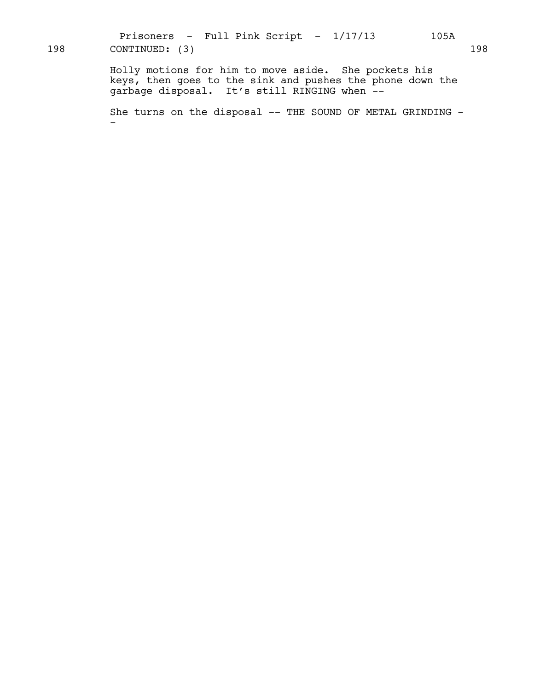Prisoners - Full Pink Script -  $1/17/13$  105A 198 CONTINUED: (3) 198

> Holly motions for him to move aside. She pockets his keys, then goes to the sink and pushes the phone down the garbage disposal. It's still RINGING when --

She turns on the disposal -- THE SOUND OF METAL GRINDING --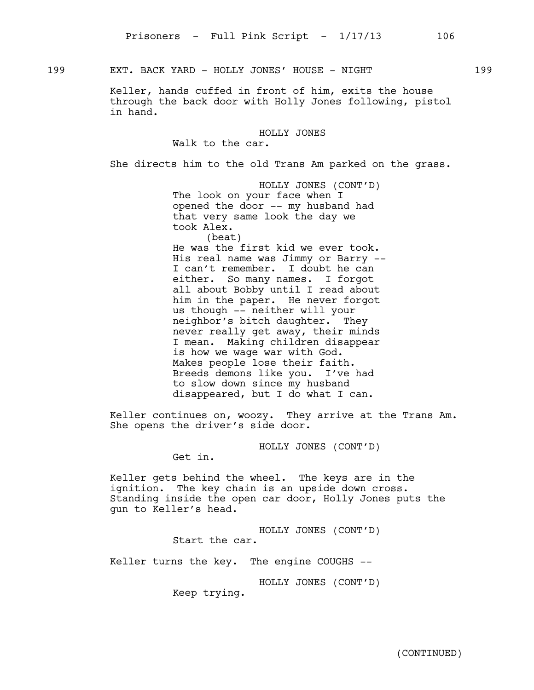199 EXT. BACK YARD - HOLLY JONES' HOUSE - NIGHT 199

Keller, hands cuffed in front of him, exits the house through the back door with Holly Jones following, pistol in hand.

HOLLY JONES

Walk to the car.

She directs him to the old Trans Am parked on the grass.

HOLLY JONES (CONT'D) The look on your face when I opened the door -- my husband had that very same look the day we took Alex. (beat)

He was the first kid we ever took. His real name was Jimmy or Barry -- I can't remember. I doubt he can either. So many names. I forgot all about Bobby until I read about him in the paper. He never forgot us though -- neither will your neighbor's bitch daughter. They never really get away, their minds I mean. Making children disappear is how we wage war with God. Makes people lose their faith. Breeds demons like you. I've had to slow down since my husband disappeared, but I do what I can.

Keller continues on, woozy. They arrive at the Trans Am. She opens the driver's side door.

HOLLY JONES (CONT'D)

Get in.

Keller gets behind the wheel. The keys are in the ignition. The key chain is an upside down cross. Standing inside the open car door, Holly Jones puts the gun to Keller's head.

> HOLLY JONES (CONT'D) Start the car.

Keller turns the key. The engine COUGHS --

HOLLY JONES (CONT'D)

Keep trying.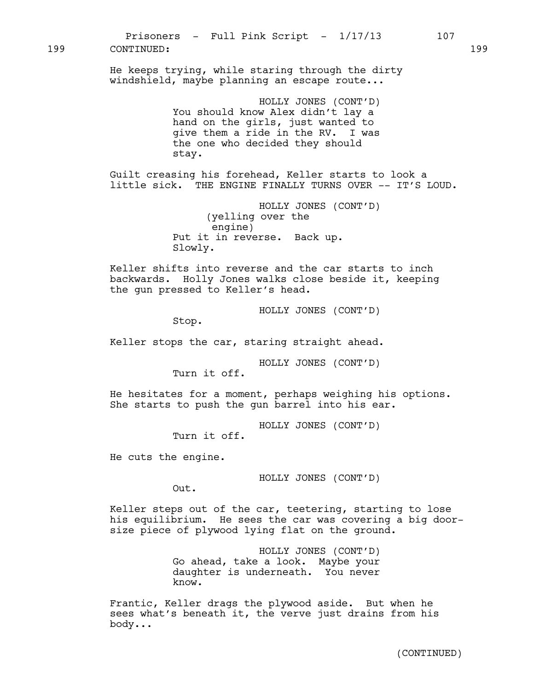199 CONTINUED: 199

He keeps trying, while staring through the dirty windshield, maybe planning an escape route...

> HOLLY JONES (CONT'D) You should know Alex didn't lay a hand on the girls, just wanted to give them a ride in the RV. I was the one who decided they should stay.

Guilt creasing his forehead, Keller starts to look a little sick. THE ENGINE FINALLY TURNS OVER -- IT'S LOUD.

> HOLLY JONES (CONT'D) (yelling over the engine) Put it in reverse. Back up. Slowly.

Keller shifts into reverse and the car starts to inch backwards. Holly Jones walks close beside it, keeping the gun pressed to Keller's head.

HOLLY JONES (CONT'D)

Stop.

Keller stops the car, staring straight ahead.

HOLLY JONES (CONT'D)

Turn it off.

He hesitates for a moment, perhaps weighing his options. She starts to push the gun barrel into his ear.

HOLLY JONES (CONT'D)

Turn it off.

He cuts the engine.

HOLLY JONES (CONT'D)

Out.

Keller steps out of the car, teetering, starting to lose his equilibrium. He sees the car was covering a big doorsize piece of plywood lying flat on the ground.

> HOLLY JONES (CONT'D) Go ahead, take a look. Maybe your daughter is underneath. You never know.

Frantic, Keller drags the plywood aside. But when he sees what's beneath it, the verve just drains from his body...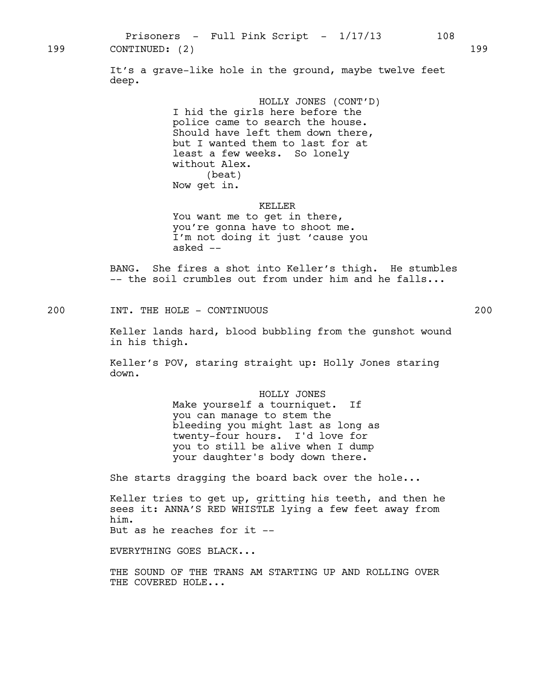Prisoners - Full Pink Script -  $1/17/13$  108 199 CONTINUED: (2) 199

> It's a grave-like hole in the ground, maybe twelve feet deep.

> > HOLLY JONES (CONT'D) I hid the girls here before the police came to search the house. Should have left them down there, but I wanted them to last for at least a few weeks. So lonely without Alex. (beat) Now get in.

#### KELLER

You want me to get in there, you're gonna have to shoot me. I'm not doing it just 'cause you asked --

BANG. She fires a shot into Keller's thigh. He stumbles -- the soil crumbles out from under him and he falls...

200 INT. THE HOLE - CONTINUOUS 200

Keller lands hard, blood bubbling from the gunshot wound in his thigh.

Keller's POV, staring straight up: Holly Jones staring down.

> HOLLY JONES Make yourself a tourniquet. If you can manage to stem the bleeding you might last as long as twenty-four hours. I'd love for you to still be alive when I dump your daughter's body down there.

She starts dragging the board back over the hole...

Keller tries to get up, gritting his teeth, and then he sees it: ANNA'S RED WHISTLE lying a few feet away from him. But as he reaches for it --

EVERYTHING GOES BLACK...

THE SOUND OF THE TRANS AM STARTING UP AND ROLLING OVER THE COVERED HOLE...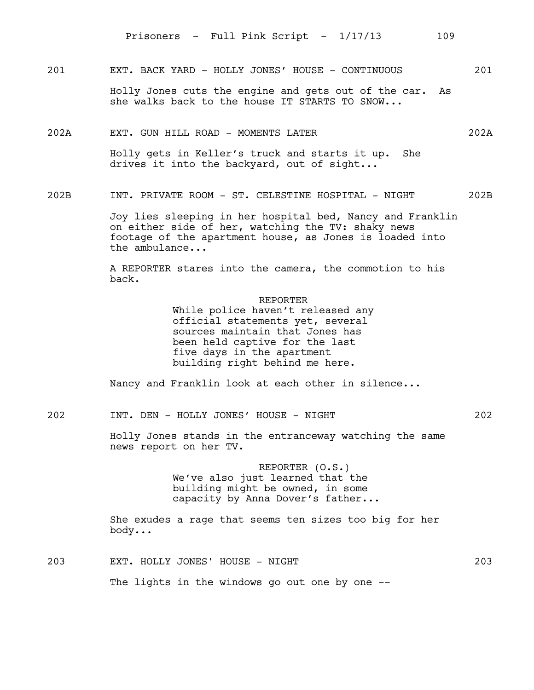201 EXT. BACK YARD - HOLLY JONES' HOUSE - CONTINUOUS 201

Holly Jones cuts the engine and gets out of the car. As she walks back to the house IT STARTS TO SNOW...

202A EXT. GUN HILL ROAD - MOMENTS LATER 202A

Holly gets in Keller's truck and starts it up. She drives it into the backyard, out of sight...

202B INT. PRIVATE ROOM - ST. CELESTINE HOSPITAL - NIGHT 202B

Joy lies sleeping in her hospital bed, Nancy and Franklin on either side of her, watching the TV: shaky news footage of the apartment house, as Jones is loaded into the ambulance...

A REPORTER stares into the camera, the commotion to his back.

REPORTER

While police haven't released any official statements yet, several sources maintain that Jones has been held captive for the last five days in the apartment building right behind me here.

Nancy and Franklin look at each other in silence...

202 INT. DEN - HOLLY JONES' HOUSE - NIGHT 202

Holly Jones stands in the entranceway watching the same news report on her TV.

> REPORTER (O.S.) We've also just learned that the building might be owned, in some capacity by Anna Dover's father...

She exudes a rage that seems ten sizes too big for her body...

203 EXT. HOLLY JONES' HOUSE - NIGHT 203

The lights in the windows go out one by one --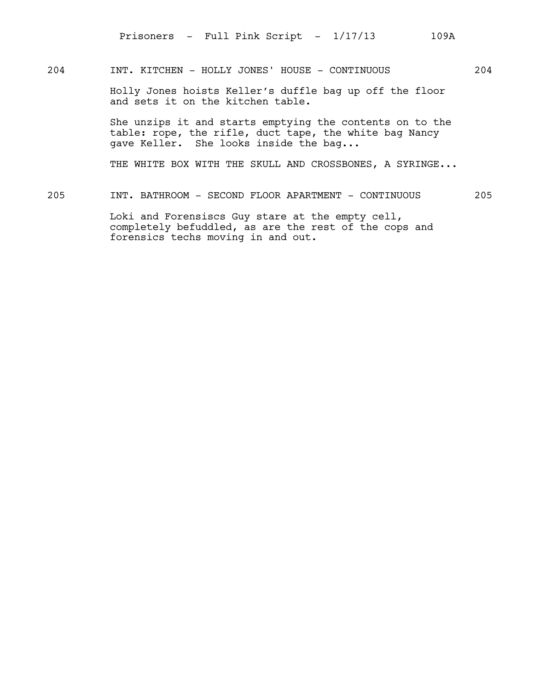# 204 INT. KITCHEN - HOLLY JONES' HOUSE - CONTINUOUS 204

Holly Jones hoists Keller's duffle bag up off the floor and sets it on the kitchen table.

She unzips it and starts emptying the contents on to the table: rope, the rifle, duct tape, the white bag Nancy gave Keller. She looks inside the bag...

THE WHITE BOX WITH THE SKULL AND CROSSBONES, A SYRINGE...

205 INT. BATHROOM - SECOND FLOOR APARTMENT - CONTINUOUS 205

Loki and Forensiscs Guy stare at the empty cell, completely befuddled, as are the rest of the cops and forensics techs moving in and out.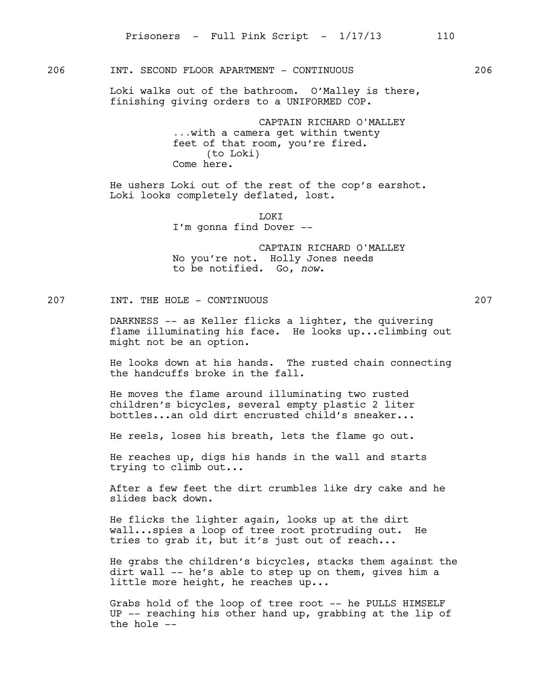# 206 INT. SECOND FLOOR APARTMENT - CONTINUOUS 206

Loki walks out of the bathroom. O'Malley is there, finishing giving orders to a UNIFORMED COP.

> CAPTAIN RICHARD O'MALLEY ...with a camera get within twenty feet of that room, you're fired. (to Loki) Come here.

He ushers Loki out of the rest of the cop's earshot. Loki looks completely deflated, lost.

> LOKI I'm gonna find Dover --

CAPTAIN RICHARD O'MALLEY No you're not. Holly Jones needs to be notified. Go, *now*.

207 INT. THE HOLE - CONTINUOUS 207 207

DARKNESS -- as Keller flicks a lighter, the quivering flame illuminating his face. He looks up...climbing out might not be an option.

He looks down at his hands. The rusted chain connecting the handcuffs broke in the fall.

He moves the flame around illuminating two rusted children's bicycles, several empty plastic 2 liter bottles...an old dirt encrusted child's sneaker...

He reels, loses his breath, lets the flame go out.

He reaches up, digs his hands in the wall and starts trying to climb out...

After a few feet the dirt crumbles like dry cake and he slides back down.

He flicks the lighter again, looks up at the dirt wall...spies a loop of tree root protruding out. He tries to grab it, but it's just out of reach...

He grabs the children's bicycles, stacks them against the dirt wall -- he's able to step up on them, gives him a little more height, he reaches up...

Grabs hold of the loop of tree root -- he PULLS HIMSELF UP -- reaching his other hand up, grabbing at the lip of the hole --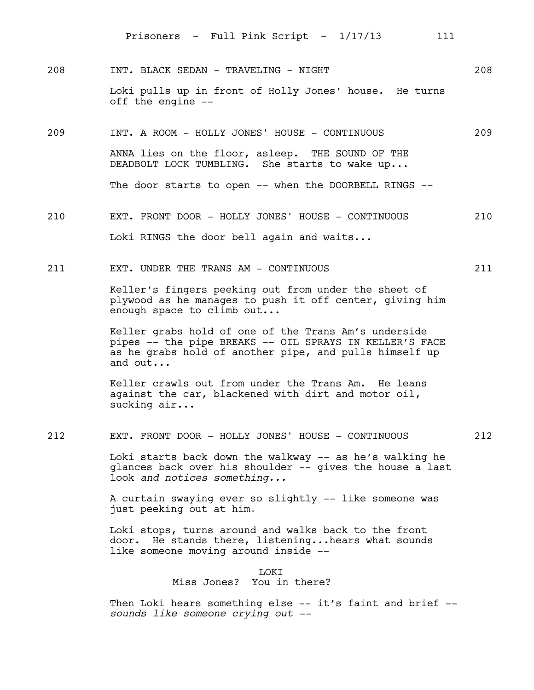- 208 INT. BLACK SEDAN TRAVELING NIGHT 208 Loki pulls up in front of Holly Jones' house. He turns off the engine --
- 209 INT. A ROOM HOLLY JONES' HOUSE CONTINUOUS 209 ANNA lies on the floor, asleep. THE SOUND OF THE DEADBOLT LOCK TUMBLING. She starts to wake up... The door starts to open -- when the DOORBELL RINGS --
- 210 EXT. FRONT DOOR HOLLY JONES' HOUSE CONTINUOUS 210 Loki RINGS the door bell again and waits...
- 211 EXT. UNDER THE TRANS AM CONTINUOUS 211

Keller's fingers peeking out from under the sheet of plywood as he manages to push it off center, giving him enough space to climb out...

Keller grabs hold of one of the Trans Am's underside pipes -- the pipe BREAKS -- OIL SPRAYS IN KELLER'S FACE as he grabs hold of another pipe, and pulls himself up and out...

Keller crawls out from under the Trans Am. He leans against the car, blackened with dirt and motor oil, sucking air...

212 EXT. FRONT DOOR - HOLLY JONES' HOUSE - CONTINUOUS 212

Loki starts back down the walkway -- as he's walking he glances back over his shoulder -- gives the house a last look *and notices something...*

A curtain swaying ever so slightly -- like someone was just peeking out at him.

Loki stops, turns around and walks back to the front door. He stands there, listening...hears what sounds like someone moving around inside --

> LOKI Miss Jones? You in there?

Then Loki hears something else -- it's faint and brief -*sounds like someone crying out --*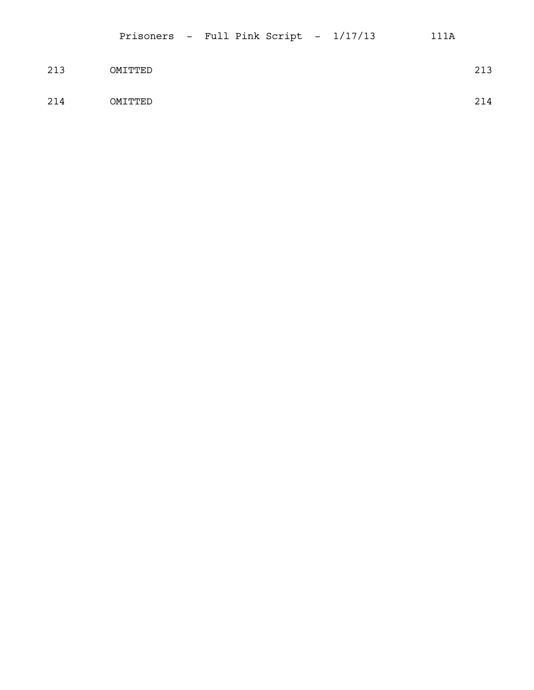| 213 | OMITTED | 213 |
|-----|---------|-----|
| 214 | OMITTED | 214 |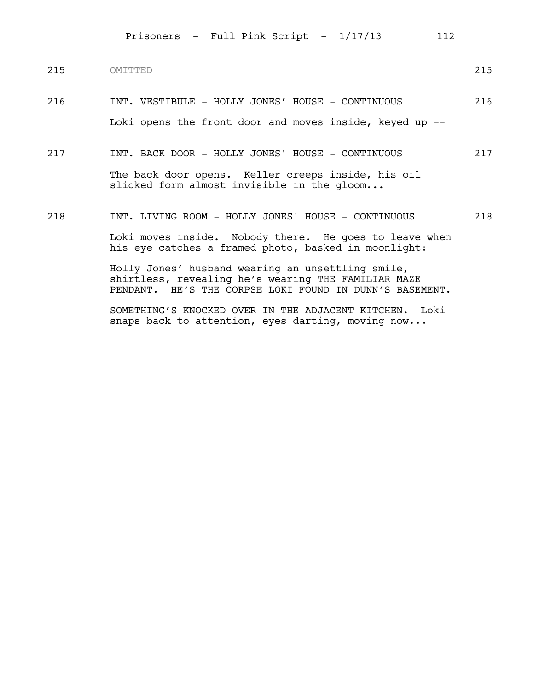| 215 | OMTTTED                                                                                                                                                             | 215 |
|-----|---------------------------------------------------------------------------------------------------------------------------------------------------------------------|-----|
| 216 | INT. VESTIBULE - HOLLY JONES' HOUSE - CONTINUOUS                                                                                                                    | 216 |
|     | Loki opens the front door and moves inside, keyed up $-$                                                                                                            |     |
| 217 | INT. BACK DOOR - HOLLY JONES' HOUSE - CONTINUOUS                                                                                                                    | 217 |
|     | The back door opens. Keller creeps inside, his oil<br>slicked form almost invisible in the gloom                                                                    |     |
| 218 | INT. LIVING ROOM - HOLLY JONES' HOUSE - CONTINUOUS                                                                                                                  | 218 |
|     | Loki moves inside. Nobody there. He goes to leave when<br>his eye catches a framed photo, basked in moonlight:                                                      |     |
|     | Holly Jones' husband wearing an unsettling smile,<br>shirtless, revealing he's wearing THE FAMILIAR MAZE<br>PENDANT. HE'S THE CORPSE LOKI FOUND IN DUNN'S BASEMENT. |     |
|     | SOMETHING'S KNOCKED OVER IN THE ADJACENT KITCHEN. Loki<br>snaps back to attention, eyes darting, moving now                                                         |     |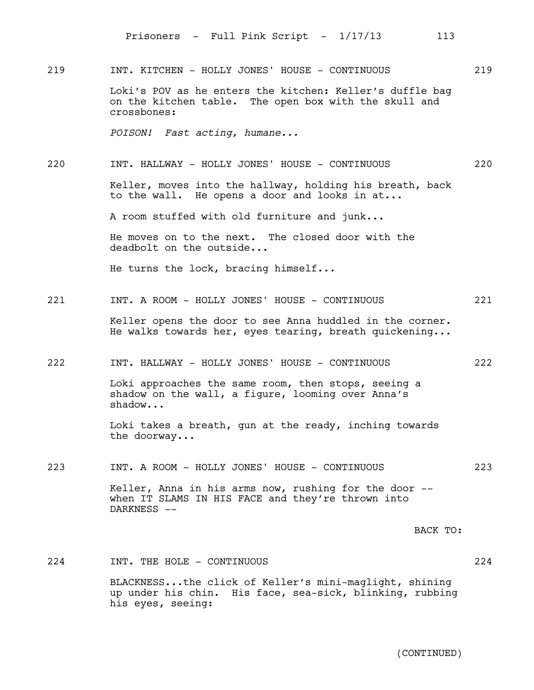219 INT. KITCHEN - HOLLY JONES' HOUSE - CONTINUOUS 219

Loki's POV as he enters the kitchen: Keller's duffle bag on the kitchen table. The open box with the skull and crossbones:

*POISON! Fast acting, humane...*

220 INT. HALLWAY - HOLLY JONES' HOUSE - CONTINUOUS 220

Keller, moves into the hallway, holding his breath, back to the wall. He opens a door and looks in at...

A room stuffed with old furniture and junk...

He moves on to the next. The closed door with the deadbolt on the outside...

He turns the lock, bracing himself...

221 INT. A ROOM - HOLLY JONES' HOUSE - CONTINUOUS 221

Keller opens the door to see Anna huddled in the corner. He walks towards her, eyes tearing, breath quickening...

222 INT. HALLWAY - HOLLY JONES' HOUSE - CONTINUOUS 222

Loki approaches the same room, then stops, seeing a shadow on the wall, a figure, looming over Anna's shadow...

Loki takes a breath, gun at the ready, inching towards the doorway...

223 INT. A ROOM - HOLLY JONES' HOUSE - CONTINUOUS 223

Keller, Anna in his arms now, rushing for the door - when IT SLAMS IN HIS FACE and they're thrown into DARKNESS --

BACK TO:

224 INT. THE HOLE - CONTINUOUS 224 224

BLACKNESS...the click of Keller's mini-maglight, shining up under his chin. His face, sea-sick, blinking, rubbing his eyes, seeing: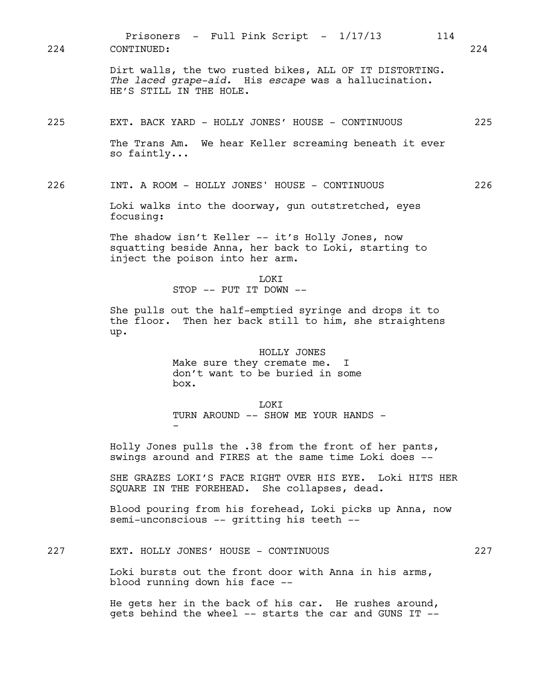Dirt walls, the two rusted bikes, ALL OF IT DISTORTING. *The laced grape-aid.* His *escape* was a hallucination. HE'S STILL IN THE HOLE. 225 EXT. BACK YARD - HOLLY JONES' HOUSE - CONTINUOUS 225 The Trans Am. We hear Keller screaming beneath it ever so faintly... 226 INT. A ROOM - HOLLY JONES' HOUSE - CONTINUOUS 226 Loki walks into the doorway, gun outstretched, eyes focusing: The shadow isn't Keller -- it's Holly Jones, now squatting beside Anna, her back to Loki, starting to inject the poison into her arm. **LOKT** STOP -- PUT IT DOWN -- She pulls out the half-emptied syringe and drops it to the floor. Then her back still to him, she straightens up. HOLLY JONES Make sure they cremate me. I don't want to be buried in some box. T.OKT TURN AROUND -- SHOW ME YOUR HANDS -- Holly Jones pulls the .38 from the front of her pants, swings around and FIRES at the same time Loki does -- SHE GRAZES LOKI'S FACE RIGHT OVER HIS EYE. Loki HITS HER SQUARE IN THE FOREHEAD. She collapses, dead. Blood pouring from his forehead, Loki picks up Anna, now semi-unconscious -- gritting his teeth -- Prisoners - Full Pink Script - 1/17/13 114 224 CONTINUED: 224

227 EXT. HOLLY JONES' HOUSE - CONTINUOUS 227

Loki bursts out the front door with Anna in his arms, blood running down his face --

He gets her in the back of his car. He rushes around, gets behind the wheel -- starts the car and GUNS IT --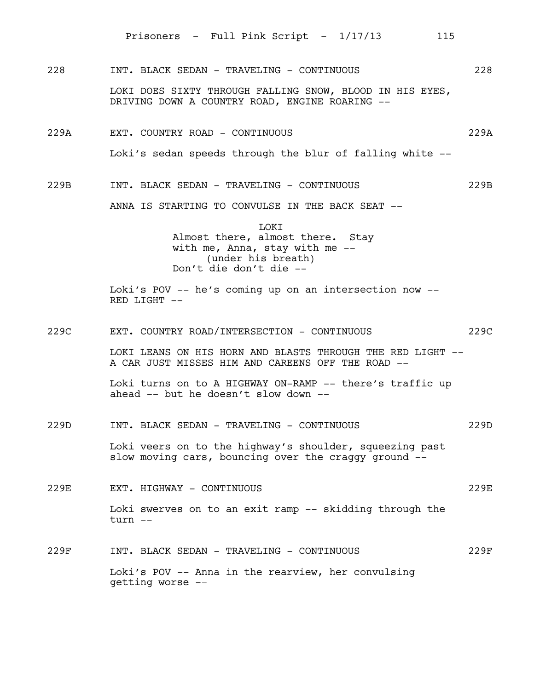228 INT. BLACK SEDAN - TRAVELING - CONTINUOUS 228

LOKI DOES SIXTY THROUGH FALLING SNOW, BLOOD IN HIS EYES, DRIVING DOWN A COUNTRY ROAD, ENGINE ROARING --

- 229A EXT. COUNTRY ROAD CONTINUOUS 229A Loki's sedan speeds through the blur of falling white --
- 229B INT. BLACK SEDAN TRAVELING CONTINUOUS 229B

ANNA IS STARTING TO CONVULSE IN THE BACK SEAT --

LOKI Almost there, almost there. Stay with me, Anna, stay with me --(under his breath) Don't die don't die --

Loki's POV -- he's coming up on an intersection now -- RED LIGHT --

229C EXT. COUNTRY ROAD/INTERSECTION - CONTINUOUS 229C

LOKI LEANS ON HIS HORN AND BLASTS THROUGH THE RED LIGHT -- A CAR JUST MISSES HIM AND CAREENS OFF THE ROAD --

Loki turns on to A HIGHWAY ON-RAMP -- there's traffic up ahead -- but he doesn't slow down --

229D INT. BLACK SEDAN - TRAVELING - CONTINUOUS 229D

Loki veers on to the highway's shoulder, squeezing past slow moving cars, bouncing over the craggy ground --

- 229E EXT. HIGHWAY CONTINUOUS 229E Loki swerves on to an exit ramp -- skidding through the turn --
- 229F INT. BLACK SEDAN TRAVELING CONTINUOUS 229F Loki's POV -- Anna in the rearview, her convulsing getting worse --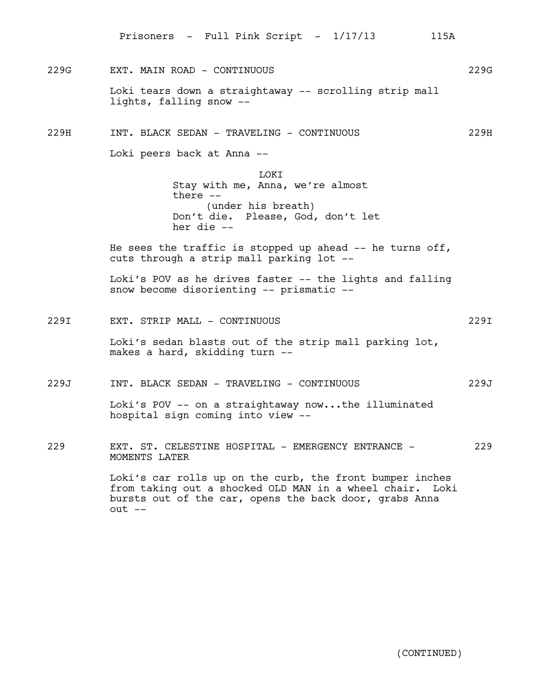Prisoners - Full Pink Script - 1/17/13 115A

229G EXT. MAIN ROAD - CONTINUOUS 229G Loki tears down a straightaway -- scrolling strip mall lights, falling snow --

229H INT. BLACK SEDAN - TRAVELING - CONTINUOUS 229H

Loki peers back at Anna --

makes a hard, skidding turn --

**LOKT** Stay with me, Anna, we're almost there -- (under his breath) Don't die. Please, God, don't let her die --

He sees the traffic is stopped up ahead  $-$  he turns off, cuts through a strip mall parking lot --

Loki's POV as he drives faster -- the lights and falling snow become disorienting -- prismatic --

229I EXT. STRIP MALL - CONTINUOUS 229I Loki's sedan blasts out of the strip mall parking lot,

229J INT. BLACK SEDAN - TRAVELING - CONTINUOUS 229J

Loki's POV -- on a straightaway now...the illuminated hospital sign coming into view --

229 EXT. ST. CELESTINE HOSPITAL - EMERGENCY ENTRANCE - 229 MOMENTS LATER

> Loki's car rolls up on the curb, the front bumper inches from taking out a shocked OLD MAN in a wheel chair. Loki bursts out of the car, opens the back door, grabs Anna out --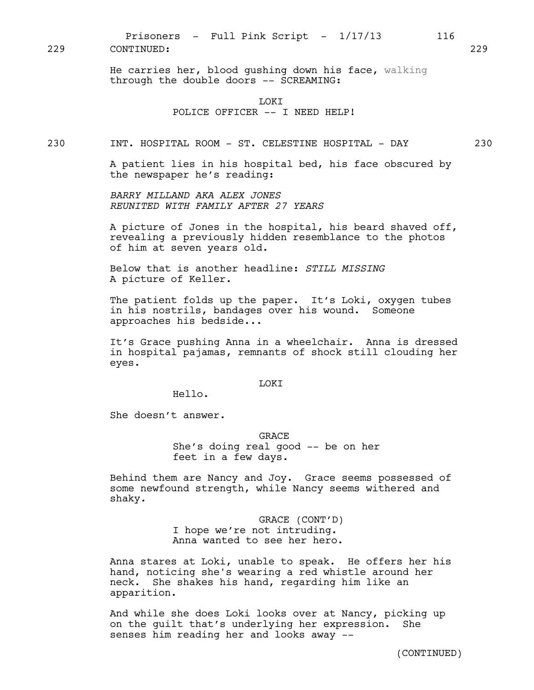He carries her, blood gushing down his face, walking through the double doors -- SCREAMING:

### LOKI POLICE OFFICER -- I NEED HELP!

230 INT. HOSPITAL ROOM - ST. CELESTINE HOSPITAL - DAY 230

A patient lies in his hospital bed, his face obscured by the newspaper he's reading:

*BARRY MILLAND AKA ALEX JONES REUNITED WITH FAMILY AFTER 27 YEARS*

A picture of Jones in the hospital, his beard shaved off, revealing a previously hidden resemblance to the photos of him at seven years old.

Below that is another headline: *STILL MISSING* A picture of Keller.

The patient folds up the paper. It's Loki, oxygen tubes in his nostrils, bandages over his wound. Someone approaches his bedside...

It's Grace pushing Anna in a wheelchair. Anna is dressed in hospital pajamas, remnants of shock still clouding her eyes.

### LOKI

Hello.

She doesn't answer.

GRACE She's doing real good -- be on her feet in a few days.

Behind them are Nancy and Joy. Grace seems possessed of some newfound strength, while Nancy seems withered and shaky.

> GRACE (CONT'D) I hope we're not intruding. Anna wanted to see her hero.

Anna stares at Loki, unable to speak. He offers her his hand, noticing she's wearing a red whistle around her neck. She shakes his hand, regarding him like an apparition.

And while she does Loki looks over at Nancy, picking up on the guilt that's underlying her expression. She senses him reading her and looks away --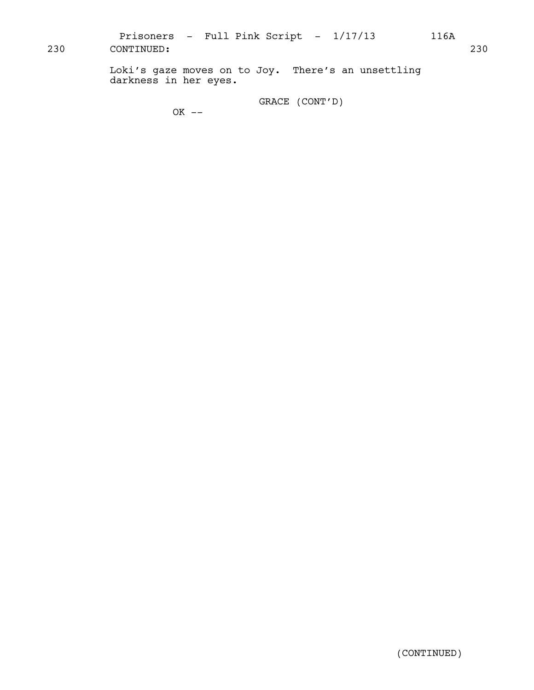Prisoners - Full Pink Script -  $1/17/13$  116A 230 CONTINUED: 230

> Loki's gaze moves on to Joy. There's an unsettling darkness in her eyes.

> > GRACE (CONT'D)

OK --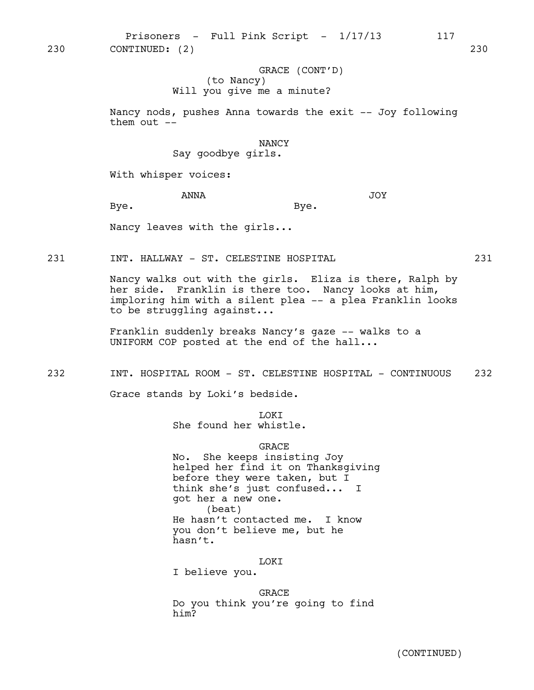Prisoners - Full Pink Script - 1/17/13 117 230 CONTINUED: (2) 230

# GRACE (CONT'D) (to Nancy) Will you give me a minute?

Nancy nods, pushes Anna towards the exit -- Joy following them out  $--$ 

### NANCY

Say goodbye girls.

With whisper voices:

ANNA

Bye.

JOY

Bye.

Nancy leaves with the girls...

231 INT. HALLWAY - ST. CELESTINE HOSPITAL 231

Nancy walks out with the girls. Eliza is there, Ralph by her side. Franklin is there too. Nancy looks at him, imploring him with a silent plea -- a plea Franklin looks to be struggling against...

Franklin suddenly breaks Nancy's gaze -- walks to a UNIFORM COP posted at the end of the hall...

232 INT. HOSPITAL ROOM - ST. CELESTINE HOSPITAL - CONTINUOUS 232

Grace stands by Loki's bedside.

**TOKT** 

She found her whistle.

GRACE

No. She keeps insisting Joy helped her find it on Thanksgiving before they were taken, but I think she's just confused... I got her a new one. (beat) He hasn't contacted me. I know you don't believe me, but he hasn't.

LOKI

I believe you.

GRACE Do you think you're going to find him?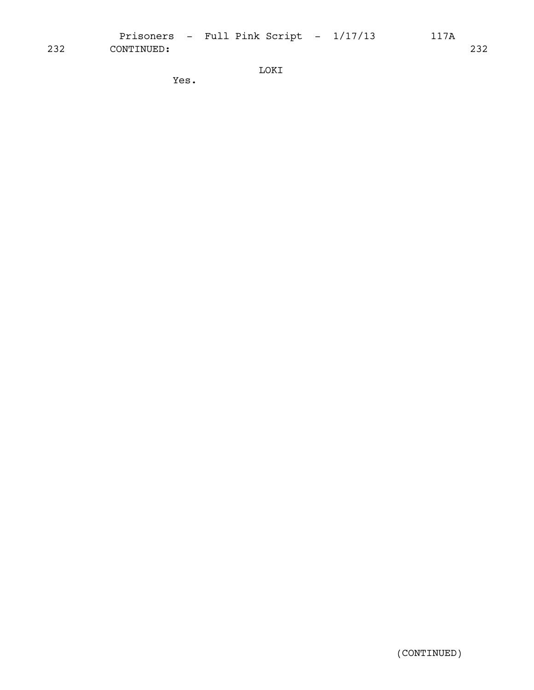Prisoners - Full Pink Script -  $1/17/13$  117A 232 CONTINUED: 232

LOKI

Yes.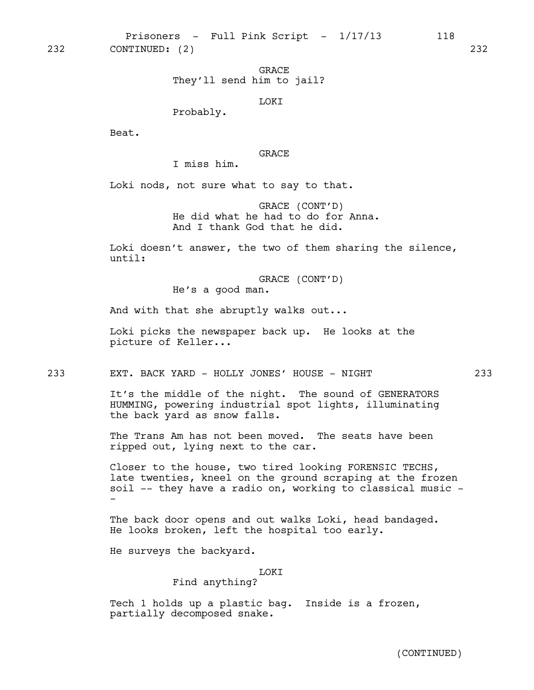Prisoners - Full Pink Script - 1/17/13 118 232 CONTINUED: (2) 232

> GRACE They'll send him to jail?

> > LOKI

Probably.

Beat.

GRACE

I miss him.

Loki nods, not sure what to say to that.

GRACE (CONT'D) He did what he had to do for Anna. And I thank God that he did.

Loki doesn't answer, the two of them sharing the silence, until:

> GRACE (CONT'D) He's a good man.

And with that she abruptly walks out...

Loki picks the newspaper back up. He looks at the picture of Keller...

233 EXT. BACK YARD - HOLLY JONES' HOUSE - NIGHT 233

It's the middle of the night. The sound of GENERATORS HUMMING, powering industrial spot lights, illuminating the back yard as snow falls.

The Trans Am has not been moved. The seats have been ripped out, lying next to the car.

Closer to the house, two tired looking FORENSIC TECHS, late twenties, kneel on the ground scraping at the frozen soil -- they have a radio on, working to classical music - -

The back door opens and out walks Loki, head bandaged. He looks broken, left the hospital too early.

He surveys the backyard.

LOKI

# Find anything?

Tech 1 holds up a plastic bag. Inside is a frozen, partially decomposed snake.